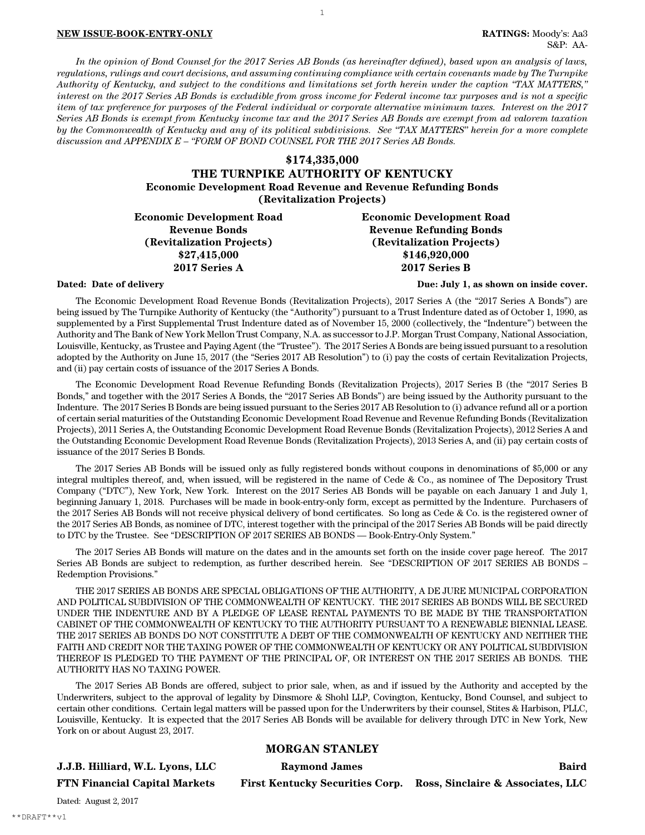#### **NEW ISSUE-Book-Entry-Only RATINGS:** Moody's: Aa3

*In the opinion of Bond Counsel for the 2017 Series AB Bonds (as hereinafter defined), based upon an analysis of laws, regulations, rulings and court decisions, and assuming continuing compliance with certain covenants made by The Turnpike Authority of Kentucky, and subject to the conditions and limitations set forth herein under the caption "TAX MATTERS," interest on the 2017 Series AB Bonds is excludible from gross income for Federal income tax purposes and is not a specific item of tax preference for purposes of the Federal individual or corporate alternative minimum taxes. Interest on the 2017 Series AB Bonds is exempt from Kentucky income tax and the 2017 Series AB Bonds are exempt from ad valorem taxation by the Commonwealth of Kentucky and any of its political subdivisions. See "TAX MATTERS" herein for a more complete discussion and APPENDIX E – "FORM OF BOND COUNSEL FOR THE 2017 Series AB Bonds.* 

# **\$174,335,000**

# **THE TURNPIKE AUTHORITY OF KENTUCKY Economic Development Road Revenue and Revenue Refunding Bonds (Revitalization Projects)**

**Economic Development Road Revenue Bonds (Revitalization Projects) \$27,415,000 2017 Series A**

**Economic Development Road Revenue Refunding Bonds (Revitalization Projects) \$146,920,000 2017 Series B**

**Dated:** Date of delivery **Due:** July 1, as shown on inside cover.

The Economic Development Road Revenue Bonds (Revitalization Projects), 2017 Series A (the "2017 Series A Bonds") are being issued by The Turnpike Authority of Kentucky (the "Authority") pursuant to a Trust Indenture dated as of October 1, 1990, as supplemented by a First Supplemental Trust Indenture dated as of November 15, 2000 (collectively, the "Indenture") between the Authority and The Bank of New York Mellon Trust Company, N.A. as successor to J.P. Morgan Trust Company, National Association, Louisville, Kentucky, as Trustee and Paying Agent (the "Trustee"). The 2017 Series A Bonds are being issued pursuant to a resolution adopted by the Authority on June 15, 2017 (the "Series 2017 AB Resolution") to (i) pay the costs of certain Revitalization Projects, and (ii) pay certain costs of issuance of the 2017 Series A Bonds.

The Economic Development Road Revenue Refunding Bonds (Revitalization Projects), 2017 Series B (the "2017 Series B Bonds," and together with the 2017 Series A Bonds, the "2017 Series AB Bonds") are being issued by the Authority pursuant to the Indenture. The 2017 Series B Bonds are being issued pursuant to the Series 2017 AB Resolution to (i) advance refund all or a portion of certain serial maturities of the Outstanding Economic Development Road Revenue and Revenue Refunding Bonds (Revitalization Projects), 2011 Series A, the Outstanding Economic Development Road Revenue Bonds (Revitalization Projects), 2012 Series A and the Outstanding Economic Development Road Revenue Bonds (Revitalization Projects), 2013 Series A, and (ii) pay certain costs of issuance of the 2017 Series B Bonds.

The 2017 Series AB Bonds will be issued only as fully registered bonds without coupons in denominations of \$5,000 or any integral multiples thereof, and, when issued, will be registered in the name of Cede & Co., as nominee of The Depository Trust Company ("DTC"), New York, New York. Interest on the 2017 Series AB Bonds will be payable on each January 1 and July 1, beginning January 1, 2018. Purchases will be made in book-entry-only form, except as permitted by the Indenture. Purchasers of the 2017 Series AB Bonds will not receive physical delivery of bond certificates. So long as Cede & Co. is the registered owner of the 2017 Series AB Bonds, as nominee of DTC, interest together with the principal of the 2017 Series AB Bonds will be paid directly to DTC by the Trustee. See "DESCRIPTION OF 2017 SERIES AB BONDS — Book-Entry-Only System."

The 2017 Series AB Bonds will mature on the dates and in the amounts set forth on the inside cover page hereof. The 2017 Series AB Bonds are subject to redemption, as further described herein. See "DESCRIPTION OF 2017 SERIES AB BONDS – Redemption Provisions."

THE 2017 SERIES AB BONDS ARE SPECIAL OBLIGATIONS OF THE AUTHORITY, A DE JURE MUNICIPAL CORPORATION AND POLITICAL SUBDIVISION OF THE COMMONWEALTH OF KENTUCKY. THE 2017 SERIES AB BONDS WILL BE SECURED UNDER THE INDENTURE AND BY A PLEDGE OF LEASE RENTAL PAYMENTS TO BE MADE BY THE TRANSPORTATION CABINET OF THE COMMONWEALTH OF KENTUCKY TO THE AUTHORITY PURSUANT TO A RENEWABLE BIENNIAL LEASE. THE 2017 SERIES AB BONDS DO NOT CONSTITUTE A DEBT OF THE COMMONWEALTH OF KENTUCKY AND NEITHER THE FAITH AND CREDIT NOR THE TAXING POWER OF THE COMMONWEALTH OF KENTUCKY OR ANY POLITICAL SUBDIVISION THEREOF IS PLEDGED TO THE PAYMENT OF THE PRINCIPAL OF, OR INTEREST ON THE 2017 SERIES AB BONDS. THE AUTHORITY HAS NO TAXING POWER.

The 2017 Series AB Bonds are offered, subject to prior sale, when, as and if issued by the Authority and accepted by the Underwriters, subject to the approval of legality by Dinsmore & Shohl LLP, Covington, Kentucky, Bond Counsel, and subject to certain other conditions. Certain legal matters will be passed upon for the Underwriters by their counsel, Stites & Harbison, PLLC, Louisville, Kentucky. It is expected that the 2017 Series AB Bonds will be available for delivery through DTC in New York, New York on or about August 23, 2017.

## **MORGAN STANLEY**

**J.J.B. Hilliard, W.L. Lyons, LLC Raymond James Baird** 

**FTN Financial Capital Markets First Kentucky Securities Corp. Ross, Sinclaire & Associates, LLC**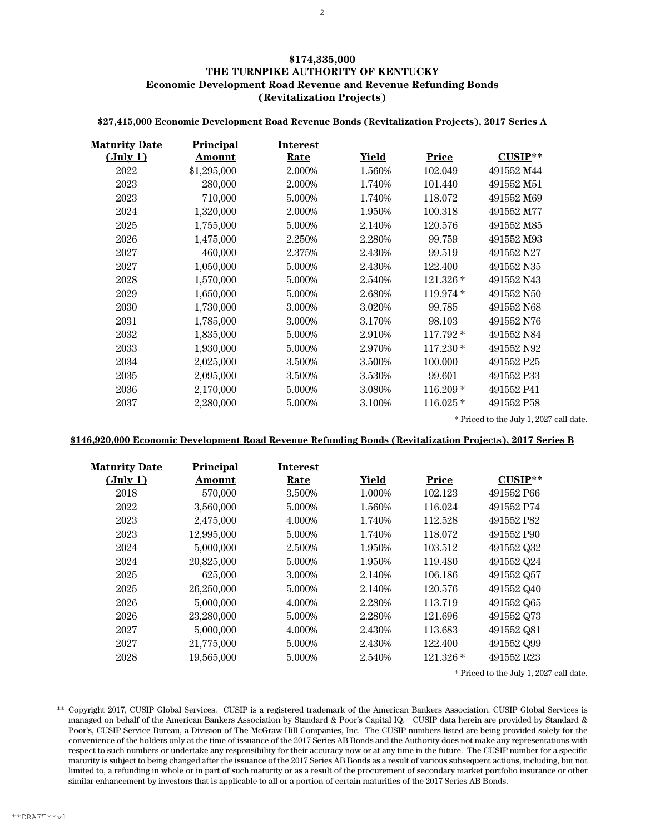# **\$174,335,000 THE TURNPIKE AUTHORITY OF KENTUCKY Economic Development Road Revenue and Revenue Refunding Bonds (Revitalization Projects)**

| <b>Maturity Date</b> | Principal   | <b>Interest</b> |              |              |            |
|----------------------|-------------|-----------------|--------------|--------------|------------|
| $(\text{July } 1)$   | Amount      | <u>Rate</u>     | <b>Yield</b> | <b>Price</b> | CUSIP**    |
| 2022                 | \$1,295,000 | 2.000%          | 1.560%       | 102.049      | 491552 M44 |
| 2023                 | 280,000     | 2.000%          | 1.740%       | 101.440      | 491552 M51 |
| 2023                 | 710,000     | 5.000%          | 1.740%       | 118.072      | 491552 M69 |
| 2024                 | 1,320,000   | 2.000%          | 1.950%       | 100.318      | 491552 M77 |
| 2025                 | 1,755,000   | 5.000%          | 2.140%       | 120.576      | 491552 M85 |
| 2026                 | 1,475,000   | 2.250%          | 2.280%       | 99.759       | 491552 M93 |
| 2027                 | 460,000     | 2.375%          | 2.430%       | 99.519       | 491552 N27 |
| 2027                 | 1,050,000   | 5.000%          | 2.430%       | 122.400      | 491552 N35 |
| 2028                 | 1,570,000   | 5.000%          | 2.540%       | 121.326 *    | 491552 N43 |
| 2029                 | 1,650,000   | 5.000%          | 2.680%       | 119.974 *    | 491552 N50 |
| 2030                 | 1,730,000   | 3.000%          | 3.020%       | 99.785       | 491552 N68 |
| 2031                 | 1,785,000   | 3.000%          | 3.170%       | 98.103       | 491552 N76 |
| 2032                 | 1,835,000   | 5.000%          | 2.910%       | $117.792*$   | 491552 N84 |
| 2033                 | 1,930,000   | 5.000%          | 2.970%       | 117.230 *    | 491552 N92 |
| 2034                 | 2,025,000   | 3.500%          | 3.500%       | 100.000      | 491552 P25 |
| 2035                 | 2,095,000   | 3.500%          | 3.530%       | 99.601       | 491552 P33 |
| 2036                 | 2,170,000   | 5.000%          | 3.080%       | 116.209 *    | 491552 P41 |
| 2037                 | 2,280,000   | 5.000%          | 3.100%       | $116.025*$   | 491552 P58 |

#### **\$27,415,000 Economic Development Road Revenue Bonds (Revitalization Projects), 2017 Series A**

\* Priced to the July 1, 2027 call date.

## **\$146,920,000 Economic Development Road Revenue Refunding Bonds (Revitalization Projects), 2017 Series B**

| <b>Maturity Date</b> | Principal  | Interest |        |              |            |
|----------------------|------------|----------|--------|--------------|------------|
| $(\text{July } 1)$   | Amount     | Rate     | Yield  | <b>Price</b> | CUSIP**    |
| 2018                 | 570,000    | 3.500%   | 1.000% | 102.123      | 491552 P66 |
| 2022                 | 3,560,000  | 5.000%   | 1.560% | 116.024      | 491552 P74 |
| 2023                 | 2,475,000  | 4.000%   | 1.740% | 112.528      | 491552 P82 |
| 2023                 | 12,995,000 | 5.000%   | 1.740% | 118.072      | 491552 P90 |
| 2024                 | 5,000,000  | 2.500%   | 1.950% | 103.512      | 491552 Q32 |
| 2024                 | 20,825,000 | 5.000%   | 1.950% | 119.480      | 491552 Q24 |
| 2025                 | 625,000    | 3.000%   | 2.140% | 106.186      | 491552 Q57 |
| 2025                 | 26,250,000 | 5.000%   | 2.140% | 120.576      | 491552 Q40 |
| 2026                 | 5,000,000  | 4.000\%  | 2.280% | 113.719      | 491552 Q65 |
| 2026                 | 23,280,000 | 5.000%   | 2.280% | 121.696      | 491552 Q73 |
| 2027                 | 5,000,000  | 4.000\%  | 2.430% | 113.683      | 491552 Q81 |
| 2027                 | 21,775,000 | 5.000%   | 2.430% | 122.400      | 491552 Q99 |
| 2028                 | 19,565,000 | 5.000%   | 2.540% | 121.326 *    | 491552 R23 |

\* Priced to the July 1, 2027 call date.

<sup>\*\*</sup> Copyright 2017, CUSIP Global Services. CUSIP is a registered trademark of the American Bankers Association. CUSIP Global Services is managed on behalf of the American Bankers Association by Standard & Poor's Capital IQ. CUSIP data herein are provided by Standard & Poor's, CUSIP Service Bureau, a Division of The McGraw-Hill Companies, Inc. The CUSIP numbers listed are being provided solely for the convenience of the holders only at the time of issuance of the 2017 Series AB Bonds and the Authority does not make any representations with respect to such numbers or undertake any responsibility for their accuracy now or at any time in the future. The CUSIP number for a specific maturity is subject to being changed after the issuance of the 2017 Series AB Bonds as a result of various subsequent actions, including, but not limited to, a refunding in whole or in part of such maturity or as a result of the procurement of secondary market portfolio insurance or other similar enhancement by investors that is applicable to all or a portion of certain maturities of the 2017 Series AB Bonds.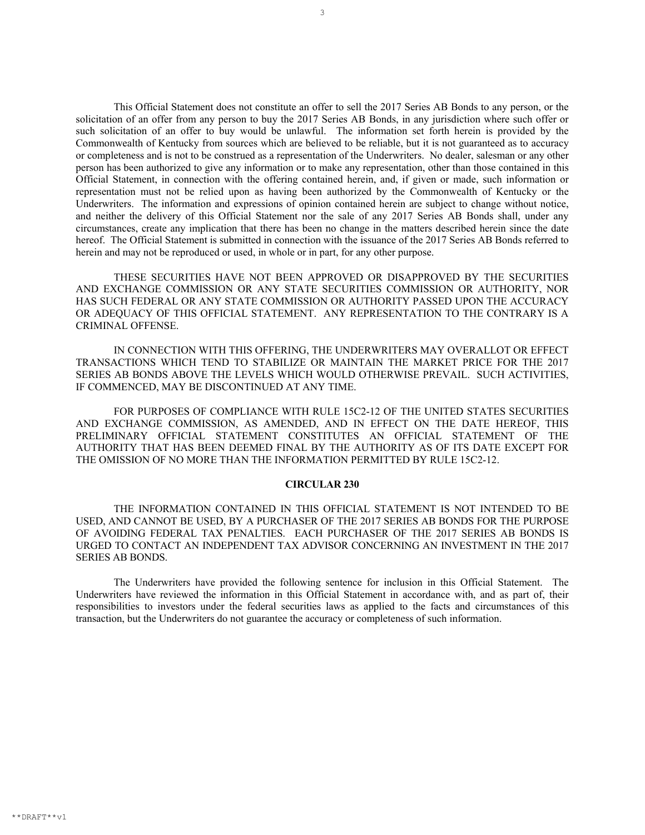This Official Statement does not constitute an offer to sell the 2017 Series AB Bonds to any person, or the solicitation of an offer from any person to buy the 2017 Series AB Bonds, in any jurisdiction where such offer or such solicitation of an offer to buy would be unlawful. The information set forth herein is provided by the Commonwealth of Kentucky from sources which are believed to be reliable, but it is not guaranteed as to accuracy or completeness and is not to be construed as a representation of the Underwriters. No dealer, salesman or any other person has been authorized to give any information or to make any representation, other than those contained in this Official Statement, in connection with the offering contained herein, and, if given or made, such information or representation must not be relied upon as having been authorized by the Commonwealth of Kentucky or the Underwriters. The information and expressions of opinion contained herein are subject to change without notice, and neither the delivery of this Official Statement nor the sale of any 2017 Series AB Bonds shall, under any circumstances, create any implication that there has been no change in the matters described herein since the date hereof. The Official Statement is submitted in connection with the issuance of the 2017 Series AB Bonds referred to herein and may not be reproduced or used, in whole or in part, for any other purpose.

THESE SECURITIES HAVE NOT BEEN APPROVED OR DISAPPROVED BY THE SECURITIES AND EXCHANGE COMMISSION OR ANY STATE SECURITIES COMMISSION OR AUTHORITY, NOR HAS SUCH FEDERAL OR ANY STATE COMMISSION OR AUTHORITY PASSED UPON THE ACCURACY OR ADEQUACY OF THIS OFFICIAL STATEMENT. ANY REPRESENTATION TO THE CONTRARY IS A CRIMINAL OFFENSE.

IN CONNECTION WITH THIS OFFERING, THE UNDERWRITERS MAY OVERALLOT OR EFFECT TRANSACTIONS WHICH TEND TO STABILIZE OR MAINTAIN THE MARKET PRICE FOR THE 2017 SERIES AB BONDS ABOVE THE LEVELS WHICH WOULD OTHERWISE PREVAIL. SUCH ACTIVITIES, IF COMMENCED, MAY BE DISCONTINUED AT ANY TIME.

FOR PURPOSES OF COMPLIANCE WITH RULE 15C2-12 OF THE UNITED STATES SECURITIES AND EXCHANGE COMMISSION, AS AMENDED, AND IN EFFECT ON THE DATE HEREOF, THIS PRELIMINARY OFFICIAL STATEMENT CONSTITUTES AN OFFICIAL STATEMENT OF THE AUTHORITY THAT HAS BEEN DEEMED FINAL BY THE AUTHORITY AS OF ITS DATE EXCEPT FOR THE OMISSION OF NO MORE THAN THE INFORMATION PERMITTED BY RULE 15C2-12.

#### **CIRCULAR 230**

THE INFORMATION CONTAINED IN THIS OFFICIAL STATEMENT IS NOT INTENDED TO BE USED, AND CANNOT BE USED, BY A PURCHASER OF THE 2017 SERIES AB BONDS FOR THE PURPOSE OF AVOIDING FEDERAL TAX PENALTIES. EACH PURCHASER OF THE 2017 SERIES AB BONDS IS URGED TO CONTACT AN INDEPENDENT TAX ADVISOR CONCERNING AN INVESTMENT IN THE 2017 SERIES AB BONDS.

The Underwriters have provided the following sentence for inclusion in this Official Statement. The Underwriters have reviewed the information in this Official Statement in accordance with, and as part of, their responsibilities to investors under the federal securities laws as applied to the facts and circumstances of this transaction, but the Underwriters do not guarantee the accuracy or completeness of such information.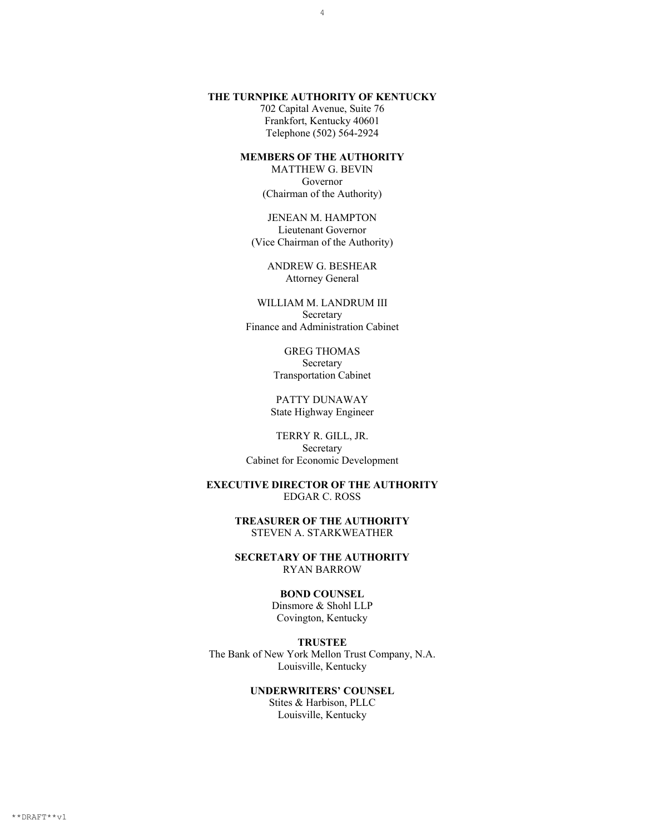## **THE TURNPIKE AUTHORITY OF KENTUCKY**

4

702 Capital Avenue, Suite 76 Frankfort, Kentucky 40601 Telephone (502) 564-2924

# **MEMBERS OF THE AUTHORITY**

MATTHEW G. BEVIN Governor (Chairman of the Authority)

JENEAN M. HAMPTON Lieutenant Governor (Vice Chairman of the Authority)

> ANDREW G. BESHEAR Attorney General

WILLIAM M. LANDRUM III Secretary Finance and Administration Cabinet

> GREG THOMAS Secretary Transportation Cabinet

PATTY DUNAWAY State Highway Engineer

TERRY R. GILL, JR. Secretary Cabinet for Economic Development

## **EXECUTIVE DIRECTOR OF THE AUTHORITY**  EDGAR C. ROSS

**TREASURER OF THE AUTHORITY**  STEVEN A. STARKWEATHER

**SECRETARY OF THE AUTHORITY**  RYAN BARROW

## **BOND COUNSEL**

Dinsmore & Shohl LLP Covington, Kentucky

**TRUSTEE**  The Bank of New York Mellon Trust Company, N.A. Louisville, Kentucky

# **UNDERWRITERS' COUNSEL**

Stites & Harbison, PLLC Louisville, Kentucky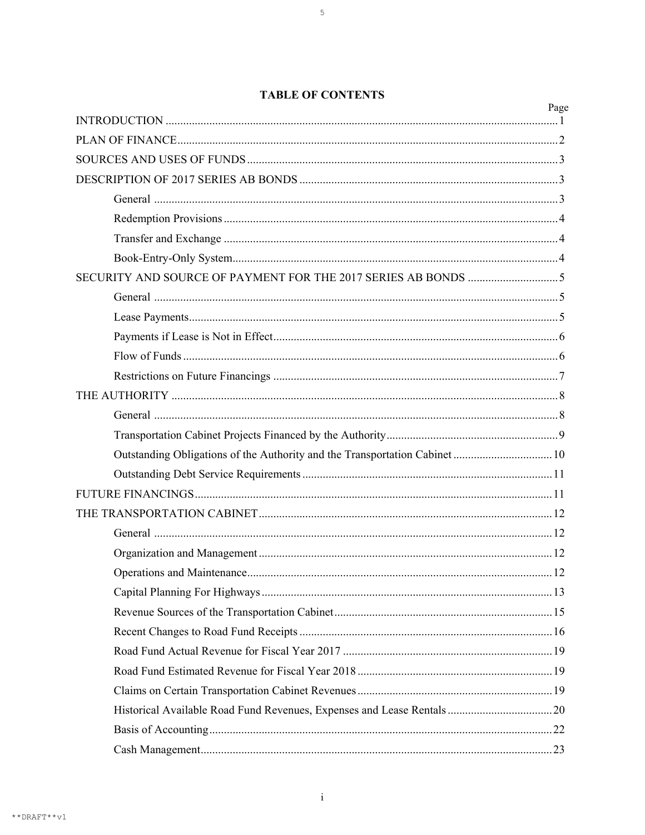# **TABLE OF CONTENTS**

 $5\overline{)}$ 

| Page |
|------|
|      |
|      |
|      |
|      |
|      |
|      |
|      |
|      |
|      |
|      |
|      |
|      |
|      |
|      |
|      |
|      |
|      |
|      |
|      |
|      |
|      |
|      |
|      |
|      |
|      |
|      |
|      |
|      |
|      |
|      |
|      |
|      |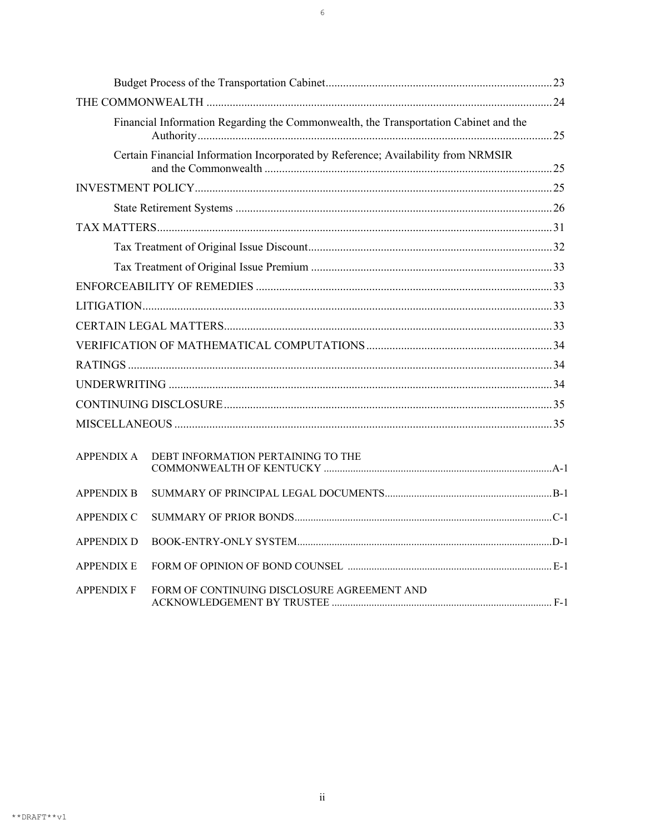|                   | Financial Information Regarding the Commonwealth, the Transportation Cabinet and the |  |
|-------------------|--------------------------------------------------------------------------------------|--|
|                   | Certain Financial Information Incorporated by Reference; Availability from NRMSIR    |  |
|                   |                                                                                      |  |
|                   |                                                                                      |  |
|                   |                                                                                      |  |
|                   |                                                                                      |  |
|                   |                                                                                      |  |
|                   |                                                                                      |  |
|                   |                                                                                      |  |
|                   |                                                                                      |  |
|                   |                                                                                      |  |
|                   |                                                                                      |  |
|                   |                                                                                      |  |
|                   |                                                                                      |  |
|                   |                                                                                      |  |
| <b>APPENDIX A</b> | DEBT INFORMATION PERTAINING TO THE                                                   |  |
| <b>APPENDIX B</b> |                                                                                      |  |
| <b>APPENDIX C</b> |                                                                                      |  |
| <b>APPENDIX D</b> |                                                                                      |  |
| <b>APPENDIX E</b> |                                                                                      |  |
| <b>APPENDIX F</b> | FORM OF CONTINUING DISCLOSURE AGREEMENT AND                                          |  |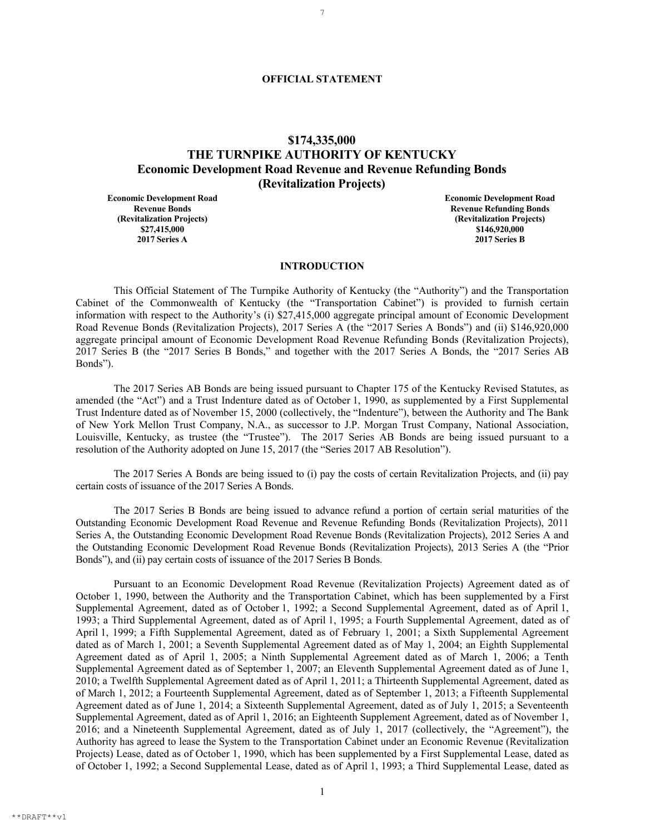#### **OFFICIAL STATEMENT**

7

# **\$174,335,000 THE TURNPIKE AUTHORITY OF KENTUCKY Economic Development Road Revenue and Revenue Refunding Bonds (Revitalization Projects)**

**Economic Development Road Revenue Bonds (Revitalization Projects) \$27,415,000 2017 Series A** 

**Economic Development Road Revenue Refunding Bonds (Revitalization Projects) \$146,920,000 2017 Series B** 

## **INTRODUCTION**

This Official Statement of The Turnpike Authority of Kentucky (the "Authority") and the Transportation Cabinet of the Commonwealth of Kentucky (the "Transportation Cabinet") is provided to furnish certain information with respect to the Authority's (i) \$27,415,000 aggregate principal amount of Economic Development Road Revenue Bonds (Revitalization Projects), 2017 Series A (the "2017 Series A Bonds") and (ii) \$146,920,000 aggregate principal amount of Economic Development Road Revenue Refunding Bonds (Revitalization Projects), 2017 Series B (the "2017 Series B Bonds," and together with the 2017 Series A Bonds, the "2017 Series AB Bonds").

The 2017 Series AB Bonds are being issued pursuant to Chapter 175 of the Kentucky Revised Statutes, as amended (the "Act") and a Trust Indenture dated as of October 1, 1990, as supplemented by a First Supplemental Trust Indenture dated as of November 15, 2000 (collectively, the "Indenture"), between the Authority and The Bank of New York Mellon Trust Company, N.A., as successor to J.P. Morgan Trust Company, National Association, Louisville, Kentucky, as trustee (the "Trustee"). The 2017 Series AB Bonds are being issued pursuant to a resolution of the Authority adopted on June 15, 2017 (the "Series 2017 AB Resolution").

The 2017 Series A Bonds are being issued to (i) pay the costs of certain Revitalization Projects, and (ii) pay certain costs of issuance of the 2017 Series A Bonds.

The 2017 Series B Bonds are being issued to advance refund a portion of certain serial maturities of the Outstanding Economic Development Road Revenue and Revenue Refunding Bonds (Revitalization Projects), 2011 Series A, the Outstanding Economic Development Road Revenue Bonds (Revitalization Projects), 2012 Series A and the Outstanding Economic Development Road Revenue Bonds (Revitalization Projects), 2013 Series A (the "Prior Bonds"), and (ii) pay certain costs of issuance of the 2017 Series B Bonds.

Pursuant to an Economic Development Road Revenue (Revitalization Projects) Agreement dated as of October 1, 1990, between the Authority and the Transportation Cabinet, which has been supplemented by a First Supplemental Agreement, dated as of October 1, 1992; a Second Supplemental Agreement, dated as of April 1, 1993; a Third Supplemental Agreement, dated as of April 1, 1995; a Fourth Supplemental Agreement, dated as of April 1, 1999; a Fifth Supplemental Agreement, dated as of February 1, 2001; a Sixth Supplemental Agreement dated as of March 1, 2001; a Seventh Supplemental Agreement dated as of May 1, 2004; an Eighth Supplemental Agreement dated as of April 1, 2005; a Ninth Supplemental Agreement dated as of March 1, 2006; a Tenth Supplemental Agreement dated as of September 1, 2007; an Eleventh Supplemental Agreement dated as of June 1, 2010; a Twelfth Supplemental Agreement dated as of April 1, 2011; a Thirteenth Supplemental Agreement, dated as of March 1, 2012; a Fourteenth Supplemental Agreement, dated as of September 1, 2013; a Fifteenth Supplemental Agreement dated as of June 1, 2014; a Sixteenth Supplemental Agreement, dated as of July 1, 2015; a Seventeenth Supplemental Agreement, dated as of April 1, 2016; an Eighteenth Supplement Agreement, dated as of November 1, 2016; and a Nineteenth Supplemental Agreement, dated as of July 1, 2017 (collectively, the "Agreement"), the Authority has agreed to lease the System to the Transportation Cabinet under an Economic Revenue (Revitalization Projects) Lease, dated as of October 1, 1990, which has been supplemented by a First Supplemental Lease, dated as of October 1, 1992; a Second Supplemental Lease, dated as of April 1, 1993; a Third Supplemental Lease, dated as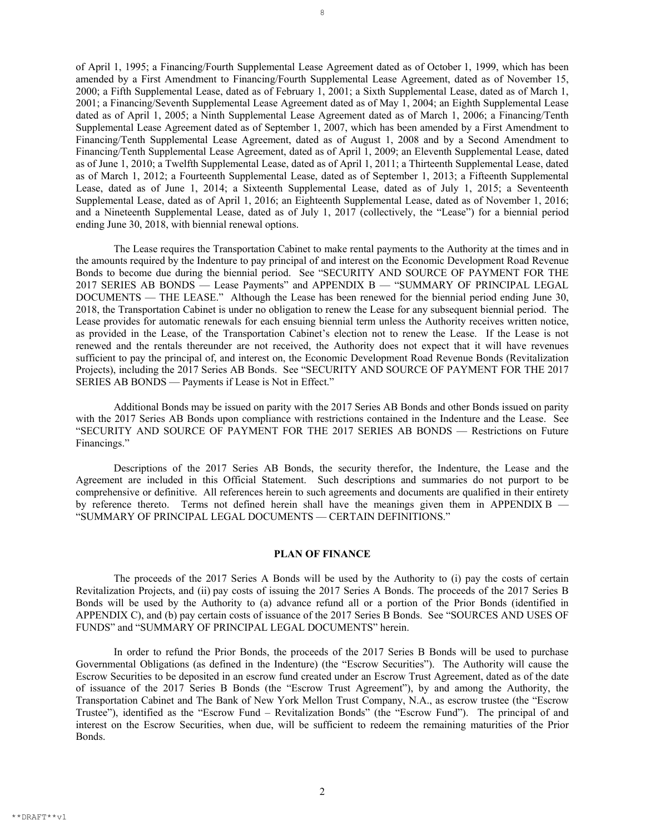of April 1, 1995; a Financing/Fourth Supplemental Lease Agreement dated as of October 1, 1999, which has been amended by a First Amendment to Financing/Fourth Supplemental Lease Agreement, dated as of November 15, 2000; a Fifth Supplemental Lease, dated as of February 1, 2001; a Sixth Supplemental Lease, dated as of March 1, 2001; a Financing/Seventh Supplemental Lease Agreement dated as of May 1, 2004; an Eighth Supplemental Lease dated as of April 1, 2005; a Ninth Supplemental Lease Agreement dated as of March 1, 2006; a Financing/Tenth Supplemental Lease Agreement dated as of September 1, 2007, which has been amended by a First Amendment to Financing/Tenth Supplemental Lease Agreement, dated as of August 1, 2008 and by a Second Amendment to Financing/Tenth Supplemental Lease Agreement, dated as of April 1, 2009; an Eleventh Supplemental Lease, dated as of June 1, 2010; a Twelfth Supplemental Lease, dated as of April 1, 2011; a Thirteenth Supplemental Lease, dated as of March 1, 2012; a Fourteenth Supplemental Lease, dated as of September 1, 2013; a Fifteenth Supplemental Lease, dated as of June 1, 2014; a Sixteenth Supplemental Lease, dated as of July 1, 2015; a Seventeenth Supplemental Lease, dated as of April 1, 2016; an Eighteenth Supplemental Lease, dated as of November 1, 2016; and a Nineteenth Supplemental Lease, dated as of July 1, 2017 (collectively, the "Lease") for a biennial period ending June 30, 2018, with biennial renewal options.

The Lease requires the Transportation Cabinet to make rental payments to the Authority at the times and in the amounts required by the Indenture to pay principal of and interest on the Economic Development Road Revenue Bonds to become due during the biennial period. See "SECURITY AND SOURCE OF PAYMENT FOR THE 2017 SERIES AB BONDS — Lease Payments" and APPENDIX B — "SUMMARY OF PRINCIPAL LEGAL DOCUMENTS — THE LEASE." Although the Lease has been renewed for the biennial period ending June 30, 2018, the Transportation Cabinet is under no obligation to renew the Lease for any subsequent biennial period. The Lease provides for automatic renewals for each ensuing biennial term unless the Authority receives written notice, as provided in the Lease, of the Transportation Cabinet's election not to renew the Lease. If the Lease is not renewed and the rentals thereunder are not received, the Authority does not expect that it will have revenues sufficient to pay the principal of, and interest on, the Economic Development Road Revenue Bonds (Revitalization Projects), including the 2017 Series AB Bonds. See "SECURITY AND SOURCE OF PAYMENT FOR THE 2017 SERIES AB BONDS — Payments if Lease is Not in Effect."

Additional Bonds may be issued on parity with the 2017 Series AB Bonds and other Bonds issued on parity with the 2017 Series AB Bonds upon compliance with restrictions contained in the Indenture and the Lease. See "SECURITY AND SOURCE OF PAYMENT FOR THE 2017 SERIES AB BONDS — Restrictions on Future Financings."

Descriptions of the 2017 Series AB Bonds, the security therefor, the Indenture, the Lease and the Agreement are included in this Official Statement. Such descriptions and summaries do not purport to be comprehensive or definitive. All references herein to such agreements and documents are qualified in their entirety by reference thereto. Terms not defined herein shall have the meanings given them in APPENDIX B — "SUMMARY OF PRINCIPAL LEGAL DOCUMENTS — CERTAIN DEFINITIONS."

## **PLAN OF FINANCE**

The proceeds of the 2017 Series A Bonds will be used by the Authority to (i) pay the costs of certain Revitalization Projects, and (ii) pay costs of issuing the 2017 Series A Bonds. The proceeds of the 2017 Series B Bonds will be used by the Authority to (a) advance refund all or a portion of the Prior Bonds (identified in APPENDIX C), and (b) pay certain costs of issuance of the 2017 Series B Bonds.See "SOURCES AND USES OF FUNDS" and "SUMMARY OF PRINCIPAL LEGAL DOCUMENTS" herein.

In order to refund the Prior Bonds, the proceeds of the 2017 Series B Bonds will be used to purchase Governmental Obligations (as defined in the Indenture) (the "Escrow Securities"). The Authority will cause the Escrow Securities to be deposited in an escrow fund created under an Escrow Trust Agreement, dated as of the date of issuance of the 2017 Series B Bonds (the "Escrow Trust Agreement"), by and among the Authority, the Transportation Cabinet and The Bank of New York Mellon Trust Company, N.A., as escrow trustee (the "Escrow Trustee"), identified as the "Escrow Fund – Revitalization Bonds" (the "Escrow Fund"). The principal of and interest on the Escrow Securities, when due, will be sufficient to redeem the remaining maturities of the Prior Bonds.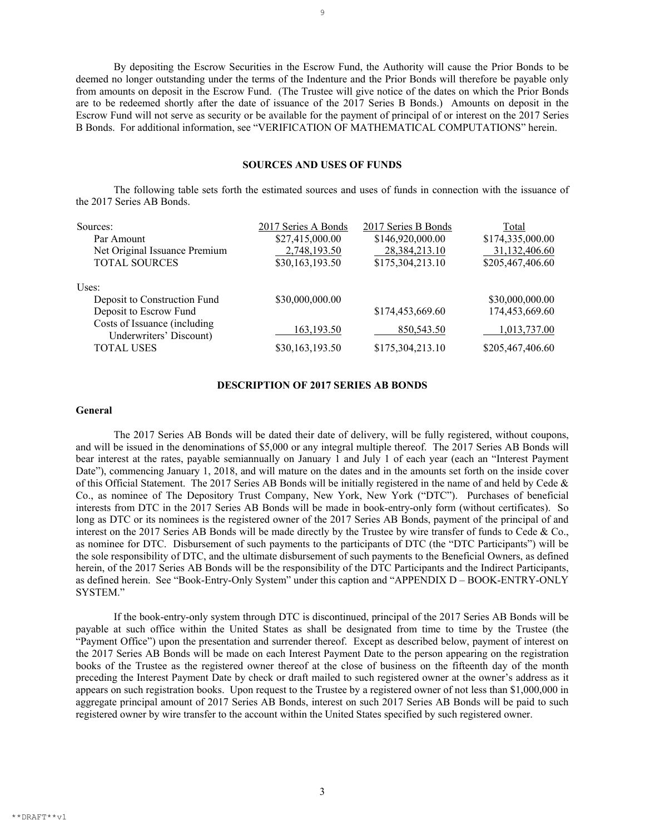By depositing the Escrow Securities in the Escrow Fund, the Authority will cause the Prior Bonds to be deemed no longer outstanding under the terms of the Indenture and the Prior Bonds will therefore be payable only from amounts on deposit in the Escrow Fund. (The Trustee will give notice of the dates on which the Prior Bonds are to be redeemed shortly after the date of issuance of the 2017 Series B Bonds.) Amounts on deposit in the Escrow Fund will not serve as security or be available for the payment of principal of or interest on the 2017 Series B Bonds. For additional information, see "VERIFICATION OF MATHEMATICAL COMPUTATIONS" herein.

### **SOURCES AND USES OF FUNDS**

The following table sets forth the estimated sources and uses of funds in connection with the issuance of the 2017 Series AB Bonds.

| Sources:<br>Par Amount<br>Net Original Issuance Premium<br><b>TOTAL SOURCES</b> | 2017 Series A Bonds<br>\$27,415,000.00<br>2,748,193.50<br>\$30,163,193.50 | 2017 Series B Bonds<br>\$146,920,000.00<br>28,384,213.10<br>\$175,304,213.10 | Total<br>\$174,335,000.00<br>31,132,406.60<br>\$205,467,406.60 |
|---------------------------------------------------------------------------------|---------------------------------------------------------------------------|------------------------------------------------------------------------------|----------------------------------------------------------------|
| Uses:                                                                           |                                                                           |                                                                              |                                                                |
| Deposit to Construction Fund                                                    | \$30,000,000.00                                                           |                                                                              | \$30,000,000.00                                                |
| Deposit to Escrow Fund                                                          |                                                                           | \$174,453,669.60                                                             | 174,453,669.60                                                 |
| Costs of Issuance (including<br>Underwriters' Discount)                         | 163.193.50                                                                | 850, 543.50                                                                  | 1,013,737.00                                                   |
| <b>TOTAL USES</b>                                                               | \$30,163,193.50                                                           | \$175,304,213.10                                                             | \$205,467,406.60                                               |

## **DESCRIPTION OF 2017 SERIES AB BONDS**

#### **General**

The 2017 Series AB Bonds will be dated their date of delivery, will be fully registered, without coupons, and will be issued in the denominations of \$5,000 or any integral multiple thereof. The 2017 Series AB Bonds will bear interest at the rates, payable semiannually on January 1 and July 1 of each year (each an "Interest Payment Date"), commencing January 1, 2018, and will mature on the dates and in the amounts set forth on the inside cover of this Official Statement. The 2017 Series AB Bonds will be initially registered in the name of and held by Cede & Co., as nominee of The Depository Trust Company, New York, New York ("DTC"). Purchases of beneficial interests from DTC in the 2017 Series AB Bonds will be made in book-entry-only form (without certificates). So long as DTC or its nominees is the registered owner of the 2017 Series AB Bonds, payment of the principal of and interest on the 2017 Series AB Bonds will be made directly by the Trustee by wire transfer of funds to Cede & Co., as nominee for DTC. Disbursement of such payments to the participants of DTC (the "DTC Participants") will be the sole responsibility of DTC, and the ultimate disbursement of such payments to the Beneficial Owners, as defined herein, of the 2017 Series AB Bonds will be the responsibility of the DTC Participants and the Indirect Participants, as defined herein. See "Book-Entry-Only System" under this caption and "APPENDIX D – BOOK-ENTRY-ONLY SYSTEM."

If the book-entry-only system through DTC is discontinued, principal of the 2017 Series AB Bonds will be payable at such office within the United States as shall be designated from time to time by the Trustee (the "Payment Office") upon the presentation and surrender thereof. Except as described below, payment of interest on the 2017 Series AB Bonds will be made on each Interest Payment Date to the person appearing on the registration books of the Trustee as the registered owner thereof at the close of business on the fifteenth day of the month preceding the Interest Payment Date by check or draft mailed to such registered owner at the owner's address as it appears on such registration books. Upon request to the Trustee by a registered owner of not less than \$1,000,000 in aggregate principal amount of 2017 Series AB Bonds, interest on such 2017 Series AB Bonds will be paid to such registered owner by wire transfer to the account within the United States specified by such registered owner.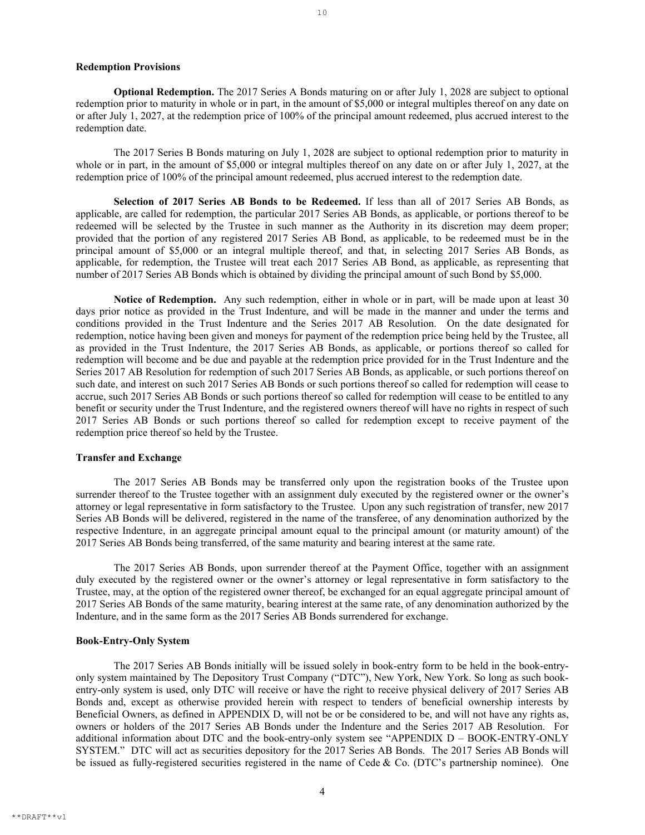#### **Redemption Provisions**

**Optional Redemption.** The 2017 Series A Bonds maturing on or after July 1, 2028 are subject to optional redemption prior to maturity in whole or in part, in the amount of \$5,000 or integral multiples thereof on any date on or after July 1, 2027, at the redemption price of 100% of the principal amount redeemed, plus accrued interest to the redemption date.

The 2017 Series B Bonds maturing on July 1, 2028 are subject to optional redemption prior to maturity in whole or in part, in the amount of \$5,000 or integral multiples thereof on any date on or after July 1, 2027, at the redemption price of 100% of the principal amount redeemed, plus accrued interest to the redemption date.

**Selection of 2017 Series AB Bonds to be Redeemed.** If less than all of 2017 Series AB Bonds, as applicable, are called for redemption, the particular 2017 Series AB Bonds, as applicable, or portions thereof to be redeemed will be selected by the Trustee in such manner as the Authority in its discretion may deem proper; provided that the portion of any registered 2017 Series AB Bond, as applicable, to be redeemed must be in the principal amount of \$5,000 or an integral multiple thereof, and that, in selecting 2017 Series AB Bonds, as applicable, for redemption, the Trustee will treat each 2017 Series AB Bond, as applicable, as representing that number of 2017 Series AB Bonds which is obtained by dividing the principal amount of such Bond by \$5,000.

**Notice of Redemption.** Any such redemption, either in whole or in part, will be made upon at least 30 days prior notice as provided in the Trust Indenture, and will be made in the manner and under the terms and conditions provided in the Trust Indenture and the Series 2017 AB Resolution. On the date designated for redemption, notice having been given and moneys for payment of the redemption price being held by the Trustee, all as provided in the Trust Indenture, the 2017 Series AB Bonds, as applicable, or portions thereof so called for redemption will become and be due and payable at the redemption price provided for in the Trust Indenture and the Series 2017 AB Resolution for redemption of such 2017 Series AB Bonds, as applicable, or such portions thereof on such date, and interest on such 2017 Series AB Bonds or such portions thereof so called for redemption will cease to accrue, such 2017 Series AB Bonds or such portions thereof so called for redemption will cease to be entitled to any benefit or security under the Trust Indenture, and the registered owners thereof will have no rights in respect of such 2017 Series AB Bonds or such portions thereof so called for redemption except to receive payment of the redemption price thereof so held by the Trustee.

## **Transfer and Exchange**

The 2017 Series AB Bonds may be transferred only upon the registration books of the Trustee upon surrender thereof to the Trustee together with an assignment duly executed by the registered owner or the owner's attorney or legal representative in form satisfactory to the Trustee. Upon any such registration of transfer, new 2017 Series AB Bonds will be delivered, registered in the name of the transferee, of any denomination authorized by the respective Indenture, in an aggregate principal amount equal to the principal amount (or maturity amount) of the 2017 Series AB Bonds being transferred, of the same maturity and bearing interest at the same rate.

The 2017 Series AB Bonds, upon surrender thereof at the Payment Office, together with an assignment duly executed by the registered owner or the owner's attorney or legal representative in form satisfactory to the Trustee, may, at the option of the registered owner thereof, be exchanged for an equal aggregate principal amount of 2017 Series AB Bonds of the same maturity, bearing interest at the same rate, of any denomination authorized by the Indenture, and in the same form as the 2017 Series AB Bonds surrendered for exchange.

#### **Book-Entry-Only System**

The 2017 Series AB Bonds initially will be issued solely in book-entry form to be held in the book-entryonly system maintained by The Depository Trust Company ("DTC"), New York, New York. So long as such bookentry-only system is used, only DTC will receive or have the right to receive physical delivery of 2017 Series AB Bonds and, except as otherwise provided herein with respect to tenders of beneficial ownership interests by Beneficial Owners, as defined in APPENDIX D, will not be or be considered to be, and will not have any rights as, owners or holders of the 2017 Series AB Bonds under the Indenture and the Series 2017 AB Resolution. For additional information about DTC and the book-entry-only system see "APPENDIX D – BOOK-ENTRY-ONLY SYSTEM." DTC will act as securities depository for the 2017 Series AB Bonds. The 2017 Series AB Bonds will be issued as fully-registered securities registered in the name of Cede & Co. (DTC's partnership nominee). One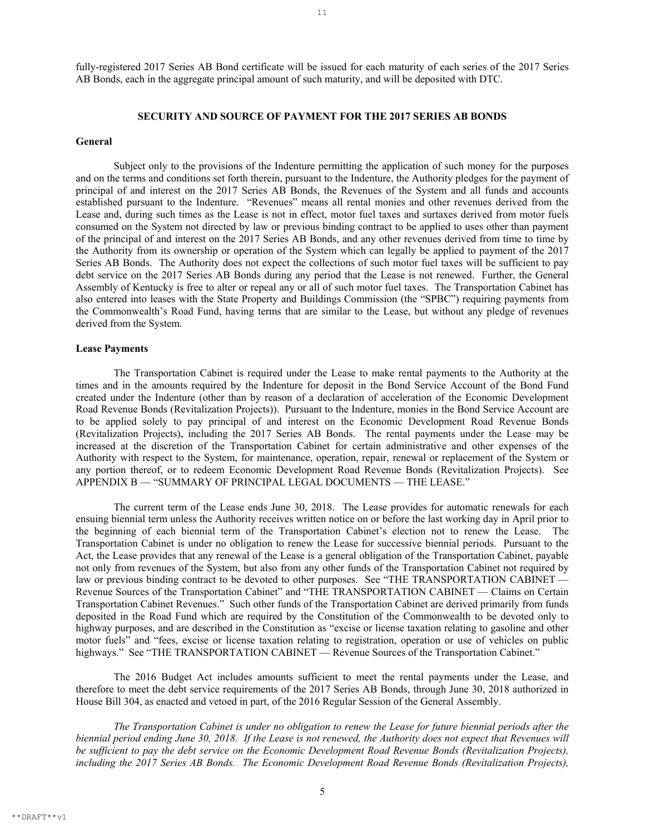fully-registered 2017 Series AB Bond certificate will be issued for each maturity of each series of the 2017 Series AB Bonds, each in the aggregate principal amount of such maturity, and will be deposited with DTC.

## **SECURITY AND SOURCE OF PAYMENT FOR THE 2017 SERIES AB BONDS**

#### **General**

Subject only to the provisions of the Indenture permitting the application of such money for the purposes and on the terms and conditions set forth therein, pursuant to the Indenture, the Authority pledges for the payment of principal of and interest on the 2017 Series AB Bonds, the Revenues of the System and all funds and accounts established pursuant to the Indenture. "Revenues" means all rental monies and other revenues derived from the Lease and, during such times as the Lease is not in effect, motor fuel taxes and surtaxes derived from motor fuels consumed on the System not directed by law or previous binding contract to be applied to uses other than payment of the principal of and interest on the 2017 Series AB Bonds, and any other revenues derived from time to time by the Authority from its ownership or operation of the System which can legally be applied to payment of the 2017 Series AB Bonds. The Authority does not expect the collections of such motor fuel taxes will be sufficient to pay debt service on the 2017 Series AB Bonds during any period that the Lease is not renewed. Further, the General Assembly of Kentucky is free to alter or repeal any or all of such motor fuel taxes. The Transportation Cabinet has also entered into leases with the State Property and Buildings Commission (the "SPBC") requiring payments from the Commonwealth's Road Fund, having terms that are similar to the Lease, but without any pledge of revenues derived from the System.

## **Lease Payments**

The Transportation Cabinet is required under the Lease to make rental payments to the Authority at the times and in the amounts required by the Indenture for deposit in the Bond Service Account of the Bond Fund created under the Indenture (other than by reason of a declaration of acceleration of the Economic Development Road Revenue Bonds (Revitalization Projects)). Pursuant to the Indenture, monies in the Bond Service Account are to be applied solely to pay principal of and interest on the Economic Development Road Revenue Bonds (Revitalization Projects), including the 2017 Series AB Bonds. The rental payments under the Lease may be increased at the discretion of the Transportation Cabinet for certain administrative and other expenses of the Authority with respect to the System, for maintenance, operation, repair, renewal or replacement of the System or any portion thereof, or to redeem Economic Development Road Revenue Bonds (Revitalization Projects). See APPENDIX B — "SUMMARY OF PRINCIPAL LEGAL DOCUMENTS — THE LEASE."

The current term of the Lease ends June 30, 2018. The Lease provides for automatic renewals for each ensuing biennial term unless the Authority receives written notice on or before the last working day in April prior to the beginning of each biennial term of the Transportation Cabinet's election not to renew the Lease. The Transportation Cabinet is under no obligation to renew the Lease for successive biennial periods. Pursuant to the Act, the Lease provides that any renewal of the Lease is a general obligation of the Transportation Cabinet, payable not only from revenues of the System, but also from any other funds of the Transportation Cabinet not required by law or previous binding contract to be devoted to other purposes. See "THE TRANSPORTATION CABINET — Revenue Sources of the Transportation Cabinet" and "THE TRANSPORTATION CABINET — Claims on Certain Transportation Cabinet Revenues." Such other funds of the Transportation Cabinet are derived primarily from funds deposited in the Road Fund which are required by the Constitution of the Commonwealth to be devoted only to highway purposes, and are described in the Constitution as "excise or license taxation relating to gasoline and other motor fuels" and "fees, excise or license taxation relating to registration, operation or use of vehicles on public highways." See "THE TRANSPORTATION CABINET — Revenue Sources of the Transportation Cabinet."

The 2016 Budget Act includes amounts sufficient to meet the rental payments under the Lease, and therefore to meet the debt service requirements of the 2017 Series AB Bonds, through June 30, 2018 authorized in House Bill 304, as enacted and vetoed in part, of the 2016 Regular Session of the General Assembly.

*The Transportation Cabinet is under no obligation to renew the Lease for future biennial periods after the biennial period ending June 30, 2018. If the Lease is not renewed, the Authority does not expect that Revenues will*  be sufficient to pay the debt service on the Economic Development Road Revenue Bonds (Revitalization Projects), *including the 2017 Series AB Bonds. The Economic Development Road Revenue Bonds (Revitalization Projects),*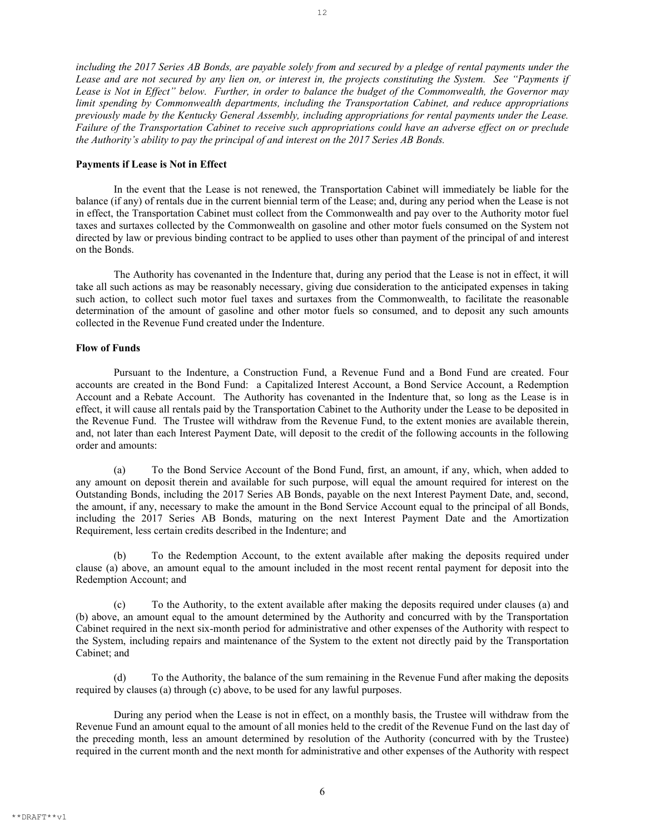*including the 2017 Series AB Bonds, are payable solely from and secured by a pledge of rental payments under the Lease and are not secured by any lien on, or interest in, the projects constituting the System. See "Payments if Lease is Not in Effect" below. Further, in order to balance the budget of the Commonwealth, the Governor may limit spending by Commonwealth departments, including the Transportation Cabinet, and reduce appropriations previously made by the Kentucky General Assembly, including appropriations for rental payments under the Lease. Failure of the Transportation Cabinet to receive such appropriations could have an adverse effect on or preclude the Authority's ability to pay the principal of and interest on the 2017 Series AB Bonds.* 

## **Payments if Lease is Not in Effect**

In the event that the Lease is not renewed, the Transportation Cabinet will immediately be liable for the balance (if any) of rentals due in the current biennial term of the Lease; and, during any period when the Lease is not in effect, the Transportation Cabinet must collect from the Commonwealth and pay over to the Authority motor fuel taxes and surtaxes collected by the Commonwealth on gasoline and other motor fuels consumed on the System not directed by law or previous binding contract to be applied to uses other than payment of the principal of and interest on the Bonds.

The Authority has covenanted in the Indenture that, during any period that the Lease is not in effect, it will take all such actions as may be reasonably necessary, giving due consideration to the anticipated expenses in taking such action, to collect such motor fuel taxes and surtaxes from the Commonwealth, to facilitate the reasonable determination of the amount of gasoline and other motor fuels so consumed, and to deposit any such amounts collected in the Revenue Fund created under the Indenture.

# **Flow of Funds**

Pursuant to the Indenture, a Construction Fund, a Revenue Fund and a Bond Fund are created. Four accounts are created in the Bond Fund: a Capitalized Interest Account, a Bond Service Account, a Redemption Account and a Rebate Account. The Authority has covenanted in the Indenture that, so long as the Lease is in effect, it will cause all rentals paid by the Transportation Cabinet to the Authority under the Lease to be deposited in the Revenue Fund. The Trustee will withdraw from the Revenue Fund, to the extent monies are available therein, and, not later than each Interest Payment Date, will deposit to the credit of the following accounts in the following order and amounts:

(a) To the Bond Service Account of the Bond Fund, first, an amount, if any, which, when added to any amount on deposit therein and available for such purpose, will equal the amount required for interest on the Outstanding Bonds, including the 2017 Series AB Bonds, payable on the next Interest Payment Date, and, second, the amount, if any, necessary to make the amount in the Bond Service Account equal to the principal of all Bonds, including the 2017 Series AB Bonds, maturing on the next Interest Payment Date and the Amortization Requirement, less certain credits described in the Indenture; and

(b) To the Redemption Account, to the extent available after making the deposits required under clause (a) above, an amount equal to the amount included in the most recent rental payment for deposit into the Redemption Account; and

(c) To the Authority, to the extent available after making the deposits required under clauses (a) and (b) above, an amount equal to the amount determined by the Authority and concurred with by the Transportation Cabinet required in the next six-month period for administrative and other expenses of the Authority with respect to the System, including repairs and maintenance of the System to the extent not directly paid by the Transportation Cabinet; and

(d) To the Authority, the balance of the sum remaining in the Revenue Fund after making the deposits required by clauses (a) through (c) above, to be used for any lawful purposes.

During any period when the Lease is not in effect, on a monthly basis, the Trustee will withdraw from the Revenue Fund an amount equal to the amount of all monies held to the credit of the Revenue Fund on the last day of the preceding month, less an amount determined by resolution of the Authority (concurred with by the Trustee) required in the current month and the next month for administrative and other expenses of the Authority with respect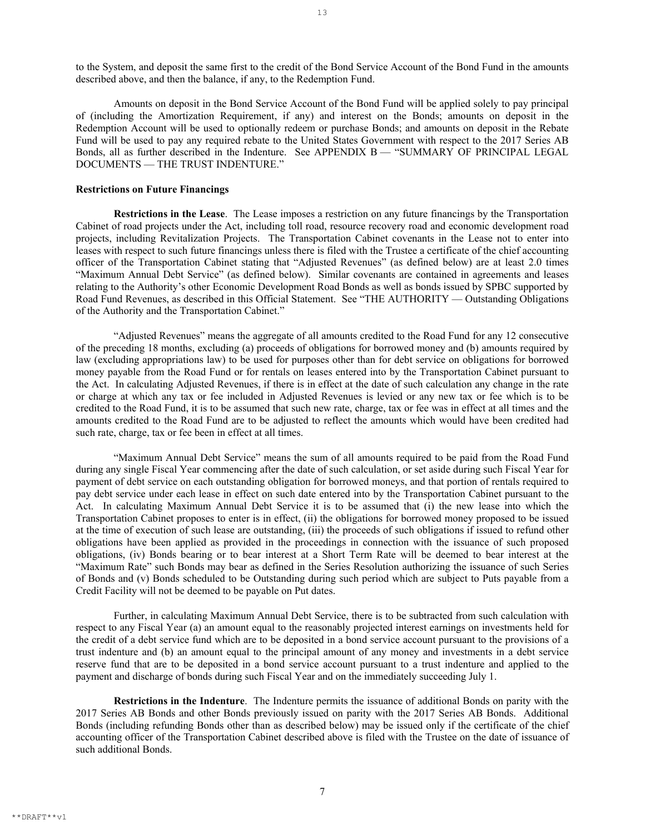to the System, and deposit the same first to the credit of the Bond Service Account of the Bond Fund in the amounts described above, and then the balance, if any, to the Redemption Fund.

Amounts on deposit in the Bond Service Account of the Bond Fund will be applied solely to pay principal of (including the Amortization Requirement, if any) and interest on the Bonds; amounts on deposit in the Redemption Account will be used to optionally redeem or purchase Bonds; and amounts on deposit in the Rebate Fund will be used to pay any required rebate to the United States Government with respect to the 2017 Series AB Bonds, all as further described in the Indenture. See APPENDIX B — "SUMMARY OF PRINCIPAL LEGAL DOCUMENTS — THE TRUST INDENTURE."

#### **Restrictions on Future Financings**

**Restrictions in the Lease**. The Lease imposes a restriction on any future financings by the Transportation Cabinet of road projects under the Act, including toll road, resource recovery road and economic development road projects, including Revitalization Projects. The Transportation Cabinet covenants in the Lease not to enter into leases with respect to such future financings unless there is filed with the Trustee a certificate of the chief accounting officer of the Transportation Cabinet stating that "Adjusted Revenues" (as defined below) are at least 2.0 times "Maximum Annual Debt Service" (as defined below). Similar covenants are contained in agreements and leases relating to the Authority's other Economic Development Road Bonds as well as bonds issued by SPBC supported by Road Fund Revenues, as described in this Official Statement. See "THE AUTHORITY — Outstanding Obligations of the Authority and the Transportation Cabinet."

"Adjusted Revenues" means the aggregate of all amounts credited to the Road Fund for any 12 consecutive of the preceding 18 months, excluding (a) proceeds of obligations for borrowed money and (b) amounts required by law (excluding appropriations law) to be used for purposes other than for debt service on obligations for borrowed money payable from the Road Fund or for rentals on leases entered into by the Transportation Cabinet pursuant to the Act. In calculating Adjusted Revenues, if there is in effect at the date of such calculation any change in the rate or charge at which any tax or fee included in Adjusted Revenues is levied or any new tax or fee which is to be credited to the Road Fund, it is to be assumed that such new rate, charge, tax or fee was in effect at all times and the amounts credited to the Road Fund are to be adjusted to reflect the amounts which would have been credited had such rate, charge, tax or fee been in effect at all times.

"Maximum Annual Debt Service" means the sum of all amounts required to be paid from the Road Fund during any single Fiscal Year commencing after the date of such calculation, or set aside during such Fiscal Year for payment of debt service on each outstanding obligation for borrowed moneys, and that portion of rentals required to pay debt service under each lease in effect on such date entered into by the Transportation Cabinet pursuant to the Act. In calculating Maximum Annual Debt Service it is to be assumed that (i) the new lease into which the Transportation Cabinet proposes to enter is in effect, (ii) the obligations for borrowed money proposed to be issued at the time of execution of such lease are outstanding, (iii) the proceeds of such obligations if issued to refund other obligations have been applied as provided in the proceedings in connection with the issuance of such proposed obligations, (iv) Bonds bearing or to bear interest at a Short Term Rate will be deemed to bear interest at the "Maximum Rate" such Bonds may bear as defined in the Series Resolution authorizing the issuance of such Series of Bonds and (v) Bonds scheduled to be Outstanding during such period which are subject to Puts payable from a Credit Facility will not be deemed to be payable on Put dates.

Further, in calculating Maximum Annual Debt Service, there is to be subtracted from such calculation with respect to any Fiscal Year (a) an amount equal to the reasonably projected interest earnings on investments held for the credit of a debt service fund which are to be deposited in a bond service account pursuant to the provisions of a trust indenture and (b) an amount equal to the principal amount of any money and investments in a debt service reserve fund that are to be deposited in a bond service account pursuant to a trust indenture and applied to the payment and discharge of bonds during such Fiscal Year and on the immediately succeeding July 1.

**Restrictions in the Indenture**. The Indenture permits the issuance of additional Bonds on parity with the 2017 Series AB Bonds and other Bonds previously issued on parity with the 2017 Series AB Bonds. Additional Bonds (including refunding Bonds other than as described below) may be issued only if the certificate of the chief accounting officer of the Transportation Cabinet described above is filed with the Trustee on the date of issuance of such additional Bonds.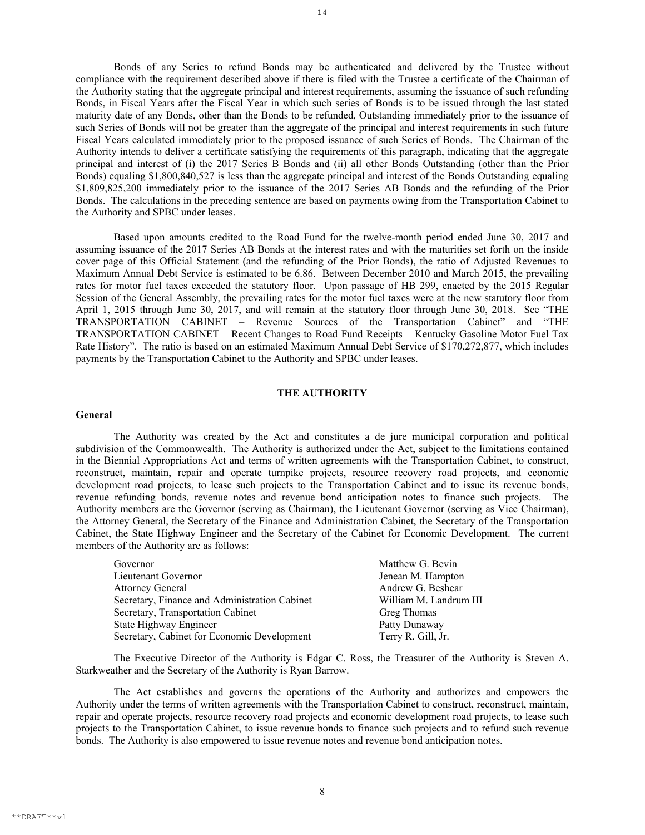Bonds of any Series to refund Bonds may be authenticated and delivered by the Trustee without compliance with the requirement described above if there is filed with the Trustee a certificate of the Chairman of the Authority stating that the aggregate principal and interest requirements, assuming the issuance of such refunding Bonds, in Fiscal Years after the Fiscal Year in which such series of Bonds is to be issued through the last stated maturity date of any Bonds, other than the Bonds to be refunded, Outstanding immediately prior to the issuance of such Series of Bonds will not be greater than the aggregate of the principal and interest requirements in such future Fiscal Years calculated immediately prior to the proposed issuance of such Series of Bonds. The Chairman of the Authority intends to deliver a certificate satisfying the requirements of this paragraph, indicating that the aggregate principal and interest of (i) the 2017 Series B Bonds and (ii) all other Bonds Outstanding (other than the Prior Bonds) equaling \$1,800,840,527 is less than the aggregate principal and interest of the Bonds Outstanding equaling \$1,809,825,200 immediately prior to the issuance of the 2017 Series AB Bonds and the refunding of the Prior Bonds. The calculations in the preceding sentence are based on payments owing from the Transportation Cabinet to the Authority and SPBC under leases.

Based upon amounts credited to the Road Fund for the twelve-month period ended June 30, 2017 and assuming issuance of the 2017 Series AB Bonds at the interest rates and with the maturities set forth on the inside cover page of this Official Statement (and the refunding of the Prior Bonds), the ratio of Adjusted Revenues to Maximum Annual Debt Service is estimated to be 6.86. Between December 2010 and March 2015, the prevailing rates for motor fuel taxes exceeded the statutory floor. Upon passage of HB 299, enacted by the 2015 Regular Session of the General Assembly, the prevailing rates for the motor fuel taxes were at the new statutory floor from April 1, 2015 through June 30, 2017, and will remain at the statutory floor through June 30, 2018. See "THE TRANSPORTATION CABINET – Revenue Sources of the Transportation Cabinet" and "THE TRANSPORTATION CABINET – Recent Changes to Road Fund Receipts – Kentucky Gasoline Motor Fuel Tax Rate History". The ratio is based on an estimated Maximum Annual Debt Service of \$170,272,877, which includes payments by the Transportation Cabinet to the Authority and SPBC under leases.

# **THE AUTHORITY**

#### **General**

The Authority was created by the Act and constitutes a de jure municipal corporation and political subdivision of the Commonwealth. The Authority is authorized under the Act, subject to the limitations contained in the Biennial Appropriations Act and terms of written agreements with the Transportation Cabinet, to construct, reconstruct, maintain, repair and operate turnpike projects, resource recovery road projects, and economic development road projects, to lease such projects to the Transportation Cabinet and to issue its revenue bonds, revenue refunding bonds, revenue notes and revenue bond anticipation notes to finance such projects. The Authority members are the Governor (serving as Chairman), the Lieutenant Governor (serving as Vice Chairman), the Attorney General, the Secretary of the Finance and Administration Cabinet, the Secretary of the Transportation Cabinet, the State Highway Engineer and the Secretary of the Cabinet for Economic Development. The current members of the Authority are as follows:

| Governor                                      | Matthew G. Bevin       |
|-----------------------------------------------|------------------------|
| Lieutenant Governor                           | Jenean M. Hampton      |
| <b>Attorney General</b>                       | Andrew G. Beshear      |
| Secretary, Finance and Administration Cabinet | William M. Landrum III |
| Secretary, Transportation Cabinet             | Greg Thomas            |
| State Highway Engineer                        | Patty Dunaway          |
| Secretary, Cabinet for Economic Development   | Terry R. Gill, Jr.     |

The Executive Director of the Authority is Edgar C. Ross, the Treasurer of the Authority is Steven A. Starkweather and the Secretary of the Authority is Ryan Barrow.

The Act establishes and governs the operations of the Authority and authorizes and empowers the Authority under the terms of written agreements with the Transportation Cabinet to construct, reconstruct, maintain, repair and operate projects, resource recovery road projects and economic development road projects, to lease such projects to the Transportation Cabinet, to issue revenue bonds to finance such projects and to refund such revenue bonds. The Authority is also empowered to issue revenue notes and revenue bond anticipation notes.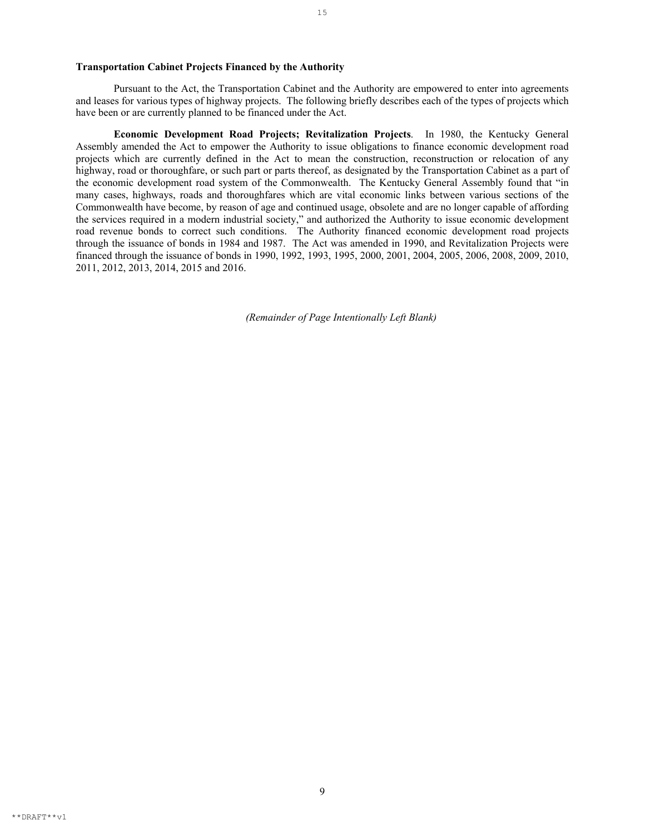### **Transportation Cabinet Projects Financed by the Authority**

Pursuant to the Act, the Transportation Cabinet and the Authority are empowered to enter into agreements and leases for various types of highway projects. The following briefly describes each of the types of projects which have been or are currently planned to be financed under the Act.

**Economic Development Road Projects; Revitalization Projects**. In 1980, the Kentucky General Assembly amended the Act to empower the Authority to issue obligations to finance economic development road projects which are currently defined in the Act to mean the construction, reconstruction or relocation of any highway, road or thoroughfare, or such part or parts thereof, as designated by the Transportation Cabinet as a part of the economic development road system of the Commonwealth. The Kentucky General Assembly found that "in many cases, highways, roads and thoroughfares which are vital economic links between various sections of the Commonwealth have become, by reason of age and continued usage, obsolete and are no longer capable of affording the services required in a modern industrial society," and authorized the Authority to issue economic development road revenue bonds to correct such conditions. The Authority financed economic development road projects through the issuance of bonds in 1984 and 1987. The Act was amended in 1990, and Revitalization Projects were financed through the issuance of bonds in 1990, 1992, 1993, 1995, 2000, 2001, 2004, 2005, 2006, 2008, 2009, 2010, 2011, 2012, 2013, 2014, 2015 and 2016.

*(Remainder of Page Intentionally Left Blank)*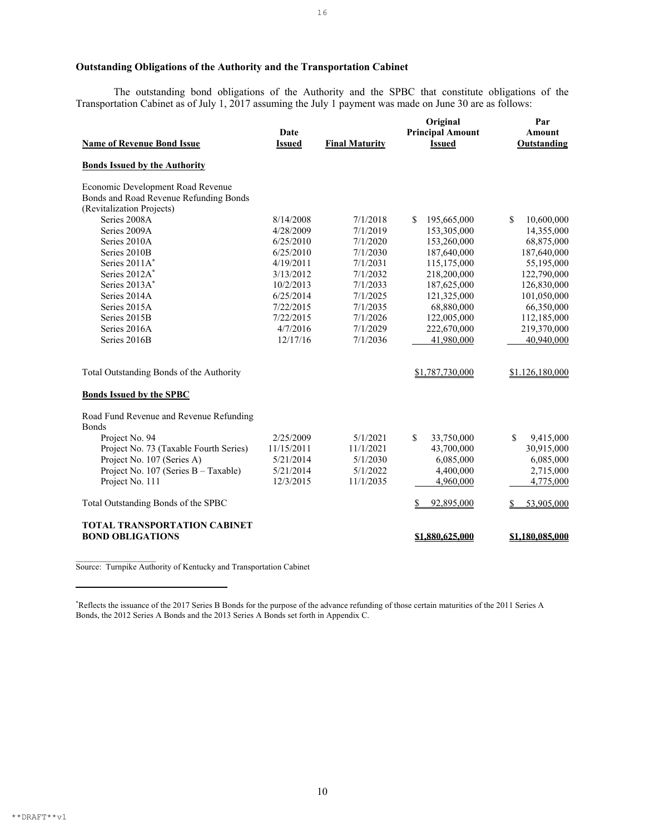# **Outstanding Obligations of the Authority and the Transportation Cabinet**

The outstanding bond obligations of the Authority and the SPBC that constitute obligations of the Transportation Cabinet as of July 1, 2017 assuming the July 1 payment was made on June 30 are as follows:

| <b>Name of Revenue Bond Issue</b>        | Date          |                       | Original<br><b>Principal Amount</b><br><b>Issued</b> | Par<br><b>Amount</b> |
|------------------------------------------|---------------|-----------------------|------------------------------------------------------|----------------------|
|                                          | <b>Issued</b> | <b>Final Maturity</b> |                                                      | Outstanding          |
| <b>Bonds Issued by the Authority</b>     |               |                       |                                                      |                      |
| Economic Development Road Revenue        |               |                       |                                                      |                      |
| Bonds and Road Revenue Refunding Bonds   |               |                       |                                                      |                      |
| (Revitalization Projects)                |               |                       |                                                      |                      |
| Series 2008A                             | 8/14/2008     | 7/1/2018              | \$.<br>195,665,000                                   | \$<br>10,600,000     |
| Series 2009A                             | 4/28/2009     | 7/1/2019              | 153,305,000                                          | 14,355,000           |
| Series 2010A                             | 6/25/2010     | 7/1/2020              | 153,260,000                                          | 68,875,000           |
| Series 2010B                             | 6/25/2010     | 7/1/2030              | 187,640,000                                          | 187,640,000          |
| Series 2011A*                            | 4/19/2011     | 7/1/2031              | 115,175,000                                          | 55,195,000           |
| Series 2012A*                            | 3/13/2012     | 7/1/2032              | 218,200,000                                          | 122,790,000          |
| Series 2013A*                            | 10/2/2013     | 7/1/2033              | 187,625,000                                          | 126,830,000          |
| Series 2014A                             | 6/25/2014     | 7/1/2025              | 121,325,000                                          | 101,050,000          |
| Series 2015A                             | 7/22/2015     | 7/1/2035              | 68,880,000                                           | 66,350,000           |
| Series 2015B                             | 7/22/2015     | 7/1/2026              | 122,005,000                                          | 112,185,000          |
| Series 2016A                             | 4/7/2016      | 7/1/2029              | 222,670,000                                          | 219,370,000          |
| Series 2016B                             | 12/17/16      | 7/1/2036              | 41,980,000                                           | 40,940,000           |
| Total Outstanding Bonds of the Authority |               |                       | \$1,787,730,000                                      | \$1.126,180,000      |
| <b>Bonds Issued by the SPBC</b>          |               |                       |                                                      |                      |
| Road Fund Revenue and Revenue Refunding  |               |                       |                                                      |                      |
| <b>Bonds</b>                             |               |                       |                                                      |                      |
| Project No. 94                           | 2/25/2009     | 5/1/2021              | \$<br>33,750,000                                     | \$<br>9,415,000      |
| Project No. 73 (Taxable Fourth Series)   | 11/15/2011    | 11/1/2021             | 43,700,000                                           | 30,915,000           |
| Project No. 107 (Series A)               | 5/21/2014     | 5/1/2030              | 6,085,000                                            | 6,085,000            |
| Project No. 107 (Series B - Taxable)     | 5/21/2014     | 5/1/2022              | 4,400,000                                            | 2,715,000            |
| Project No. 111                          | 12/3/2015     | 11/1/2035             | 4,960,000                                            | 4,775,000            |
| Total Outstanding Bonds of the SPBC      |               |                       | 92,895,000                                           | 53,905,000           |
| <b>TOTAL TRANSPORTATION CABINET</b>      |               |                       |                                                      |                      |
| <b>BOND OBLIGATIONS</b>                  |               |                       | \$1,880,625,000                                      | \$1,180,085,000      |

Source: Turnpike Authority of Kentucky and Transportation Cabinet

\* Reflects the issuance of the 2017 Series B Bonds for the purpose of the advance refunding of those certain maturities of the 2011 Series A Bonds, the 2012 Series A Bonds and the 2013 Series A Bonds set forth in Appendix C.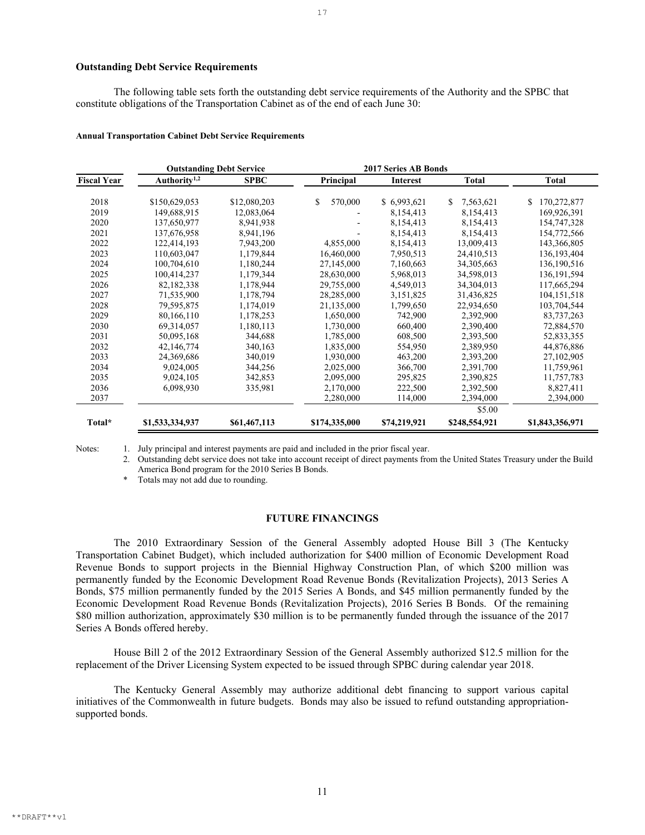### **Outstanding Debt Service Requirements**

The following table sets forth the outstanding debt service requirements of the Authority and the SPBC that constitute obligations of the Transportation Cabinet as of the end of each June 30:

|                    | <b>Outstanding Debt Service</b> |              | <b>2017 Series AB Bonds</b> |                 |                 |                    |
|--------------------|---------------------------------|--------------|-----------------------------|-----------------|-----------------|--------------------|
| <b>Fiscal Year</b> | Authority <sup>1,2</sup>        | <b>SPBC</b>  | Principal                   | <b>Interest</b> | <b>Total</b>    | <b>Total</b>       |
| 2018               | \$150,629,053                   | \$12,080,203 | \$<br>570,000               | \$6,993,621     | \$<br>7,563,621 | 170,272,877<br>\$. |
| 2019               | 149,688,915                     | 12,083,064   |                             | 8,154,413       | 8,154,413       | 169,926,391        |
| 2020               | 137,650,977                     | 8,941,938    |                             | 8,154,413       | 8,154,413       | 154,747,328        |
| 2021               | 137,676,958                     | 8,941,196    |                             | 8,154,413       | 8,154,413       | 154,772,566        |
| 2022               | 122,414,193                     | 7,943,200    | 4,855,000                   | 8,154,413       | 13,009,413      | 143,366,805        |
| 2023               | 110,603,047                     | 1,179,844    | 16,460,000                  | 7,950,513       | 24,410,513      | 136, 193, 404      |
| 2024               | 100,704,610                     | 1,180,244    | 27,145,000                  | 7,160,663       | 34, 305, 663    | 136,190,516        |
| 2025               | 100,414,237                     | 1,179,344    | 28,630,000                  | 5,968,013       | 34,598,013      | 136, 191, 594      |
| 2026               | 82,182,338                      | 1,178,944    | 29,755,000                  | 4,549,013       | 34,304,013      | 117,665,294        |
| 2027               | 71,535,900                      | 1,178,794    | 28,285,000                  | 3,151,825       | 31,436,825      | 104,151,518        |
| 2028               | 79,595,875                      | 1,174,019    | 21,135,000                  | 1,799,650       | 22,934,650      | 103,704,544        |
| 2029               | 80,166,110                      | 1,178,253    | 1,650,000                   | 742,900         | 2,392,900       | 83,737,263         |
| 2030               | 69,314,057                      | 1,180,113    | 1,730,000                   | 660,400         | 2,390,400       | 72,884,570         |
| 2031               | 50,095,168                      | 344,688      | 1,785,000                   | 608,500         | 2,393,500       | 52,833,355         |
| 2032               | 42,146,774                      | 340,163      | 1,835,000                   | 554,950         | 2,389,950       | 44,876,886         |
| 2033               | 24,369,686                      | 340,019      | 1,930,000                   | 463,200         | 2,393,200       | 27,102,905         |
| 2034               | 9,024,005                       | 344,256      | 2,025,000                   | 366,700         | 2,391,700       | 11,759,961         |
| 2035               | 9,024,105                       | 342,853      | 2,095,000                   | 295,825         | 2,390,825       | 11,757,783         |
| 2036               | 6,098,930                       | 335,981      | 2,170,000                   | 222,500         | 2,392,500       | 8,827,411          |
| 2037               |                                 |              | 2,280,000                   | 114,000         | 2,394,000       | 2,394,000          |
|                    |                                 |              |                             |                 | \$5.00          |                    |
| Total*             | \$1,533,334,937                 | \$61,467,113 | \$174,335,000               | \$74,219,921    | \$248,554,921   | \$1,843,356,971    |

Notes: 1. July principal and interest payments are paid and included in the prior fiscal year.

2. Outstanding debt service does not take into account receipt of direct payments from the United States Treasury under the Build America Bond program for the 2010 Series B Bonds.

\* Totals may not add due to rounding.

# **FUTURE FINANCINGS**

The 2010 Extraordinary Session of the General Assembly adopted House Bill 3 (The Kentucky Transportation Cabinet Budget), which included authorization for \$400 million of Economic Development Road Revenue Bonds to support projects in the Biennial Highway Construction Plan, of which \$200 million was permanently funded by the Economic Development Road Revenue Bonds (Revitalization Projects), 2013 Series A Bonds, \$75 million permanently funded by the 2015 Series A Bonds, and \$45 million permanently funded by the Economic Development Road Revenue Bonds (Revitalization Projects), 2016 Series B Bonds. Of the remaining \$80 million authorization, approximately \$30 million is to be permanently funded through the issuance of the 2017 Series A Bonds offered hereby.

House Bill 2 of the 2012 Extraordinary Session of the General Assembly authorized \$12.5 million for the replacement of the Driver Licensing System expected to be issued through SPBC during calendar year 2018.

The Kentucky General Assembly may authorize additional debt financing to support various capital initiatives of the Commonwealth in future budgets. Bonds may also be issued to refund outstanding appropriationsupported bonds.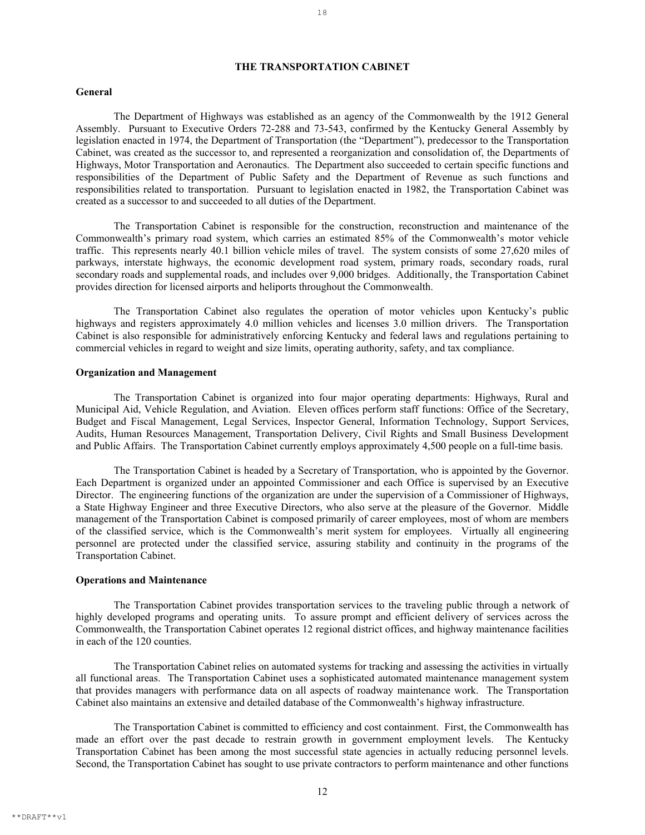### **THE TRANSPORTATION CABINET**

## **General**

The Department of Highways was established as an agency of the Commonwealth by the 1912 General Assembly. Pursuant to Executive Orders 72-288 and 73-543, confirmed by the Kentucky General Assembly by legislation enacted in 1974, the Department of Transportation (the "Department"), predecessor to the Transportation Cabinet, was created as the successor to, and represented a reorganization and consolidation of, the Departments of Highways, Motor Transportation and Aeronautics. The Department also succeeded to certain specific functions and responsibilities of the Department of Public Safety and the Department of Revenue as such functions and responsibilities related to transportation. Pursuant to legislation enacted in 1982, the Transportation Cabinet was created as a successor to and succeeded to all duties of the Department.

The Transportation Cabinet is responsible for the construction, reconstruction and maintenance of the Commonwealth's primary road system, which carries an estimated 85% of the Commonwealth's motor vehicle traffic. This represents nearly 40.1 billion vehicle miles of travel. The system consists of some 27,620 miles of parkways, interstate highways, the economic development road system, primary roads, secondary roads, rural secondary roads and supplemental roads, and includes over 9,000 bridges. Additionally, the Transportation Cabinet provides direction for licensed airports and heliports throughout the Commonwealth.

The Transportation Cabinet also regulates the operation of motor vehicles upon Kentucky's public highways and registers approximately 4.0 million vehicles and licenses 3.0 million drivers. The Transportation Cabinet is also responsible for administratively enforcing Kentucky and federal laws and regulations pertaining to commercial vehicles in regard to weight and size limits, operating authority, safety, and tax compliance.

#### **Organization and Management**

The Transportation Cabinet is organized into four major operating departments: Highways, Rural and Municipal Aid, Vehicle Regulation, and Aviation. Eleven offices perform staff functions: Office of the Secretary, Budget and Fiscal Management, Legal Services, Inspector General, Information Technology, Support Services, Audits, Human Resources Management, Transportation Delivery, Civil Rights and Small Business Development and Public Affairs. The Transportation Cabinet currently employs approximately 4,500 people on a full-time basis.

The Transportation Cabinet is headed by a Secretary of Transportation, who is appointed by the Governor. Each Department is organized under an appointed Commissioner and each Office is supervised by an Executive Director. The engineering functions of the organization are under the supervision of a Commissioner of Highways, a State Highway Engineer and three Executive Directors, who also serve at the pleasure of the Governor. Middle management of the Transportation Cabinet is composed primarily of career employees, most of whom are members of the classified service, which is the Commonwealth's merit system for employees. Virtually all engineering personnel are protected under the classified service, assuring stability and continuity in the programs of the Transportation Cabinet.

## **Operations and Maintenance**

The Transportation Cabinet provides transportation services to the traveling public through a network of highly developed programs and operating units. To assure prompt and efficient delivery of services across the Commonwealth, the Transportation Cabinet operates 12 regional district offices, and highway maintenance facilities in each of the 120 counties.

The Transportation Cabinet relies on automated systems for tracking and assessing the activities in virtually all functional areas. The Transportation Cabinet uses a sophisticated automated maintenance management system that provides managers with performance data on all aspects of roadway maintenance work. The Transportation Cabinet also maintains an extensive and detailed database of the Commonwealth's highway infrastructure.

The Transportation Cabinet is committed to efficiency and cost containment. First, the Commonwealth has made an effort over the past decade to restrain growth in government employment levels. The Kentucky Transportation Cabinet has been among the most successful state agencies in actually reducing personnel levels. Second, the Transportation Cabinet has sought to use private contractors to perform maintenance and other functions

18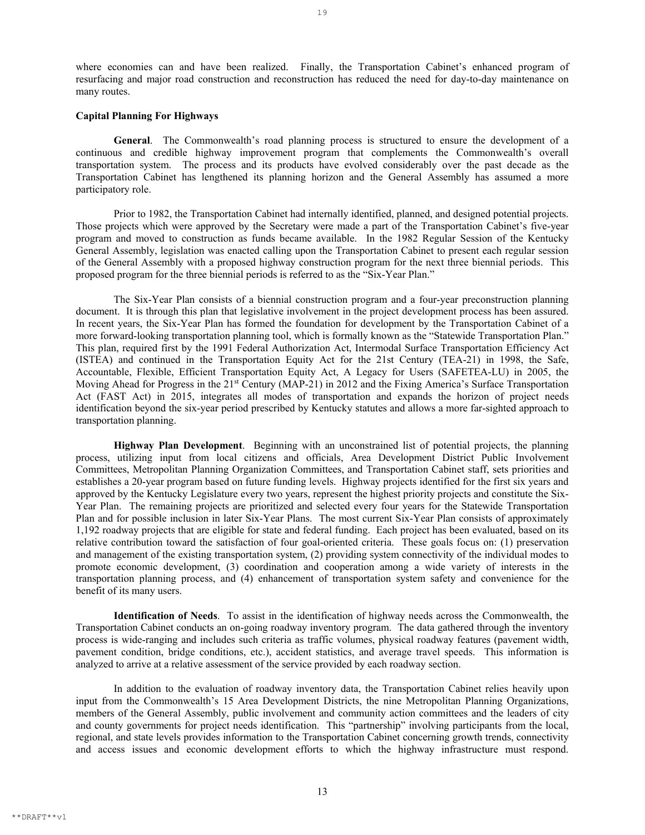where economies can and have been realized. Finally, the Transportation Cabinet's enhanced program of resurfacing and major road construction and reconstruction has reduced the need for day-to-day maintenance on many routes.

## **Capital Planning For Highways**

**General**. The Commonwealth's road planning process is structured to ensure the development of a continuous and credible highway improvement program that complements the Commonwealth's overall transportation system. The process and its products have evolved considerably over the past decade as the Transportation Cabinet has lengthened its planning horizon and the General Assembly has assumed a more participatory role.

Prior to 1982, the Transportation Cabinet had internally identified, planned, and designed potential projects. Those projects which were approved by the Secretary were made a part of the Transportation Cabinet's five-year program and moved to construction as funds became available. In the 1982 Regular Session of the Kentucky General Assembly, legislation was enacted calling upon the Transportation Cabinet to present each regular session of the General Assembly with a proposed highway construction program for the next three biennial periods. This proposed program for the three biennial periods is referred to as the "Six-Year Plan."

The Six-Year Plan consists of a biennial construction program and a four-year preconstruction planning document. It is through this plan that legislative involvement in the project development process has been assured. In recent years, the Six-Year Plan has formed the foundation for development by the Transportation Cabinet of a more forward-looking transportation planning tool, which is formally known as the "Statewide Transportation Plan." This plan, required first by the 1991 Federal Authorization Act, Intermodal Surface Transportation Efficiency Act (ISTEA) and continued in the Transportation Equity Act for the 21st Century (TEA-21) in 1998, the Safe, Accountable, Flexible, Efficient Transportation Equity Act, A Legacy for Users (SAFETEA-LU) in 2005, the Moving Ahead for Progress in the 21<sup>st</sup> Century (MAP-21) in 2012 and the Fixing America's Surface Transportation Act (FAST Act) in 2015, integrates all modes of transportation and expands the horizon of project needs identification beyond the six-year period prescribed by Kentucky statutes and allows a more far-sighted approach to transportation planning.

**Highway Plan Development**. Beginning with an unconstrained list of potential projects, the planning process, utilizing input from local citizens and officials, Area Development District Public Involvement Committees, Metropolitan Planning Organization Committees, and Transportation Cabinet staff, sets priorities and establishes a 20-year program based on future funding levels. Highway projects identified for the first six years and approved by the Kentucky Legislature every two years, represent the highest priority projects and constitute the Six-Year Plan. The remaining projects are prioritized and selected every four years for the Statewide Transportation Plan and for possible inclusion in later Six-Year Plans. The most current Six-Year Plan consists of approximately 1,192 roadway projects that are eligible for state and federal funding. Each project has been evaluated, based on its relative contribution toward the satisfaction of four goal-oriented criteria. These goals focus on: (1) preservation and management of the existing transportation system, (2) providing system connectivity of the individual modes to promote economic development, (3) coordination and cooperation among a wide variety of interests in the transportation planning process, and (4) enhancement of transportation system safety and convenience for the benefit of its many users.

**Identification of Needs**. To assist in the identification of highway needs across the Commonwealth, the Transportation Cabinet conducts an on-going roadway inventory program. The data gathered through the inventory process is wide-ranging and includes such criteria as traffic volumes, physical roadway features (pavement width, pavement condition, bridge conditions, etc.), accident statistics, and average travel speeds. This information is analyzed to arrive at a relative assessment of the service provided by each roadway section.

In addition to the evaluation of roadway inventory data, the Transportation Cabinet relies heavily upon input from the Commonwealth's 15 Area Development Districts, the nine Metropolitan Planning Organizations, members of the General Assembly, public involvement and community action committees and the leaders of city and county governments for project needs identification. This "partnership" involving participants from the local, regional, and state levels provides information to the Transportation Cabinet concerning growth trends, connectivity and access issues and economic development efforts to which the highway infrastructure must respond.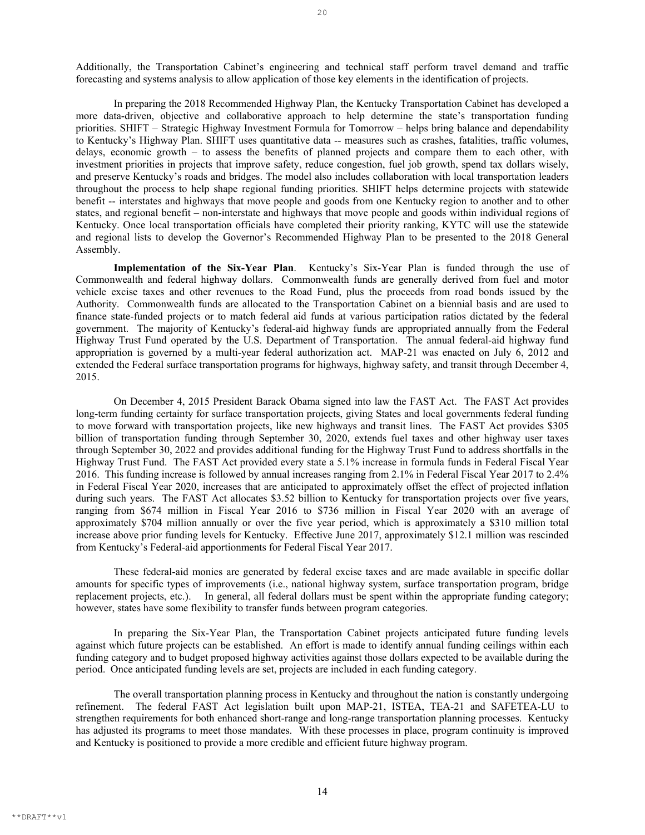Additionally, the Transportation Cabinet's engineering and technical staff perform travel demand and traffic forecasting and systems analysis to allow application of those key elements in the identification of projects.

In preparing the 2018 Recommended Highway Plan, the Kentucky Transportation Cabinet has developed a more data-driven, objective and collaborative approach to help determine the state's transportation funding priorities. SHIFT – Strategic Highway Investment Formula for Tomorrow – helps bring balance and dependability to Kentucky's Highway Plan. SHIFT uses quantitative data -- measures such as crashes, fatalities, traffic volumes, delays, economic growth – to assess the benefits of planned projects and compare them to each other, with investment priorities in projects that improve safety, reduce congestion, fuel job growth, spend tax dollars wisely, and preserve Kentucky's roads and bridges. The model also includes collaboration with local transportation leaders throughout the process to help shape regional funding priorities. SHIFT helps determine projects with statewide benefit -- interstates and highways that move people and goods from one Kentucky region to another and to other states, and regional benefit – non-interstate and highways that move people and goods within individual regions of Kentucky. Once local transportation officials have completed their priority ranking, KYTC will use the statewide and regional lists to develop the Governor's Recommended Highway Plan to be presented to the 2018 General Assembly.

**Implementation of the Six-Year Plan**. Kentucky's Six-Year Plan is funded through the use of Commonwealth and federal highway dollars. Commonwealth funds are generally derived from fuel and motor vehicle excise taxes and other revenues to the Road Fund, plus the proceeds from road bonds issued by the Authority. Commonwealth funds are allocated to the Transportation Cabinet on a biennial basis and are used to finance state-funded projects or to match federal aid funds at various participation ratios dictated by the federal government. The majority of Kentucky's federal-aid highway funds are appropriated annually from the Federal Highway Trust Fund operated by the U.S. Department of Transportation. The annual federal-aid highway fund appropriation is governed by a multi-year federal authorization act. MAP-21 was enacted on July 6, 2012 and extended the Federal surface transportation programs for highways, highway safety, and transit through December 4, 2015.

On December 4, 2015 President Barack Obama signed into law the FAST Act. The FAST Act provides long-term funding certainty for surface transportation projects, giving States and local governments federal funding to move forward with transportation projects, like new highways and transit lines. The FAST Act provides \$305 billion of transportation funding through September 30, 2020, extends fuel taxes and other highway user taxes through September 30, 2022 and provides additional funding for the Highway Trust Fund to address shortfalls in the Highway Trust Fund. The FAST Act provided every state a 5.1% increase in formula funds in Federal Fiscal Year 2016. This funding increase is followed by annual increases ranging from 2.1% in Federal Fiscal Year 2017 to 2.4% in Federal Fiscal Year 2020, increases that are anticipated to approximately offset the effect of projected inflation during such years. The FAST Act allocates \$3.52 billion to Kentucky for transportation projects over five years, ranging from \$674 million in Fiscal Year 2016 to \$736 million in Fiscal Year 2020 with an average of approximately \$704 million annually or over the five year period, which is approximately a \$310 million total increase above prior funding levels for Kentucky. Effective June 2017, approximately \$12.1 million was rescinded from Kentucky's Federal-aid apportionments for Federal Fiscal Year 2017.

These federal-aid monies are generated by federal excise taxes and are made available in specific dollar amounts for specific types of improvements (i.e., national highway system, surface transportation program, bridge replacement projects, etc.). In general, all federal dollars must be spent within the appropriate funding category; however, states have some flexibility to transfer funds between program categories.

In preparing the Six-Year Plan, the Transportation Cabinet projects anticipated future funding levels against which future projects can be established. An effort is made to identify annual funding ceilings within each funding category and to budget proposed highway activities against those dollars expected to be available during the period. Once anticipated funding levels are set, projects are included in each funding category.

The overall transportation planning process in Kentucky and throughout the nation is constantly undergoing refinement. The federal FAST Act legislation built upon MAP-21, ISTEA, TEA-21 and SAFETEA-LU to strengthen requirements for both enhanced short-range and long-range transportation planning processes. Kentucky has adjusted its programs to meet those mandates. With these processes in place, program continuity is improved and Kentucky is positioned to provide a more credible and efficient future highway program.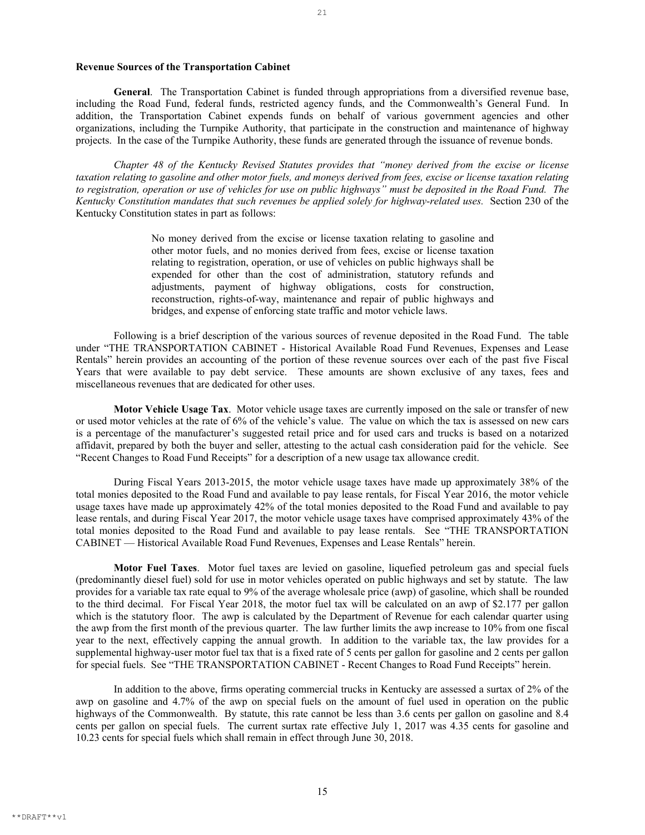### **Revenue Sources of the Transportation Cabinet**

**General**.The Transportation Cabinet is funded through appropriations from a diversified revenue base, including the Road Fund, federal funds, restricted agency funds, and the Commonwealth's General Fund. In addition, the Transportation Cabinet expends funds on behalf of various government agencies and other organizations, including the Turnpike Authority, that participate in the construction and maintenance of highway projects. In the case of the Turnpike Authority, these funds are generated through the issuance of revenue bonds.

*Chapter 48 of the Kentucky Revised Statutes provides that "money derived from the excise or license taxation relating to gasoline and other motor fuels, and moneys derived from fees, excise or license taxation relating to registration, operation or use of vehicles for use on public highways" must be deposited in the Road Fund. The Kentucky Constitution mandates that such revenues be applied solely for highway-related uses.* Section 230 of the Kentucky Constitution states in part as follows:

> No money derived from the excise or license taxation relating to gasoline and other motor fuels, and no monies derived from fees, excise or license taxation relating to registration, operation, or use of vehicles on public highways shall be expended for other than the cost of administration, statutory refunds and adjustments, payment of highway obligations, costs for construction, reconstruction, rights-of-way, maintenance and repair of public highways and bridges, and expense of enforcing state traffic and motor vehicle laws.

Following is a brief description of the various sources of revenue deposited in the Road Fund. The table under "THE TRANSPORTATION CABINET - Historical Available Road Fund Revenues, Expenses and Lease Rentals" herein provides an accounting of the portion of these revenue sources over each of the past five Fiscal Years that were available to pay debt service. These amounts are shown exclusive of any taxes, fees and miscellaneous revenues that are dedicated for other uses.

**Motor Vehicle Usage Tax**. Motor vehicle usage taxes are currently imposed on the sale or transfer of new or used motor vehicles at the rate of 6% of the vehicle's value. The value on which the tax is assessed on new cars is a percentage of the manufacturer's suggested retail price and for used cars and trucks is based on a notarized affidavit, prepared by both the buyer and seller, attesting to the actual cash consideration paid for the vehicle. See "Recent Changes to Road Fund Receipts" for a description of a new usage tax allowance credit.

During Fiscal Years 2013-2015, the motor vehicle usage taxes have made up approximately 38% of the total monies deposited to the Road Fund and available to pay lease rentals, for Fiscal Year 2016, the motor vehicle usage taxes have made up approximately 42% of the total monies deposited to the Road Fund and available to pay lease rentals, and during Fiscal Year 2017, the motor vehicle usage taxes have comprised approximately 43% of the total monies deposited to the Road Fund and available to pay lease rentals. See "THE TRANSPORTATION CABINET — Historical Available Road Fund Revenues, Expenses and Lease Rentals" herein.

**Motor Fuel Taxes**. Motor fuel taxes are levied on gasoline, liquefied petroleum gas and special fuels (predominantly diesel fuel) sold for use in motor vehicles operated on public highways and set by statute. The law provides for a variable tax rate equal to 9% of the average wholesale price (awp) of gasoline, which shall be rounded to the third decimal. For Fiscal Year 2018, the motor fuel tax will be calculated on an awp of \$2.177 per gallon which is the statutory floor. The awp is calculated by the Department of Revenue for each calendar quarter using the awp from the first month of the previous quarter. The law further limits the awp increase to 10% from one fiscal year to the next, effectively capping the annual growth. In addition to the variable tax, the law provides for a supplemental highway-user motor fuel tax that is a fixed rate of 5 cents per gallon for gasoline and 2 cents per gallon for special fuels. See "THE TRANSPORTATION CABINET - Recent Changes to Road Fund Receipts" herein.

In addition to the above, firms operating commercial trucks in Kentucky are assessed a surtax of 2% of the awp on gasoline and 4.7% of the awp on special fuels on the amount of fuel used in operation on the public highways of the Commonwealth. By statute, this rate cannot be less than 3.6 cents per gallon on gasoline and 8.4 cents per gallon on special fuels. The current surtax rate effective July 1, 2017 was 4.35 cents for gasoline and 10.23 cents for special fuels which shall remain in effect through June 30, 2018.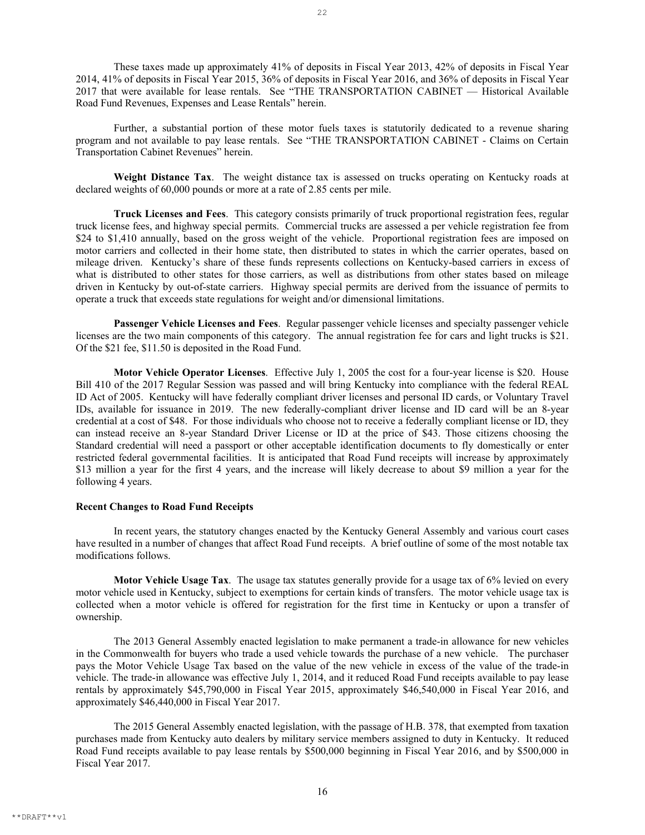These taxes made up approximately 41% of deposits in Fiscal Year 2013, 42% of deposits in Fiscal Year 2014, 41% of deposits in Fiscal Year 2015, 36% of deposits in Fiscal Year 2016, and 36% of deposits in Fiscal Year 2017 that were available for lease rentals. See "THE TRANSPORTATION CABINET — Historical Available Road Fund Revenues, Expenses and Lease Rentals" herein.

Further, a substantial portion of these motor fuels taxes is statutorily dedicated to a revenue sharing program and not available to pay lease rentals. See "THE TRANSPORTATION CABINET - Claims on Certain Transportation Cabinet Revenues" herein.

**Weight Distance Tax**. The weight distance tax is assessed on trucks operating on Kentucky roads at declared weights of 60,000 pounds or more at a rate of 2.85 cents per mile.

**Truck Licenses and Fees**. This category consists primarily of truck proportional registration fees, regular truck license fees, and highway special permits. Commercial trucks are assessed a per vehicle registration fee from \$24 to \$1,410 annually, based on the gross weight of the vehicle. Proportional registration fees are imposed on motor carriers and collected in their home state, then distributed to states in which the carrier operates, based on mileage driven. Kentucky's share of these funds represents collections on Kentucky-based carriers in excess of what is distributed to other states for those carriers, as well as distributions from other states based on mileage driven in Kentucky by out-of-state carriers. Highway special permits are derived from the issuance of permits to operate a truck that exceeds state regulations for weight and/or dimensional limitations.

**Passenger Vehicle Licenses and Fees**.Regular passenger vehicle licenses and specialty passenger vehicle licenses are the two main components of this category. The annual registration fee for cars and light trucks is \$21. Of the \$21 fee, \$11.50 is deposited in the Road Fund.

**Motor Vehicle Operator Licenses**. Effective July 1, 2005 the cost for a four-year license is \$20. House Bill 410 of the 2017 Regular Session was passed and will bring Kentucky into compliance with the federal REAL ID Act of 2005. Kentucky will have federally compliant driver licenses and personal ID cards, or Voluntary Travel IDs, available for issuance in 2019. The new federally-compliant driver license and ID card will be an 8-year credential at a cost of \$48. For those individuals who choose not to receive a federally compliant license or ID, they can instead receive an 8-year Standard Driver License or ID at the price of \$43. Those citizens choosing the Standard credential will need a passport or other acceptable identification documents to fly domestically or enter restricted federal governmental facilities. It is anticipated that Road Fund receipts will increase by approximately \$13 million a year for the first 4 years, and the increase will likely decrease to about \$9 million a year for the following 4 years.

#### **Recent Changes to Road Fund Receipts**

In recent years, the statutory changes enacted by the Kentucky General Assembly and various court cases have resulted in a number of changes that affect Road Fund receipts. A brief outline of some of the most notable tax modifications follows.

**Motor Vehicle Usage Tax**. The usage tax statutes generally provide for a usage tax of 6% levied on every motor vehicle used in Kentucky, subject to exemptions for certain kinds of transfers. The motor vehicle usage tax is collected when a motor vehicle is offered for registration for the first time in Kentucky or upon a transfer of ownership.

The 2013 General Assembly enacted legislation to make permanent a trade-in allowance for new vehicles in the Commonwealth for buyers who trade a used vehicle towards the purchase of a new vehicle. The purchaser pays the Motor Vehicle Usage Tax based on the value of the new vehicle in excess of the value of the trade-in vehicle. The trade-in allowance was effective July 1, 2014, and it reduced Road Fund receipts available to pay lease rentals by approximately \$45,790,000 in Fiscal Year 2015, approximately \$46,540,000 in Fiscal Year 2016, and approximately \$46,440,000 in Fiscal Year 2017.

The 2015 General Assembly enacted legislation, with the passage of H.B. 378, that exempted from taxation purchases made from Kentucky auto dealers by military service members assigned to duty in Kentucky. It reduced Road Fund receipts available to pay lease rentals by \$500,000 beginning in Fiscal Year 2016, and by \$500,000 in Fiscal Year 2017.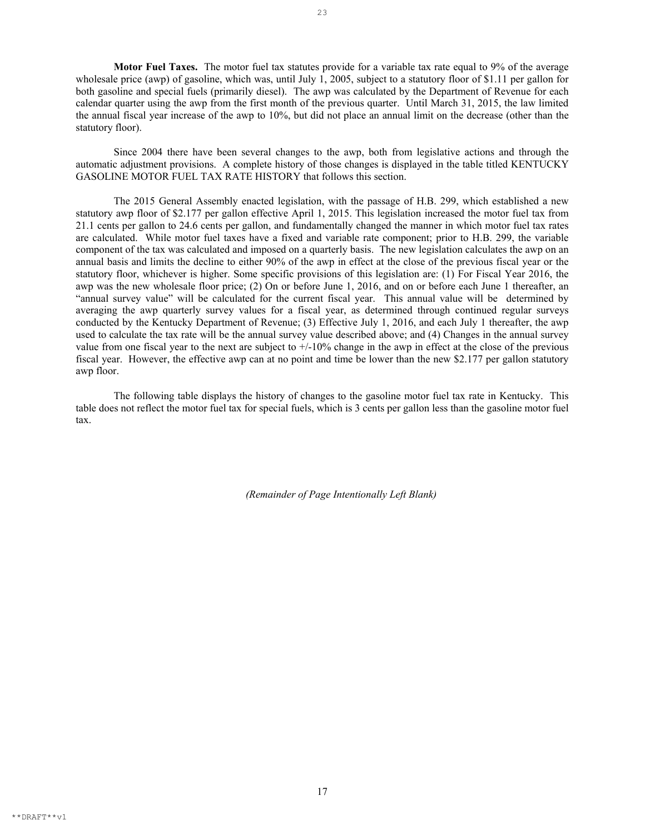**Motor Fuel Taxes.** The motor fuel tax statutes provide for a variable tax rate equal to 9% of the average wholesale price (awp) of gasoline, which was, until July 1, 2005, subject to a statutory floor of \$1.11 per gallon for both gasoline and special fuels (primarily diesel). The awp was calculated by the Department of Revenue for each calendar quarter using the awp from the first month of the previous quarter. Until March 31, 2015, the law limited the annual fiscal year increase of the awp to 10%, but did not place an annual limit on the decrease (other than the statutory floor).

Since 2004 there have been several changes to the awp, both from legislative actions and through the automatic adjustment provisions. A complete history of those changes is displayed in the table titled KENTUCKY GASOLINE MOTOR FUEL TAX RATE HISTORY that follows this section.

The 2015 General Assembly enacted legislation, with the passage of H.B. 299, which established a new statutory awp floor of \$2.177 per gallon effective April 1, 2015. This legislation increased the motor fuel tax from 21.1 cents per gallon to 24.6 cents per gallon, and fundamentally changed the manner in which motor fuel tax rates are calculated. While motor fuel taxes have a fixed and variable rate component; prior to H.B. 299, the variable component of the tax was calculated and imposed on a quarterly basis. The new legislation calculates the awp on an annual basis and limits the decline to either 90% of the awp in effect at the close of the previous fiscal year or the statutory floor, whichever is higher. Some specific provisions of this legislation are: (1) For Fiscal Year 2016, the awp was the new wholesale floor price; (2) On or before June 1, 2016, and on or before each June 1 thereafter, an "annual survey value" will be calculated for the current fiscal year. This annual value will be determined by averaging the awp quarterly survey values for a fiscal year, as determined through continued regular surveys conducted by the Kentucky Department of Revenue; (3) Effective July 1, 2016, and each July 1 thereafter, the awp used to calculate the tax rate will be the annual survey value described above; and (4) Changes in the annual survey value from one fiscal year to the next are subject to  $+/-10\%$  change in the awp in effect at the close of the previous fiscal year. However, the effective awp can at no point and time be lower than the new \$2.177 per gallon statutory awp floor.

The following table displays the history of changes to the gasoline motor fuel tax rate in Kentucky. This table does not reflect the motor fuel tax for special fuels, which is 3 cents per gallon less than the gasoline motor fuel tax.

*(Remainder of Page Intentionally Left Blank)*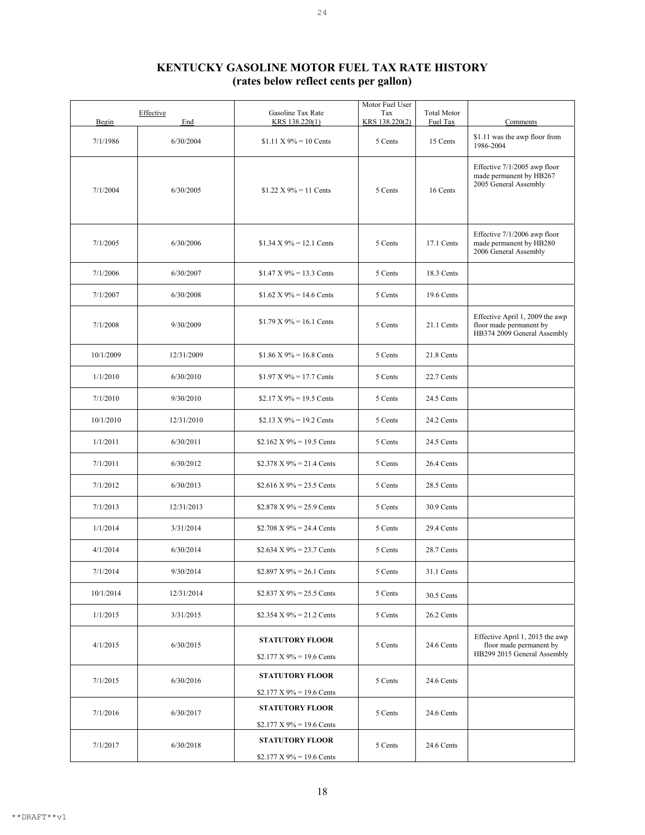# **KENTUCKY GASOLINE MOTOR FUEL TAX RATE HISTORY (rates below reflect cents per gallon)**

|           |                  |                                                        | Motor Fuel User       |                                |                                                                                           |
|-----------|------------------|--------------------------------------------------------|-----------------------|--------------------------------|-------------------------------------------------------------------------------------------|
| Begin     | Effective<br>End | Gasoline Tax Rate<br>KRS 138.220(1)                    | Tax<br>KRS 138.220(2) | <b>Total Motor</b><br>Fuel Tax | Comments                                                                                  |
| 7/1/1986  | 6/30/2004        | \$1.11 X $9\% = 10$ Cents                              | 5 Cents               | 15 Cents                       | \$1.11 was the awp floor from<br>1986-2004                                                |
| 7/1/2004  | 6/30/2005        | \$1.22 X $9\% = 11$ Cents                              | 5 Cents               | 16 Cents                       | Effective 7/1/2005 awp floor<br>made permanent by HB267<br>2005 General Assembly          |
| 7/1/2005  | 6/30/2006        | \$1.34 X $9\% = 12.1$ Cents                            | 5 Cents               | 17.1 Cents                     | Effective 7/1/2006 awp floor<br>made permanent by HB280<br>2006 General Assembly          |
| 7/1/2006  | 6/30/2007        | $$1.47 \text{ X } 9\% = 13.3 \text{ Cents}$            | 5 Cents               | 18.3 Cents                     |                                                                                           |
| 7/1/2007  | 6/30/2008        | \$1.62 X $9\% = 14.6$ Cents                            | 5 Cents               | 19.6 Cents                     |                                                                                           |
| 7/1/2008  | 9/30/2009        | \$1.79 X $9\% = 16.1$ Cents                            | 5 Cents               | 21.1 Cents                     | Effective April 1, 2009 the awp<br>floor made permanent by<br>HB374 2009 General Assembly |
| 10/1/2009 | 12/31/2009       | \$1.86 X $9\% = 16.8$ Cents                            | 5 Cents               | 21.8 Cents                     |                                                                                           |
| 1/1/2010  | 6/30/2010        | $$1.97 \text{ X } 9\% = 17.7 \text{ cents}$            | 5 Cents               | 22.7 Cents                     |                                                                                           |
| 7/1/2010  | 9/30/2010        | \$2.17 $X$ 9% = 19.5 Cents                             | 5 Cents               | 24.5 Cents                     |                                                                                           |
| 10/1/2010 | 12/31/2010       | \$2.13 X $9\% = 19.2$ Cents                            | 5 Cents               | 24.2 Cents                     |                                                                                           |
| 1/1/2011  | 6/30/2011        | \$2.162 X $9\% = 19.5$ Cents                           | 5 Cents               | 24.5 Cents                     |                                                                                           |
| 7/1/2011  | 6/30/2012        | \$2.378 X $9\% = 21.4$ Cents                           | 5 Cents               | 26.4 Cents                     |                                                                                           |
| 7/1/2012  | 6/30/2013        | \$2.616 X $9\% = 23.5$ Cents                           | 5 Cents               | 28.5 Cents                     |                                                                                           |
| 7/1/2013  | 12/31/2013       | \$2.878 X $9\% = 25.9$ Cents                           | 5 Cents               | 30.9 Cents                     |                                                                                           |
| 1/1/2014  | 3/31/2014        | \$2.708 X $9\% = 24.4$ Cents                           | 5 Cents               | 29.4 Cents                     |                                                                                           |
| 4/1/2014  | 6/30/2014        | \$2.634 X $9\% = 23.7$ Cents                           | 5 Cents               | 28.7 Cents                     |                                                                                           |
| 7/1/2014  | 9/30/2014        | \$2.897 X $9\% = 26.1$ Cents                           | 5 Cents               | 31.1 Cents                     |                                                                                           |
| 10/1/2014 | 12/31/2014       | \$2.837 X $9\% = 25.5$ Cents                           | 5 Cents               | 30.5 Cents                     |                                                                                           |
| 1/1/2015  | 3/31/2015        | \$2.354 X $9\% = 21.2$ Cents                           | 5 Cents               | 26.2 Cents                     |                                                                                           |
| 4/1/2015  | 6/30/2015        | <b>STATUTORY FLOOR</b><br>\$2.177 X $9\% = 19.6$ Cents | 5 Cents               | 24.6 Cents                     | Effective April 1, 2015 the awp<br>floor made permanent by<br>HB299 2015 General Assembly |
| 7/1/2015  | 6/30/2016        | <b>STATUTORY FLOOR</b><br>\$2.177 X $9\% = 19.6$ Cents | 5 Cents               | 24.6 Cents                     |                                                                                           |
| 7/1/2016  | 6/30/2017        | <b>STATUTORY FLOOR</b><br>\$2.177 X $9\% = 19.6$ Cents | 5 Cents               | 24.6 Cents                     |                                                                                           |
| 7/1/2017  | 6/30/2018        | <b>STATUTORY FLOOR</b><br>\$2.177 X $9\% = 19.6$ Cents | 5 Cents               | 24.6 Cents                     |                                                                                           |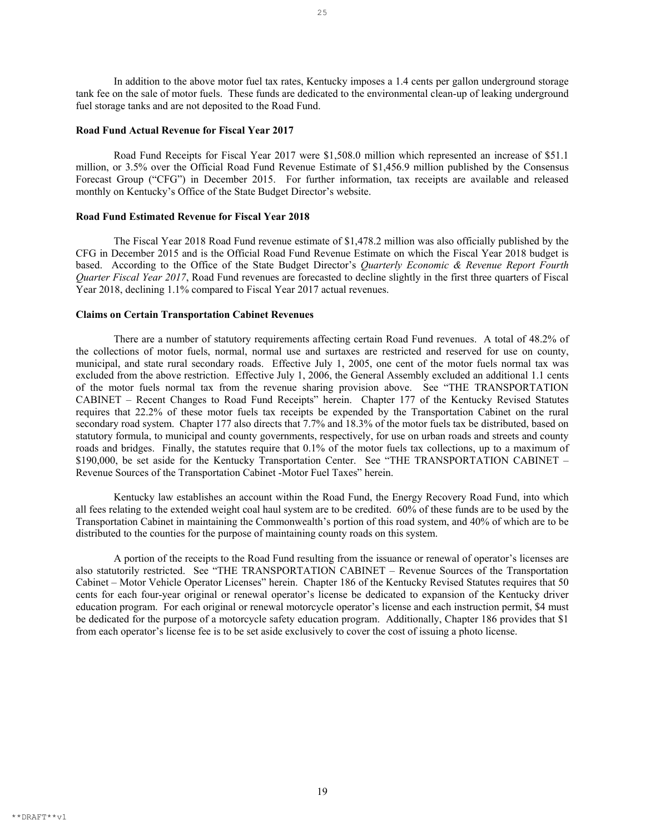In addition to the above motor fuel tax rates, Kentucky imposes a 1.4 cents per gallon underground storage tank fee on the sale of motor fuels. These funds are dedicated to the environmental clean-up of leaking underground fuel storage tanks and are not deposited to the Road Fund.

#### **Road Fund Actual Revenue for Fiscal Year 2017**

 Road Fund Receipts for Fiscal Year 2017 were \$1,508.0 million which represented an increase of \$51.1 million, or 3.5% over the Official Road Fund Revenue Estimate of \$1,456.9 million published by the Consensus Forecast Group ("CFG") in December 2015. For further information, tax receipts are available and released monthly on Kentucky's Office of the State Budget Director's website.

### **Road Fund Estimated Revenue for Fiscal Year 2018**

The Fiscal Year 2018 Road Fund revenue estimate of \$1,478.2 million was also officially published by the CFG in December 2015 and is the Official Road Fund Revenue Estimate on which the Fiscal Year 2018 budget is based. According to the Office of the State Budget Director's *Quarterly Economic & Revenue Report Fourth Quarter Fiscal Year 2017*, Road Fund revenues are forecasted to decline slightly in the first three quarters of Fiscal Year 2018, declining 1.1% compared to Fiscal Year 2017 actual revenues.

#### **Claims on Certain Transportation Cabinet Revenues**

There are a number of statutory requirements affecting certain Road Fund revenues. A total of 48.2% of the collections of motor fuels, normal, normal use and surtaxes are restricted and reserved for use on county, municipal, and state rural secondary roads. Effective July 1, 2005, one cent of the motor fuels normal tax was excluded from the above restriction. Effective July 1, 2006, the General Assembly excluded an additional 1.1 cents of the motor fuels normal tax from the revenue sharing provision above. See "THE TRANSPORTATION CABINET – Recent Changes to Road Fund Receipts" herein. Chapter 177 of the Kentucky Revised Statutes requires that 22.2% of these motor fuels tax receipts be expended by the Transportation Cabinet on the rural secondary road system. Chapter 177 also directs that 7.7% and 18.3% of the motor fuels tax be distributed, based on statutory formula, to municipal and county governments, respectively, for use on urban roads and streets and county roads and bridges. Finally, the statutes require that 0.1% of the motor fuels tax collections, up to a maximum of \$190,000, be set aside for the Kentucky Transportation Center. See "THE TRANSPORTATION CABINET – Revenue Sources of the Transportation Cabinet -Motor Fuel Taxes" herein.

Kentucky law establishes an account within the Road Fund, the Energy Recovery Road Fund, into which all fees relating to the extended weight coal haul system are to be credited. 60% of these funds are to be used by the Transportation Cabinet in maintaining the Commonwealth's portion of this road system, and 40% of which are to be distributed to the counties for the purpose of maintaining county roads on this system.

A portion of the receipts to the Road Fund resulting from the issuance or renewal of operator's licenses are also statutorily restricted. See "THE TRANSPORTATION CABINET – Revenue Sources of the Transportation Cabinet – Motor Vehicle Operator Licenses" herein. Chapter 186 of the Kentucky Revised Statutes requires that 50 cents for each four-year original or renewal operator's license be dedicated to expansion of the Kentucky driver education program. For each original or renewal motorcycle operator's license and each instruction permit, \$4 must be dedicated for the purpose of a motorcycle safety education program. Additionally, Chapter 186 provides that \$1 from each operator's license fee is to be set aside exclusively to cover the cost of issuing a photo license.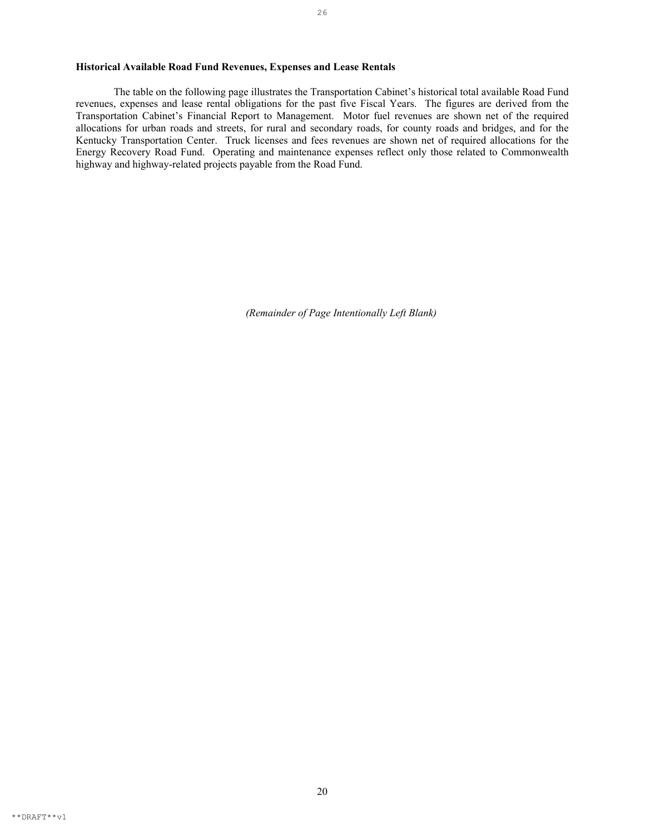## **Historical Available Road Fund Revenues, Expenses and Lease Rentals**

The table on the following page illustrates the Transportation Cabinet's historical total available Road Fund revenues, expenses and lease rental obligations for the past five Fiscal Years. The figures are derived from the Transportation Cabinet's Financial Report to Management. Motor fuel revenues are shown net of the required allocations for urban roads and streets, for rural and secondary roads, for county roads and bridges, and for the Kentucky Transportation Center. Truck licenses and fees revenues are shown net of required allocations for the Energy Recovery Road Fund. Operating and maintenance expenses reflect only those related to Commonwealth highway and highway-related projects payable from the Road Fund.

*(Remainder of Page Intentionally Left Blank)*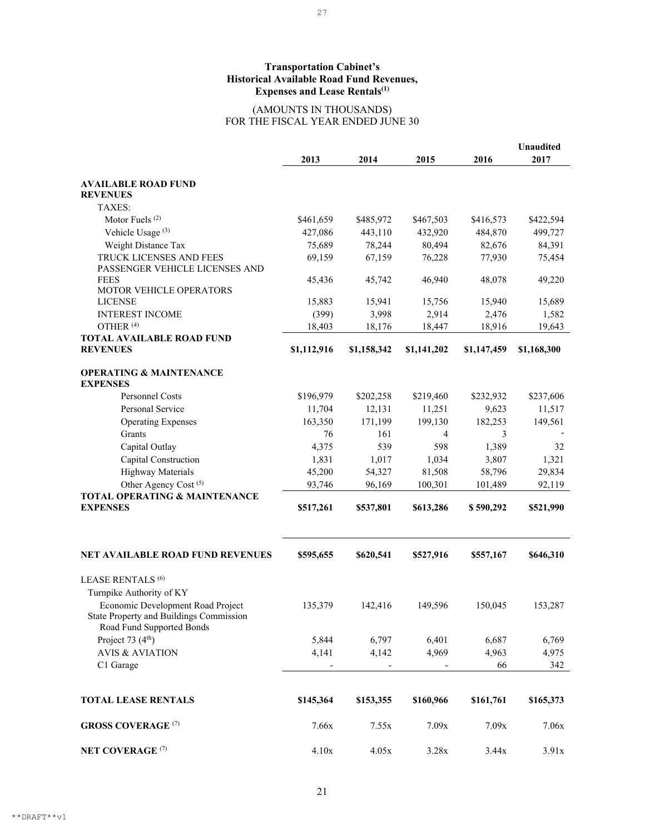# **Transportation Cabinet's Historical Available Road Fund Revenues, Expenses and Lease Rentals(1)**

## (AMOUNTS IN THOUSANDS) FOR THE FISCAL YEAR ENDED JUNE 30

|                                               |             |             |             |             | <b>Unaudited</b> |
|-----------------------------------------------|-------------|-------------|-------------|-------------|------------------|
|                                               | 2013        | 2014        | 2015        | 2016        | 2017             |
|                                               |             |             |             |             |                  |
| <b>AVAILABLE ROAD FUND</b><br><b>REVENUES</b> |             |             |             |             |                  |
| TAXES:                                        |             |             |             |             |                  |
| Motor Fuels <sup>(2)</sup>                    | \$461,659   | \$485,972   | \$467,503   | \$416,573   | \$422,594        |
| Vehicle Usage <sup>(3)</sup>                  | 427,086     | 443,110     | 432,920     | 484,870     | 499,727          |
| Weight Distance Tax                           | 75,689      | 78,244      | 80,494      | 82,676      | 84,391           |
| TRUCK LICENSES AND FEES                       | 69,159      | 67,159      | 76,228      | 77,930      | 75,454           |
| PASSENGER VEHICLE LICENSES AND                |             |             |             |             |                  |
| <b>FEES</b>                                   | 45,436      | 45,742      | 46,940      | 48,078      | 49,220           |
| <b>MOTOR VEHICLE OPERATORS</b>                |             |             |             |             |                  |
| <b>LICENSE</b>                                | 15,883      | 15,941      | 15,756      | 15,940      | 15,689           |
| <b>INTEREST INCOME</b>                        | (399)       | 3,998       | 2,914       | 2,476       | 1,582            |
| OTHER <sup>(4)</sup>                          | 18,403      | 18,176      | 18,447      | 18,916      | 19,643           |
| <b>TOTAL AVAILABLE ROAD FUND</b>              |             |             |             |             |                  |
| <b>REVENUES</b>                               | \$1,112,916 | \$1,158,342 | \$1,141,202 | \$1,147,459 | \$1,168,300      |
| <b>OPERATING &amp; MAINTENANCE</b>            |             |             |             |             |                  |
| <b>EXPENSES</b>                               |             |             |             |             |                  |
| Personnel Costs                               | \$196,979   | \$202,258   | \$219,460   | \$232,932   | \$237,606        |
| Personal Service                              | 11,704      | 12,131      | 11,251      | 9,623       | 11,517           |
| <b>Operating Expenses</b>                     | 163,350     | 171,199     | 199,130     | 182,253     | 149,561          |
| Grants                                        | 76          | 161         | 4           | 3           |                  |
| Capital Outlay                                | 4,375       | 539         | 598         | 1,389       | 32               |
| Capital Construction                          | 1,831       | 1,017       | 1,034       | 3,807       | 1,321            |
| <b>Highway Materials</b>                      | 45,200      | 54,327      | 81,508      | 58,796      | 29,834           |
| Other Agency Cost <sup>(5)</sup>              | 93,746      | 96,169      | 100,301     | 101,489     | 92,119           |
| TOTAL OPERATING & MAINTENANCE                 |             |             |             |             |                  |
| <b>EXPENSES</b>                               | \$517,261   | \$537,801   | \$613,286   | \$590,292   | \$521,990        |
|                                               |             |             |             |             |                  |
| <b>NET AVAILABLE ROAD FUND REVENUES</b>       | \$595,655   | \$620,541   | \$527,916   | \$557,167   | \$646,310        |
| <b>LEASE RENTALS</b> <sup>(6)</sup>           |             |             |             |             |                  |
| Turnpike Authority of KY                      |             |             |             |             |                  |
| Economic Development Road Project             | 135,379     | 142,416     | 149,596     | 150,045     | 153,287          |
| State Property and Buildings Commission       |             |             |             |             |                  |
| Road Fund Supported Bonds                     |             |             |             |             |                  |
| Project 73 (4 <sup>th</sup> )                 | 5,844       | 6,797       | 6,401       | 6,687       | 6,769            |
| <b>AVIS &amp; AVIATION</b>                    | 4,141       | 4,142       | 4,969       | 4,963       | 4,975            |
| C1 Garage                                     |             |             |             | 66          | 342              |
|                                               |             |             |             |             |                  |
| <b>TOTAL LEASE RENTALS</b>                    | \$145,364   | \$153,355   | \$160,966   | \$161,761   | \$165,373        |
| <b>GROSS COVERAGE (7)</b>                     | 7.66x       | 7.55x       | 7.09x       | 7.09x       | 7.06x            |
| NET COVERAGE $^{(7)}$                         | 4.10x       | 4.05x       | 3.28x       | 3.44x       | 3.91x            |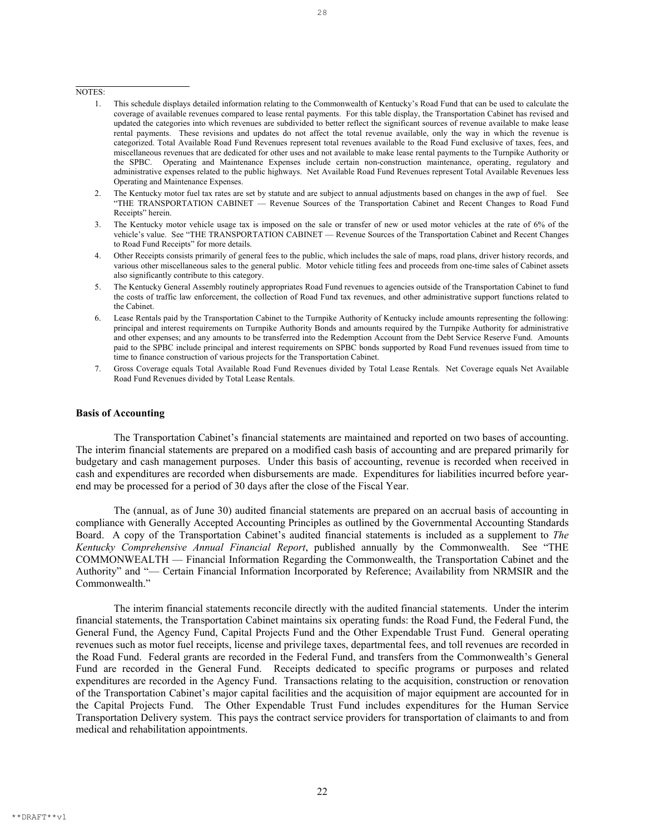#### NOTES:

l

- 1. This schedule displays detailed information relating to the Commonwealth of Kentucky's Road Fund that can be used to calculate the coverage of available revenues compared to lease rental payments. For this table display, the Transportation Cabinet has revised and updated the categories into which revenues are subdivided to better reflect the significant sources of revenue available to make lease rental payments. These revisions and updates do not affect the total revenue available, only the way in which the revenue is categorized. Total Available Road Fund Revenues represent total revenues available to the Road Fund exclusive of taxes, fees, and miscellaneous revenues that are dedicated for other uses and not available to make lease rental payments to the Turnpike Authority or the SPBC. Operating and Maintenance Expenses include certain non-construction maintenance, operating, regulatory and administrative expenses related to the public highways. Net Available Road Fund Revenues represent Total Available Revenues less Operating and Maintenance Expenses.
- 2. The Kentucky motor fuel tax rates are set by statute and are subject to annual adjustments based on changes in the awp of fuel. See "THE TRANSPORTATION CABINET — Revenue Sources of the Transportation Cabinet and Recent Changes to Road Fund Receipts" herein.
- 3. The Kentucky motor vehicle usage tax is imposed on the sale or transfer of new or used motor vehicles at the rate of 6% of the vehicle's value. See "THE TRANSPORTATION CABINET — Revenue Sources of the Transportation Cabinet and Recent Changes to Road Fund Receipts" for more details.
- 4. Other Receipts consists primarily of general fees to the public, which includes the sale of maps, road plans, driver history records, and various other miscellaneous sales to the general public. Motor vehicle titling fees and proceeds from one-time sales of Cabinet assets also significantly contribute to this category.
- 5. The Kentucky General Assembly routinely appropriates Road Fund revenues to agencies outside of the Transportation Cabinet to fund the costs of traffic law enforcement, the collection of Road Fund tax revenues, and other administrative support functions related to the Cabinet.
- 6. Lease Rentals paid by the Transportation Cabinet to the Turnpike Authority of Kentucky include amounts representing the following: principal and interest requirements on Turnpike Authority Bonds and amounts required by the Turnpike Authority for administrative and other expenses; and any amounts to be transferred into the Redemption Account from the Debt Service Reserve Fund. Amounts paid to the SPBC include principal and interest requirements on SPBC bonds supported by Road Fund revenues issued from time to time to finance construction of various projects for the Transportation Cabinet.
- 7. Gross Coverage equals Total Available Road Fund Revenues divided by Total Lease Rentals. Net Coverage equals Net Available Road Fund Revenues divided by Total Lease Rentals.

#### **Basis of Accounting**

The Transportation Cabinet's financial statements are maintained and reported on two bases of accounting. The interim financial statements are prepared on a modified cash basis of accounting and are prepared primarily for budgetary and cash management purposes. Under this basis of accounting, revenue is recorded when received in cash and expenditures are recorded when disbursements are made. Expenditures for liabilities incurred before yearend may be processed for a period of 30 days after the close of the Fiscal Year.

The (annual, as of June 30) audited financial statements are prepared on an accrual basis of accounting in compliance with Generally Accepted Accounting Principles as outlined by the Governmental Accounting Standards Board. A copy of the Transportation Cabinet's audited financial statements is included as a supplement to *The Kentucky Comprehensive Annual Financial Report*, published annually by the Commonwealth. See "THE COMMONWEALTH — Financial Information Regarding the Commonwealth, the Transportation Cabinet and the Authority" and "— Certain Financial Information Incorporated by Reference; Availability from NRMSIR and the Commonwealth."

The interim financial statements reconcile directly with the audited financial statements. Under the interim financial statements, the Transportation Cabinet maintains six operating funds: the Road Fund, the Federal Fund, the General Fund, the Agency Fund, Capital Projects Fund and the Other Expendable Trust Fund. General operating revenues such as motor fuel receipts, license and privilege taxes, departmental fees, and toll revenues are recorded in the Road Fund. Federal grants are recorded in the Federal Fund, and transfers from the Commonwealth's General Fund are recorded in the General Fund. Receipts dedicated to specific programs or purposes and related expenditures are recorded in the Agency Fund. Transactions relating to the acquisition, construction or renovation of the Transportation Cabinet's major capital facilities and the acquisition of major equipment are accounted for in the Capital Projects Fund. The Other Expendable Trust Fund includes expenditures for the Human Service Transportation Delivery system. This pays the contract service providers for transportation of claimants to and from medical and rehabilitation appointments.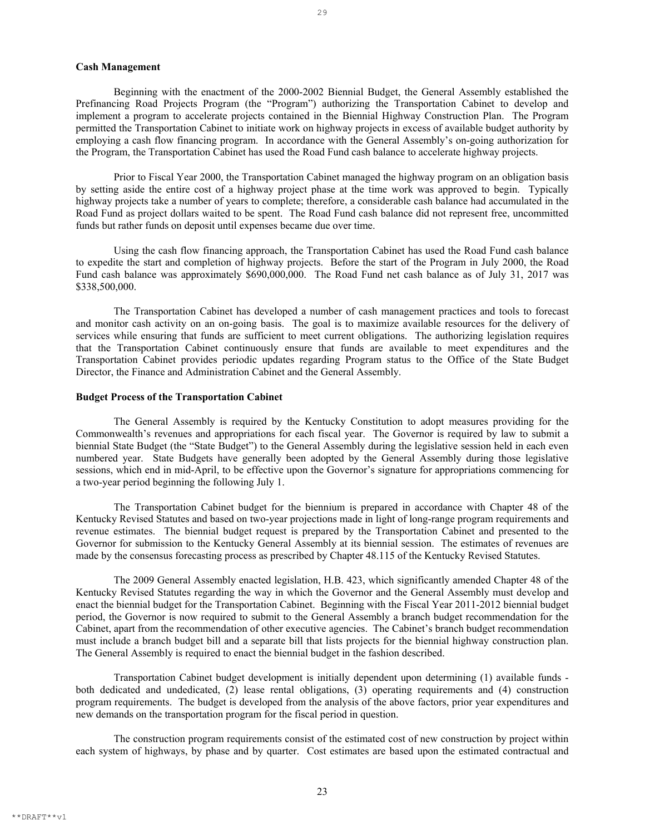#### **Cash Management**

Beginning with the enactment of the 2000-2002 Biennial Budget, the General Assembly established the Prefinancing Road Projects Program (the "Program") authorizing the Transportation Cabinet to develop and implement a program to accelerate projects contained in the Biennial Highway Construction Plan. The Program permitted the Transportation Cabinet to initiate work on highway projects in excess of available budget authority by employing a cash flow financing program. In accordance with the General Assembly's on-going authorization for the Program, the Transportation Cabinet has used the Road Fund cash balance to accelerate highway projects.

Prior to Fiscal Year 2000, the Transportation Cabinet managed the highway program on an obligation basis by setting aside the entire cost of a highway project phase at the time work was approved to begin. Typically highway projects take a number of years to complete; therefore, a considerable cash balance had accumulated in the Road Fund as project dollars waited to be spent. The Road Fund cash balance did not represent free, uncommitted funds but rather funds on deposit until expenses became due over time.

Using the cash flow financing approach, the Transportation Cabinet has used the Road Fund cash balance to expedite the start and completion of highway projects. Before the start of the Program in July 2000, the Road Fund cash balance was approximately \$690,000,000. The Road Fund net cash balance as of July 31, 2017 was \$338,500,000.

The Transportation Cabinet has developed a number of cash management practices and tools to forecast and monitor cash activity on an on-going basis. The goal is to maximize available resources for the delivery of services while ensuring that funds are sufficient to meet current obligations. The authorizing legislation requires that the Transportation Cabinet continuously ensure that funds are available to meet expenditures and the Transportation Cabinet provides periodic updates regarding Program status to the Office of the State Budget Director, the Finance and Administration Cabinet and the General Assembly.

## **Budget Process of the Transportation Cabinet**

The General Assembly is required by the Kentucky Constitution to adopt measures providing for the Commonwealth's revenues and appropriations for each fiscal year. The Governor is required by law to submit a biennial State Budget (the "State Budget") to the General Assembly during the legislative session held in each even numbered year. State Budgets have generally been adopted by the General Assembly during those legislative sessions, which end in mid-April, to be effective upon the Governor's signature for appropriations commencing for a two-year period beginning the following July 1.

The Transportation Cabinet budget for the biennium is prepared in accordance with Chapter 48 of the Kentucky Revised Statutes and based on two-year projections made in light of long-range program requirements and revenue estimates. The biennial budget request is prepared by the Transportation Cabinet and presented to the Governor for submission to the Kentucky General Assembly at its biennial session. The estimates of revenues are made by the consensus forecasting process as prescribed by Chapter 48.115 of the Kentucky Revised Statutes.

The 2009 General Assembly enacted legislation, H.B. 423, which significantly amended Chapter 48 of the Kentucky Revised Statutes regarding the way in which the Governor and the General Assembly must develop and enact the biennial budget for the Transportation Cabinet. Beginning with the Fiscal Year 2011-2012 biennial budget period, the Governor is now required to submit to the General Assembly a branch budget recommendation for the Cabinet, apart from the recommendation of other executive agencies. The Cabinet's branch budget recommendation must include a branch budget bill and a separate bill that lists projects for the biennial highway construction plan. The General Assembly is required to enact the biennial budget in the fashion described.

Transportation Cabinet budget development is initially dependent upon determining (1) available funds both dedicated and undedicated, (2) lease rental obligations, (3) operating requirements and (4) construction program requirements. The budget is developed from the analysis of the above factors, prior year expenditures and new demands on the transportation program for the fiscal period in question.

The construction program requirements consist of the estimated cost of new construction by project within each system of highways, by phase and by quarter. Cost estimates are based upon the estimated contractual and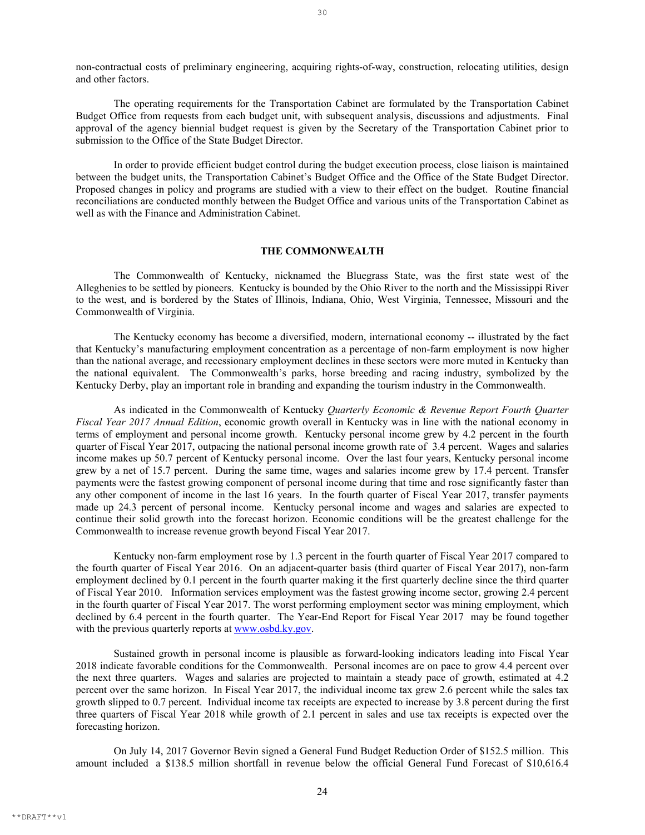non-contractual costs of preliminary engineering, acquiring rights-of-way, construction, relocating utilities, design and other factors.

The operating requirements for the Transportation Cabinet are formulated by the Transportation Cabinet Budget Office from requests from each budget unit, with subsequent analysis, discussions and adjustments. Final approval of the agency biennial budget request is given by the Secretary of the Transportation Cabinet prior to submission to the Office of the State Budget Director.

In order to provide efficient budget control during the budget execution process, close liaison is maintained between the budget units, the Transportation Cabinet's Budget Office and the Office of the State Budget Director. Proposed changes in policy and programs are studied with a view to their effect on the budget. Routine financial reconciliations are conducted monthly between the Budget Office and various units of the Transportation Cabinet as well as with the Finance and Administration Cabinet.

## **THE COMMONWEALTH**

The Commonwealth of Kentucky, nicknamed the Bluegrass State, was the first state west of the Alleghenies to be settled by pioneers. Kentucky is bounded by the Ohio River to the north and the Mississippi River to the west, and is bordered by the States of Illinois, Indiana, Ohio, West Virginia, Tennessee, Missouri and the Commonwealth of Virginia.

The Kentucky economy has become a diversified, modern, international economy -- illustrated by the fact that Kentucky's manufacturing employment concentration as a percentage of non-farm employment is now higher than the national average, and recessionary employment declines in these sectors were more muted in Kentucky than the national equivalent. The Commonwealth's parks, horse breeding and racing industry, symbolized by the Kentucky Derby, play an important role in branding and expanding the tourism industry in the Commonwealth.

As indicated in the Commonwealth of Kentucky *Quarterly Economic & Revenue Report Fourth Quarter Fiscal Year 2017 Annual Edition*, economic growth overall in Kentucky was in line with the national economy in terms of employment and personal income growth. Kentucky personal income grew by 4.2 percent in the fourth quarter of Fiscal Year 2017, outpacing the national personal income growth rate of 3.4 percent. Wages and salaries income makes up 50.7 percent of Kentucky personal income. Over the last four years, Kentucky personal income grew by a net of 15.7 percent. During the same time, wages and salaries income grew by 17.4 percent. Transfer payments were the fastest growing component of personal income during that time and rose significantly faster than any other component of income in the last 16 years. In the fourth quarter of Fiscal Year 2017, transfer payments made up 24.3 percent of personal income. Kentucky personal income and wages and salaries are expected to continue their solid growth into the forecast horizon. Economic conditions will be the greatest challenge for the Commonwealth to increase revenue growth beyond Fiscal Year 2017.

Kentucky non-farm employment rose by 1.3 percent in the fourth quarter of Fiscal Year 2017 compared to the fourth quarter of Fiscal Year 2016. On an adjacent-quarter basis (third quarter of Fiscal Year 2017), non-farm employment declined by 0.1 percent in the fourth quarter making it the first quarterly decline since the third quarter of Fiscal Year 2010. Information services employment was the fastest growing income sector, growing 2.4 percent in the fourth quarter of Fiscal Year 2017. The worst performing employment sector was mining employment, which declined by 6.4 percent in the fourth quarter. The Year-End Report for Fiscal Year 2017 may be found together with the previous quarterly reports at www.osbd.ky.gov.

Sustained growth in personal income is plausible as forward-looking indicators leading into Fiscal Year 2018 indicate favorable conditions for the Commonwealth. Personal incomes are on pace to grow 4.4 percent over the next three quarters. Wages and salaries are projected to maintain a steady pace of growth, estimated at 4.2 percent over the same horizon. In Fiscal Year 2017, the individual income tax grew 2.6 percent while the sales tax growth slipped to 0.7 percent. Individual income tax receipts are expected to increase by 3.8 percent during the first three quarters of Fiscal Year 2018 while growth of 2.1 percent in sales and use tax receipts is expected over the forecasting horizon.

On July 14, 2017 Governor Bevin signed a General Fund Budget Reduction Order of \$152.5 million. This amount included a \$138.5 million shortfall in revenue below the official General Fund Forecast of \$10,616.4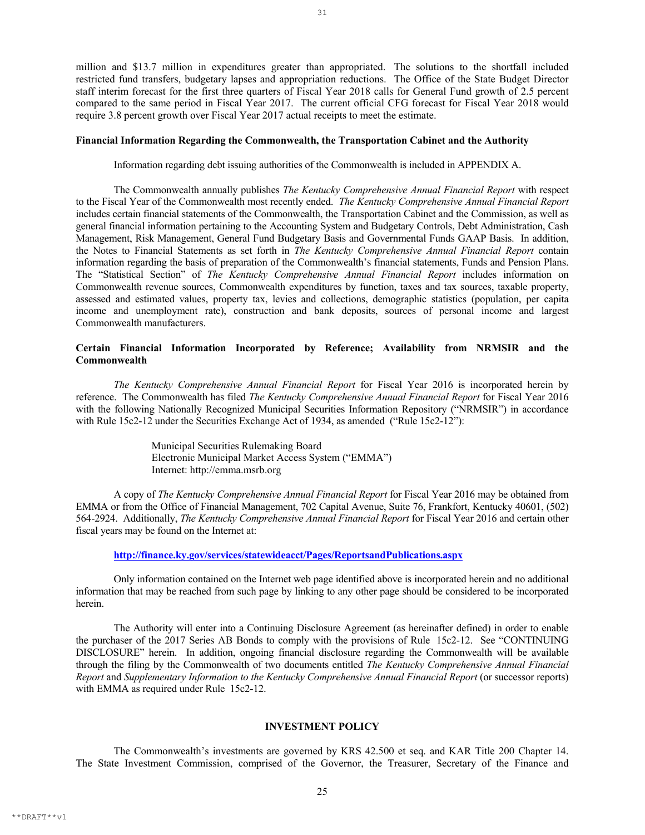million and \$13.7 million in expenditures greater than appropriated. The solutions to the shortfall included restricted fund transfers, budgetary lapses and appropriation reductions. The Office of the State Budget Director staff interim forecast for the first three quarters of Fiscal Year 2018 calls for General Fund growth of 2.5 percent compared to the same period in Fiscal Year 2017. The current official CFG forecast for Fiscal Year 2018 would require 3.8 percent growth over Fiscal Year 2017 actual receipts to meet the estimate.

# **Financial Information Regarding the Commonwealth, the Transportation Cabinet and the Authority**

Information regarding debt issuing authorities of the Commonwealth is included in APPENDIX A.

The Commonwealth annually publishes *The Kentucky Comprehensive Annual Financial Report* with respect to the Fiscal Year of the Commonwealth most recently ended. *The Kentucky Comprehensive Annual Financial Report* includes certain financial statements of the Commonwealth, the Transportation Cabinet and the Commission, as well as general financial information pertaining to the Accounting System and Budgetary Controls, Debt Administration, Cash Management, Risk Management, General Fund Budgetary Basis and Governmental Funds GAAP Basis. In addition, the Notes to Financial Statements as set forth in *The Kentucky Comprehensive Annual Financial Report* contain information regarding the basis of preparation of the Commonwealth's financial statements, Funds and Pension Plans. The "Statistical Section" of *The Kentucky Comprehensive Annual Financial Report* includes information on Commonwealth revenue sources, Commonwealth expenditures by function, taxes and tax sources, taxable property, assessed and estimated values, property tax, levies and collections, demographic statistics (population, per capita income and unemployment rate), construction and bank deposits, sources of personal income and largest Commonwealth manufacturers.

# **Certain Financial Information Incorporated by Reference; Availability from NRMSIR and the Commonwealth**

*The Kentucky Comprehensive Annual Financial Report* for Fiscal Year 2016 is incorporated herein by reference. The Commonwealth has filed *The Kentucky Comprehensive Annual Financial Report* for Fiscal Year 2016 with the following Nationally Recognized Municipal Securities Information Repository ("NRMSIR") in accordance with Rule 15c2-12 under the Securities Exchange Act of 1934, as amended ("Rule 15c2-12"):

> Municipal Securities Rulemaking Board Electronic Municipal Market Access System ("EMMA") Internet: http://emma.msrb.org

A copy of *The Kentucky Comprehensive Annual Financial Report* for Fiscal Year 2016 may be obtained from EMMA or from the Office of Financial Management, 702 Capital Avenue, Suite 76, Frankfort, Kentucky 40601, (502) 564-2924. Additionally, *The Kentucky Comprehensive Annual Financial Report* for Fiscal Year 2016 and certain other fiscal years may be found on the Internet at:

# **http://finance.ky.gov/services/statewideacct/Pages/ReportsandPublications.aspx**

Only information contained on the Internet web page identified above is incorporated herein and no additional information that may be reached from such page by linking to any other page should be considered to be incorporated herein.

The Authority will enter into a Continuing Disclosure Agreement (as hereinafter defined) in order to enable the purchaser of the 2017 Series AB Bonds to comply with the provisions of Rule 15c2-12. See "CONTINUING DISCLOSURE" herein. In addition, ongoing financial disclosure regarding the Commonwealth will be available through the filing by the Commonwealth of two documents entitled *The Kentucky Comprehensive Annual Financial Report* and *Supplementary Information to the Kentucky Comprehensive Annual Financial Report* (or successor reports) with EMMA as required under Rule 15c2-12.

## **INVESTMENT POLICY**

The Commonwealth's investments are governed by KRS 42.500 et seq. and KAR Title 200 Chapter 14. The State Investment Commission, comprised of the Governor, the Treasurer, Secretary of the Finance and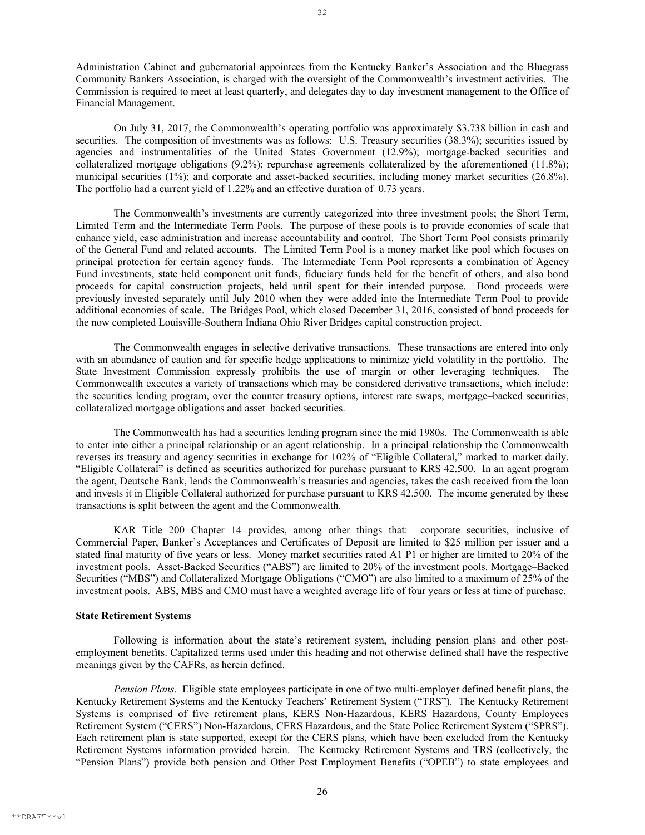Administration Cabinet and gubernatorial appointees from the Kentucky Banker's Association and the Bluegrass Community Bankers Association, is charged with the oversight of the Commonwealth's investment activities. The Commission is required to meet at least quarterly, and delegates day to day investment management to the Office of Financial Management.

On July 31, 2017, the Commonwealth's operating portfolio was approximately \$3.738 billion in cash and securities. The composition of investments was as follows: U.S. Treasury securities (38.3%); securities issued by agencies and instrumentalities of the United States Government (12.9%); mortgage-backed securities and collateralized mortgage obligations (9.2%); repurchase agreements collateralized by the aforementioned (11.8%); municipal securities (1%); and corporate and asset-backed securities, including money market securities (26.8%). The portfolio had a current yield of 1.22% and an effective duration of 0.73 years.

The Commonwealth's investments are currently categorized into three investment pools; the Short Term, Limited Term and the Intermediate Term Pools. The purpose of these pools is to provide economies of scale that enhance yield, ease administration and increase accountability and control. The Short Term Pool consists primarily of the General Fund and related accounts. The Limited Term Pool is a money market like pool which focuses on principal protection for certain agency funds. The Intermediate Term Pool represents a combination of Agency Fund investments, state held component unit funds, fiduciary funds held for the benefit of others, and also bond proceeds for capital construction projects, held until spent for their intended purpose. Bond proceeds were previously invested separately until July 2010 when they were added into the Intermediate Term Pool to provide additional economies of scale. The Bridges Pool, which closed December 31, 2016, consisted of bond proceeds for the now completed Louisville-Southern Indiana Ohio River Bridges capital construction project.

The Commonwealth engages in selective derivative transactions. These transactions are entered into only with an abundance of caution and for specific hedge applications to minimize yield volatility in the portfolio. The State Investment Commission expressly prohibits the use of margin or other leveraging techniques. The Commonwealth executes a variety of transactions which may be considered derivative transactions, which include: the securities lending program, over the counter treasury options, interest rate swaps, mortgage–backed securities, collateralized mortgage obligations and asset–backed securities.

The Commonwealth has had a securities lending program since the mid 1980s. The Commonwealth is able to enter into either a principal relationship or an agent relationship. In a principal relationship the Commonwealth reverses its treasury and agency securities in exchange for 102% of "Eligible Collateral," marked to market daily. "Eligible Collateral" is defined as securities authorized for purchase pursuant to KRS 42.500. In an agent program the agent, Deutsche Bank, lends the Commonwealth's treasuries and agencies, takes the cash received from the loan and invests it in Eligible Collateral authorized for purchase pursuant to KRS 42.500. The income generated by these transactions is split between the agent and the Commonwealth.

KAR Title 200 Chapter 14 provides, among other things that: corporate securities, inclusive of Commercial Paper, Banker's Acceptances and Certificates of Deposit are limited to \$25 million per issuer and a stated final maturity of five years or less. Money market securities rated A1 P1 or higher are limited to 20% of the investment pools. Asset-Backed Securities ("ABS") are limited to 20% of the investment pools. Mortgage–Backed Securities ("MBS") and Collateralized Mortgage Obligations ("CMO") are also limited to a maximum of 25% of the investment pools. ABS, MBS and CMO must have a weighted average life of four years or less at time of purchase.

## **State Retirement Systems**

Following is information about the state's retirement system, including pension plans and other postemployment benefits. Capitalized terms used under this heading and not otherwise defined shall have the respective meanings given by the CAFRs, as herein defined.

*Pension Plans*. Eligible state employees participate in one of two multi-employer defined benefit plans, the Kentucky Retirement Systems and the Kentucky Teachers' Retirement System ("TRS"). The Kentucky Retirement Systems is comprised of five retirement plans, KERS Non-Hazardous, KERS Hazardous, County Employees Retirement System ("CERS") Non-Hazardous, CERS Hazardous, and the State Police Retirement System ("SPRS"). Each retirement plan is state supported, except for the CERS plans, which have been excluded from the Kentucky Retirement Systems information provided herein. The Kentucky Retirement Systems and TRS (collectively, the "Pension Plans") provide both pension and Other Post Employment Benefits ("OPEB") to state employees and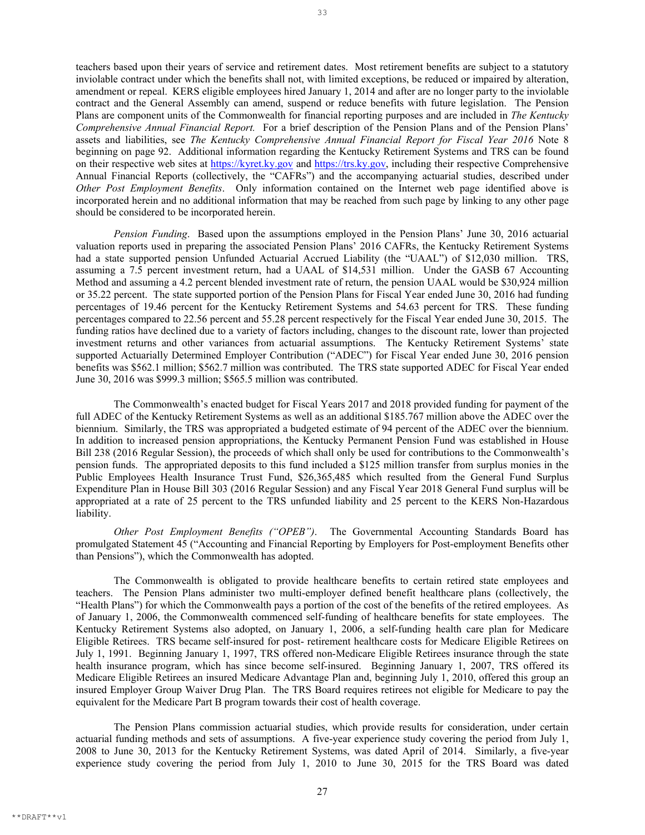teachers based upon their years of service and retirement dates. Most retirement benefits are subject to a statutory inviolable contract under which the benefits shall not, with limited exceptions, be reduced or impaired by alteration, amendment or repeal. KERS eligible employees hired January 1, 2014 and after are no longer party to the inviolable contract and the General Assembly can amend, suspend or reduce benefits with future legislation. The Pension Plans are component units of the Commonwealth for financial reporting purposes and are included in *The Kentucky Comprehensive Annual Financial Report.* For a brief description of the Pension Plans and of the Pension Plans' assets and liabilities, see *The Kentucky Comprehensive Annual Financial Report for Fiscal Year 2016* Note 8 beginning on page 92. Additional information regarding the Kentucky Retirement Systems and TRS can be found on their respective web sites at https://kyret.ky.gov and https://trs.ky.gov, including their respective Comprehensive Annual Financial Reports (collectively, the "CAFRs") and the accompanying actuarial studies, described under *Other Post Employment Benefits*. Only information contained on the Internet web page identified above is incorporated herein and no additional information that may be reached from such page by linking to any other page should be considered to be incorporated herein.

*Pension Funding*. Based upon the assumptions employed in the Pension Plans' June 30, 2016 actuarial valuation reports used in preparing the associated Pension Plans' 2016 CAFRs, the Kentucky Retirement Systems had a state supported pension Unfunded Actuarial Accrued Liability (the "UAAL") of \$12,030 million. TRS, assuming a 7.5 percent investment return, had a UAAL of \$14,531 million. Under the GASB 67 Accounting Method and assuming a 4.2 percent blended investment rate of return, the pension UAAL would be \$30,924 million or 35.22 percent. The state supported portion of the Pension Plans for Fiscal Year ended June 30, 2016 had funding percentages of 19.46 percent for the Kentucky Retirement Systems and 54.63 percent for TRS. These funding percentages compared to 22.56 percent and 55.28 percent respectively for the Fiscal Year ended June 30, 2015. The funding ratios have declined due to a variety of factors including, changes to the discount rate, lower than projected investment returns and other variances from actuarial assumptions. The Kentucky Retirement Systems' state supported Actuarially Determined Employer Contribution ("ADEC") for Fiscal Year ended June 30, 2016 pension benefits was \$562.1 million; \$562.7 million was contributed. The TRS state supported ADEC for Fiscal Year ended June 30, 2016 was \$999.3 million; \$565.5 million was contributed.

The Commonwealth's enacted budget for Fiscal Years 2017 and 2018 provided funding for payment of the full ADEC of the Kentucky Retirement Systems as well as an additional \$185.767 million above the ADEC over the biennium. Similarly, the TRS was appropriated a budgeted estimate of 94 percent of the ADEC over the biennium. In addition to increased pension appropriations, the Kentucky Permanent Pension Fund was established in House Bill 238 (2016 Regular Session), the proceeds of which shall only be used for contributions to the Commonwealth's pension funds. The appropriated deposits to this fund included a \$125 million transfer from surplus monies in the Public Employees Health Insurance Trust Fund, \$26,365,485 which resulted from the General Fund Surplus Expenditure Plan in House Bill 303 (2016 Regular Session) and any Fiscal Year 2018 General Fund surplus will be appropriated at a rate of 25 percent to the TRS unfunded liability and 25 percent to the KERS Non-Hazardous liability.

*Other Post Employment Benefits ("OPEB")*. The Governmental Accounting Standards Board has promulgated Statement 45 ("Accounting and Financial Reporting by Employers for Post-employment Benefits other than Pensions"), which the Commonwealth has adopted.

The Commonwealth is obligated to provide healthcare benefits to certain retired state employees and teachers. The Pension Plans administer two multi-employer defined benefit healthcare plans (collectively, the "Health Plans") for which the Commonwealth pays a portion of the cost of the benefits of the retired employees. As of January 1, 2006, the Commonwealth commenced self-funding of healthcare benefits for state employees. The Kentucky Retirement Systems also adopted, on January 1, 2006, a self-funding health care plan for Medicare Eligible Retirees. TRS became self-insured for post- retirement healthcare costs for Medicare Eligible Retirees on July 1, 1991. Beginning January 1, 1997, TRS offered non-Medicare Eligible Retirees insurance through the state health insurance program, which has since become self-insured. Beginning January 1, 2007, TRS offered its Medicare Eligible Retirees an insured Medicare Advantage Plan and, beginning July 1, 2010, offered this group an insured Employer Group Waiver Drug Plan. The TRS Board requires retirees not eligible for Medicare to pay the equivalent for the Medicare Part B program towards their cost of health coverage.

The Pension Plans commission actuarial studies, which provide results for consideration, under certain actuarial funding methods and sets of assumptions. A five-year experience study covering the period from July 1, 2008 to June 30, 2013 for the Kentucky Retirement Systems, was dated April of 2014. Similarly, a five-year experience study covering the period from July 1, 2010 to June 30, 2015 for the TRS Board was dated

\*\*DRAFT\*\*v1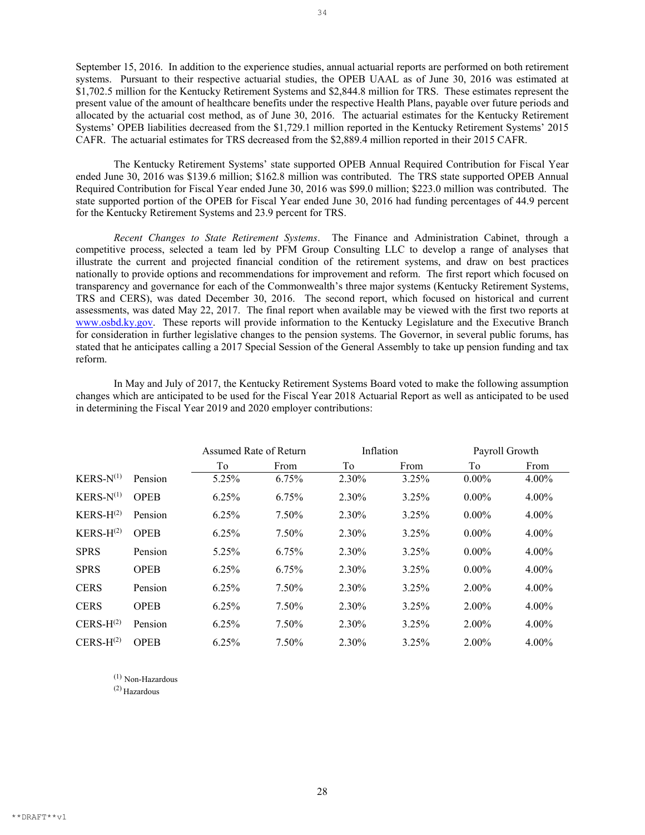September 15, 2016. In addition to the experience studies, annual actuarial reports are performed on both retirement systems. Pursuant to their respective actuarial studies, the OPEB UAAL as of June 30, 2016 was estimated at \$1,702.5 million for the Kentucky Retirement Systems and \$2,844.8 million for TRS. These estimates represent the present value of the amount of healthcare benefits under the respective Health Plans, payable over future periods and allocated by the actuarial cost method, as of June 30, 2016. The actuarial estimates for the Kentucky Retirement Systems' OPEB liabilities decreased from the \$1,729.1 million reported in the Kentucky Retirement Systems' 2015 CAFR. The actuarial estimates for TRS decreased from the \$2,889.4 million reported in their 2015 CAFR.

The Kentucky Retirement Systems' state supported OPEB Annual Required Contribution for Fiscal Year ended June 30, 2016 was \$139.6 million; \$162.8 million was contributed. The TRS state supported OPEB Annual Required Contribution for Fiscal Year ended June 30, 2016 was \$99.0 million; \$223.0 million was contributed. The state supported portion of the OPEB for Fiscal Year ended June 30, 2016 had funding percentages of 44.9 percent for the Kentucky Retirement Systems and 23.9 percent for TRS.

*Recent Changes to State Retirement Systems*. The Finance and Administration Cabinet, through a competitive process, selected a team led by PFM Group Consulting LLC to develop a range of analyses that illustrate the current and projected financial condition of the retirement systems, and draw on best practices nationally to provide options and recommendations for improvement and reform. The first report which focused on transparency and governance for each of the Commonwealth's three major systems (Kentucky Retirement Systems, TRS and CERS), was dated December 30, 2016. The second report, which focused on historical and current assessments, was dated May 22, 2017. The final report when available may be viewed with the first two reports at www.osbd.ky.gov. These reports will provide information to the Kentucky Legislature and the Executive Branch for consideration in further legislative changes to the pension systems. The Governor, in several public forums, has stated that he anticipates calling a 2017 Special Session of the General Assembly to take up pension funding and tax reform.

In May and July of 2017, the Kentucky Retirement Systems Board voted to make the following assumption changes which are anticipated to be used for the Fiscal Year 2018 Actuarial Report as well as anticipated to be used in determining the Fiscal Year 2019 and 2020 employer contributions:

|             |             | Assumed Rate of Return |          |       | Inflation |          | Payroll Growth |  |
|-------------|-------------|------------------------|----------|-------|-----------|----------|----------------|--|
|             |             | To                     | From     | To    | From      | To       | From           |  |
| $KERS-N(1)$ | Pension     | 5.25%                  | 6.75%    | 2.30% | 3.25%     | $0.00\%$ | 4.00%          |  |
| $KERS-N(1)$ | <b>OPEB</b> | 6.25%                  | 6.75%    | 2.30% | 3.25%     | $0.00\%$ | 4.00%          |  |
| $KERS-H(2)$ | Pension     | 6.25%                  | 7.50%    | 2.30% | 3.25%     | $0.00\%$ | 4.00%          |  |
| $KERS-H(2)$ | <b>OPEB</b> | 6.25%                  | $7.50\%$ | 2.30% | 3.25%     | $0.00\%$ | 4.00%          |  |
| <b>SPRS</b> | Pension     | 5.25%                  | 6.75%    | 2.30% | 3.25%     | $0.00\%$ | 4.00%          |  |
| <b>SPRS</b> | <b>OPEB</b> | 6.25%                  | 6.75%    | 2.30% | 3.25%     | $0.00\%$ | 4.00%          |  |
| <b>CERS</b> | Pension     | 6.25%                  | 7.50%    | 2.30% | 3.25%     | $2.00\%$ | 4.00%          |  |
| <b>CERS</b> | <b>OPEB</b> | 6.25%                  | 7.50%    | 2.30% | 3.25%     | 2.00%    | 4.00%          |  |
| $CERS-H(2)$ | Pension     | 6.25%                  | 7.50%    | 2.30% | 3.25%     | 2.00%    | 4.00%          |  |
| $CERS-H(2)$ | <b>OPEB</b> | 6.25%                  | 7.50%    | 2.30% | 3.25%     | $2.00\%$ | $4.00\%$       |  |

 $(1)$  Non-Hazardous<br> $(2)$  Hazardous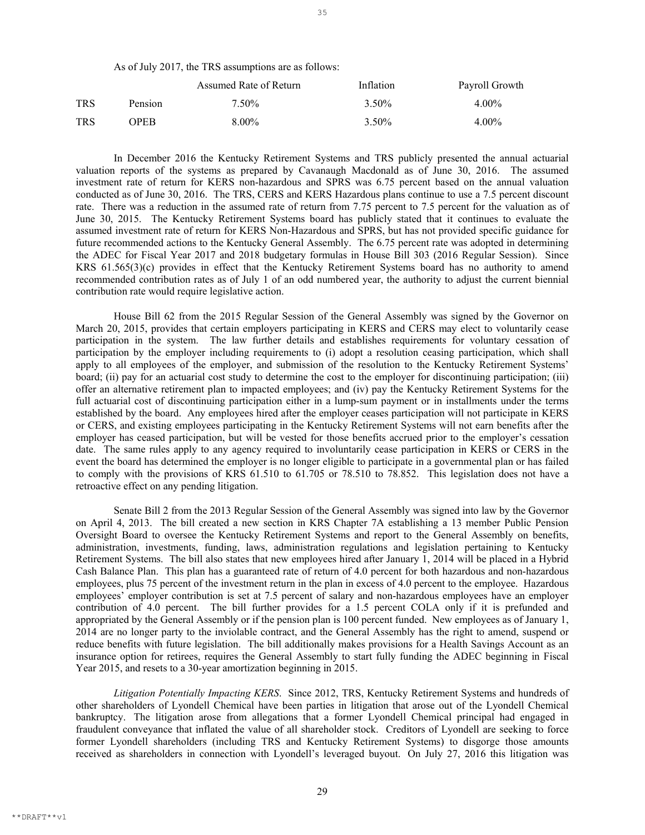35

As of July 2017, the TRS assumptions are as follows:

|     |         | Assumed Rate of Return | Inflation | Payroll Growth |
|-----|---------|------------------------|-----------|----------------|
| TRS | Pension | 7.50%                  | 3.50%     | $4.00\%$       |
| TRS | OPER.   | $8.00\%$               | 3.50%     | $4.00\%$       |

In December 2016 the Kentucky Retirement Systems and TRS publicly presented the annual actuarial valuation reports of the systems as prepared by Cavanaugh Macdonald as of June 30, 2016. The assumed investment rate of return for KERS non-hazardous and SPRS was 6.75 percent based on the annual valuation conducted as of June 30, 2016. The TRS, CERS and KERS Hazardous plans continue to use a 7.5 percent discount rate. There was a reduction in the assumed rate of return from 7.75 percent to 7.5 percent for the valuation as of June 30, 2015. The Kentucky Retirement Systems board has publicly stated that it continues to evaluate the assumed investment rate of return for KERS Non-Hazardous and SPRS, but has not provided specific guidance for future recommended actions to the Kentucky General Assembly. The 6.75 percent rate was adopted in determining the ADEC for Fiscal Year 2017 and 2018 budgetary formulas in House Bill 303 (2016 Regular Session). Since KRS 61.565(3)(c) provides in effect that the Kentucky Retirement Systems board has no authority to amend recommended contribution rates as of July 1 of an odd numbered year, the authority to adjust the current biennial contribution rate would require legislative action.

House Bill 62 from the 2015 Regular Session of the General Assembly was signed by the Governor on March 20, 2015, provides that certain employers participating in KERS and CERS may elect to voluntarily cease participation in the system. The law further details and establishes requirements for voluntary cessation of participation by the employer including requirements to (i) adopt a resolution ceasing participation, which shall apply to all employees of the employer, and submission of the resolution to the Kentucky Retirement Systems' board; (ii) pay for an actuarial cost study to determine the cost to the employer for discontinuing participation; (iii) offer an alternative retirement plan to impacted employees; and (iv) pay the Kentucky Retirement Systems for the full actuarial cost of discontinuing participation either in a lump-sum payment or in installments under the terms established by the board. Any employees hired after the employer ceases participation will not participate in KERS or CERS, and existing employees participating in the Kentucky Retirement Systems will not earn benefits after the employer has ceased participation, but will be vested for those benefits accrued prior to the employer's cessation date. The same rules apply to any agency required to involuntarily cease participation in KERS or CERS in the event the board has determined the employer is no longer eligible to participate in a governmental plan or has failed to comply with the provisions of KRS 61.510 to 61.705 or 78.510 to 78.852. This legislation does not have a retroactive effect on any pending litigation.

Senate Bill 2 from the 2013 Regular Session of the General Assembly was signed into law by the Governor on April 4, 2013. The bill created a new section in KRS Chapter 7A establishing a 13 member Public Pension Oversight Board to oversee the Kentucky Retirement Systems and report to the General Assembly on benefits, administration, investments, funding, laws, administration regulations and legislation pertaining to Kentucky Retirement Systems. The bill also states that new employees hired after January 1, 2014 will be placed in a Hybrid Cash Balance Plan. This plan has a guaranteed rate of return of 4.0 percent for both hazardous and non-hazardous employees, plus 75 percent of the investment return in the plan in excess of 4.0 percent to the employee. Hazardous employees' employer contribution is set at 7.5 percent of salary and non-hazardous employees have an employer contribution of 4.0 percent. The bill further provides for a 1.5 percent COLA only if it is prefunded and appropriated by the General Assembly or if the pension plan is 100 percent funded. New employees as of January 1, 2014 are no longer party to the inviolable contract, and the General Assembly has the right to amend, suspend or reduce benefits with future legislation. The bill additionally makes provisions for a Health Savings Account as an insurance option for retirees, requires the General Assembly to start fully funding the ADEC beginning in Fiscal Year 2015, and resets to a 30-year amortization beginning in 2015.

*Litigation Potentially Impacting KERS*. Since 2012, TRS, Kentucky Retirement Systems and hundreds of other shareholders of Lyondell Chemical have been parties in litigation that arose out of the Lyondell Chemical bankruptcy. The litigation arose from allegations that a former Lyondell Chemical principal had engaged in fraudulent conveyance that inflated the value of all shareholder stock. Creditors of Lyondell are seeking to force former Lyondell shareholders (including TRS and Kentucky Retirement Systems) to disgorge those amounts received as shareholders in connection with Lyondell's leveraged buyout. On July 27, 2016 this litigation was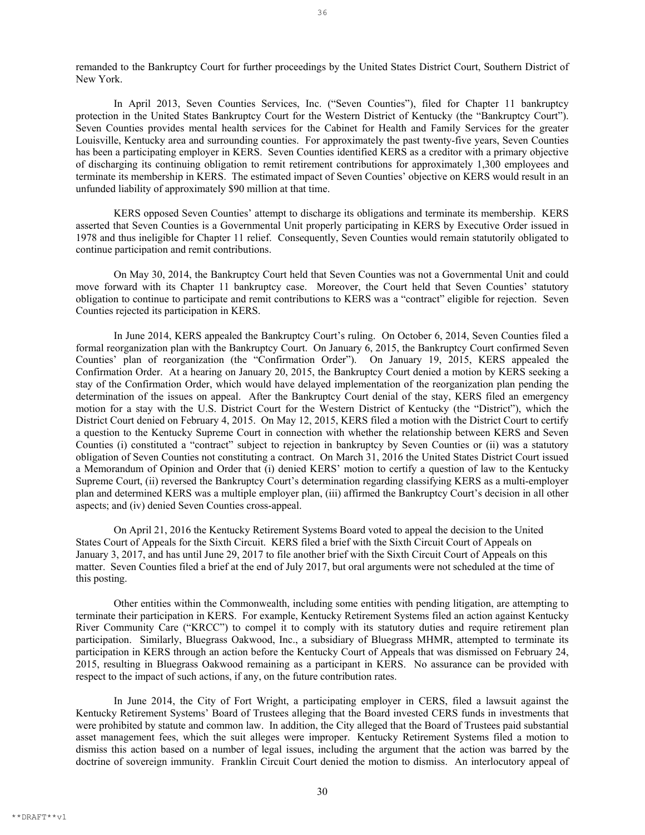remanded to the Bankruptcy Court for further proceedings by the United States District Court, Southern District of New York.

In April 2013, Seven Counties Services, Inc. ("Seven Counties"), filed for Chapter 11 bankruptcy protection in the United States Bankruptcy Court for the Western District of Kentucky (the "Bankruptcy Court"). Seven Counties provides mental health services for the Cabinet for Health and Family Services for the greater Louisville, Kentucky area and surrounding counties. For approximately the past twenty-five years, Seven Counties has been a participating employer in KERS. Seven Counties identified KERS as a creditor with a primary objective of discharging its continuing obligation to remit retirement contributions for approximately 1,300 employees and terminate its membership in KERS. The estimated impact of Seven Counties' objective on KERS would result in an unfunded liability of approximately \$90 million at that time.

KERS opposed Seven Counties' attempt to discharge its obligations and terminate its membership. KERS asserted that Seven Counties is a Governmental Unit properly participating in KERS by Executive Order issued in 1978 and thus ineligible for Chapter 11 relief. Consequently, Seven Counties would remain statutorily obligated to continue participation and remit contributions.

On May 30, 2014, the Bankruptcy Court held that Seven Counties was not a Governmental Unit and could move forward with its Chapter 11 bankruptcy case. Moreover, the Court held that Seven Counties' statutory obligation to continue to participate and remit contributions to KERS was a "contract" eligible for rejection. Seven Counties rejected its participation in KERS.

In June 2014, KERS appealed the Bankruptcy Court's ruling. On October 6, 2014, Seven Counties filed a formal reorganization plan with the Bankruptcy Court. On January 6, 2015, the Bankruptcy Court confirmed Seven Counties' plan of reorganization (the "Confirmation Order"). On January 19, 2015, KERS appealed the Confirmation Order. At a hearing on January 20, 2015, the Bankruptcy Court denied a motion by KERS seeking a stay of the Confirmation Order, which would have delayed implementation of the reorganization plan pending the determination of the issues on appeal. After the Bankruptcy Court denial of the stay, KERS filed an emergency motion for a stay with the U.S. District Court for the Western District of Kentucky (the "District"), which the District Court denied on February 4, 2015. On May 12, 2015, KERS filed a motion with the District Court to certify a question to the Kentucky Supreme Court in connection with whether the relationship between KERS and Seven Counties (i) constituted a "contract" subject to rejection in bankruptcy by Seven Counties or (ii) was a statutory obligation of Seven Counties not constituting a contract. On March 31, 2016 the United States District Court issued a Memorandum of Opinion and Order that (i) denied KERS' motion to certify a question of law to the Kentucky Supreme Court, (ii) reversed the Bankruptcy Court's determination regarding classifying KERS as a multi-employer plan and determined KERS was a multiple employer plan, (iii) affirmed the Bankruptcy Court's decision in all other aspects; and (iv) denied Seven Counties cross-appeal.

On April 21, 2016 the Kentucky Retirement Systems Board voted to appeal the decision to the United States Court of Appeals for the Sixth Circuit. KERS filed a brief with the Sixth Circuit Court of Appeals on January 3, 2017, and has until June 29, 2017 to file another brief with the Sixth Circuit Court of Appeals on this matter. Seven Counties filed a brief at the end of July 2017, but oral arguments were not scheduled at the time of this posting.

Other entities within the Commonwealth, including some entities with pending litigation, are attempting to terminate their participation in KERS. For example, Kentucky Retirement Systems filed an action against Kentucky River Community Care ("KRCC") to compel it to comply with its statutory duties and require retirement plan participation. Similarly, Bluegrass Oakwood, Inc., a subsidiary of Bluegrass MHMR, attempted to terminate its participation in KERS through an action before the Kentucky Court of Appeals that was dismissed on February 24, 2015, resulting in Bluegrass Oakwood remaining as a participant in KERS. No assurance can be provided with respect to the impact of such actions, if any, on the future contribution rates.

In June 2014, the City of Fort Wright, a participating employer in CERS, filed a lawsuit against the Kentucky Retirement Systems' Board of Trustees alleging that the Board invested CERS funds in investments that were prohibited by statute and common law. In addition, the City alleged that the Board of Trustees paid substantial asset management fees, which the suit alleges were improper. Kentucky Retirement Systems filed a motion to dismiss this action based on a number of legal issues, including the argument that the action was barred by the doctrine of sovereign immunity. Franklin Circuit Court denied the motion to dismiss. An interlocutory appeal of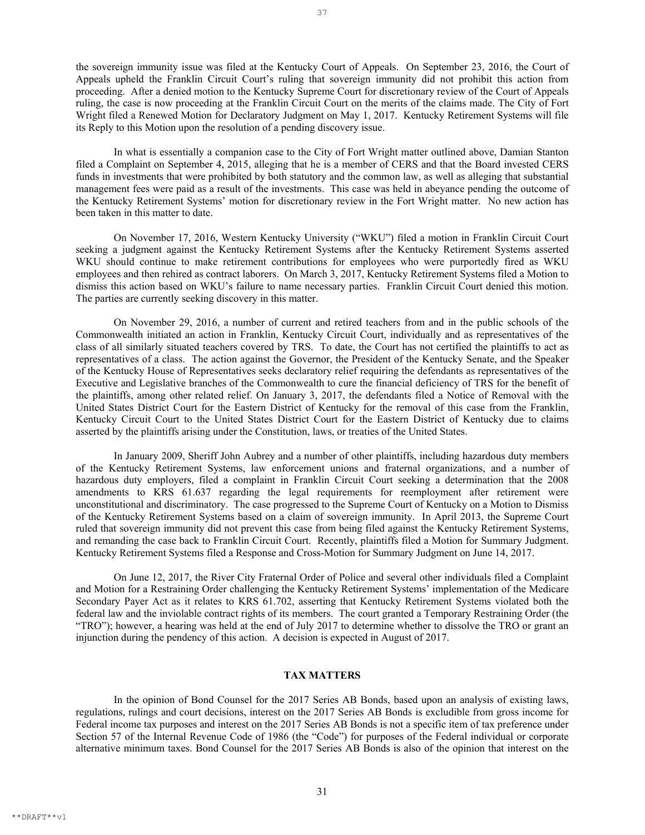the sovereign immunity issue was filed at the Kentucky Court of Appeals. On September 23, 2016, the Court of Appeals upheld the Franklin Circuit Court's ruling that sovereign immunity did not prohibit this action from proceeding. After a denied motion to the Kentucky Supreme Court for discretionary review of the Court of Appeals ruling, the case is now proceeding at the Franklin Circuit Court on the merits of the claims made. The City of Fort Wright filed a Renewed Motion for Declaratory Judgment on May 1, 2017. Kentucky Retirement Systems will file its Reply to this Motion upon the resolution of a pending discovery issue.

In what is essentially a companion case to the City of Fort Wright matter outlined above, Damian Stanton filed a Complaint on September 4, 2015, alleging that he is a member of CERS and that the Board invested CERS funds in investments that were prohibited by both statutory and the common law, as well as alleging that substantial management fees were paid as a result of the investments. This case was held in abeyance pending the outcome of the Kentucky Retirement Systems' motion for discretionary review in the Fort Wright matter. No new action has been taken in this matter to date.

On November 17, 2016, Western Kentucky University ("WKU") filed a motion in Franklin Circuit Court seeking a judgment against the Kentucky Retirement Systems after the Kentucky Retirement Systems asserted WKU should continue to make retirement contributions for employees who were purportedly fired as WKU employees and then rehired as contract laborers. On March 3, 2017, Kentucky Retirement Systems filed a Motion to dismiss this action based on WKU's failure to name necessary parties. Franklin Circuit Court denied this motion. The parties are currently seeking discovery in this matter.

 On November 29, 2016, a number of current and retired teachers from and in the public schools of the Commonwealth initiated an action in Franklin, Kentucky Circuit Court, individually and as representatives of the class of all similarly situated teachers covered by TRS. To date, the Court has not certified the plaintiffs to act as representatives of a class. The action against the Governor, the President of the Kentucky Senate, and the Speaker of the Kentucky House of Representatives seeks declaratory relief requiring the defendants as representatives of the Executive and Legislative branches of the Commonwealth to cure the financial deficiency of TRS for the benefit of the plaintiffs, among other related relief. On January 3, 2017, the defendants filed a Notice of Removal with the United States District Court for the Eastern District of Kentucky for the removal of this case from the Franklin, Kentucky Circuit Court to the United States District Court for the Eastern District of Kentucky due to claims asserted by the plaintiffs arising under the Constitution, laws, or treaties of the United States.

In January 2009, Sheriff John Aubrey and a number of other plaintiffs, including hazardous duty members of the Kentucky Retirement Systems, law enforcement unions and fraternal organizations, and a number of hazardous duty employers, filed a complaint in Franklin Circuit Court seeking a determination that the 2008 amendments to KRS 61.637 regarding the legal requirements for reemployment after retirement were unconstitutional and discriminatory. The case progressed to the Supreme Court of Kentucky on a Motion to Dismiss of the Kentucky Retirement Systems based on a claim of sovereign immunity. In April 2013, the Supreme Court ruled that sovereign immunity did not prevent this case from being filed against the Kentucky Retirement Systems, and remanding the case back to Franklin Circuit Court. Recently, plaintiffs filed a Motion for Summary Judgment. Kentucky Retirement Systems filed a Response and Cross-Motion for Summary Judgment on June 14, 2017.

On June 12, 2017, the River City Fraternal Order of Police and several other individuals filed a Complaint and Motion for a Restraining Order challenging the Kentucky Retirement Systems' implementation of the Medicare Secondary Payer Act as it relates to KRS 61.702, asserting that Kentucky Retirement Systems violated both the federal law and the inviolable contract rights of its members. The court granted a Temporary Restraining Order (the "TRO"); however, a hearing was held at the end of July 2017 to determine whether to dissolve the TRO or grant an injunction during the pendency of this action. A decision is expected in August of 2017.

## **TAX MATTERS**

In the opinion of Bond Counsel for the 2017 Series AB Bonds, based upon an analysis of existing laws, regulations, rulings and court decisions, interest on the 2017 Series AB Bonds is excludible from gross income for Federal income tax purposes and interest on the 2017 Series AB Bonds is not a specific item of tax preference under Section 57 of the Internal Revenue Code of 1986 (the "Code") for purposes of the Federal individual or corporate alternative minimum taxes. Bond Counsel for the 2017 Series AB Bonds is also of the opinion that interest on the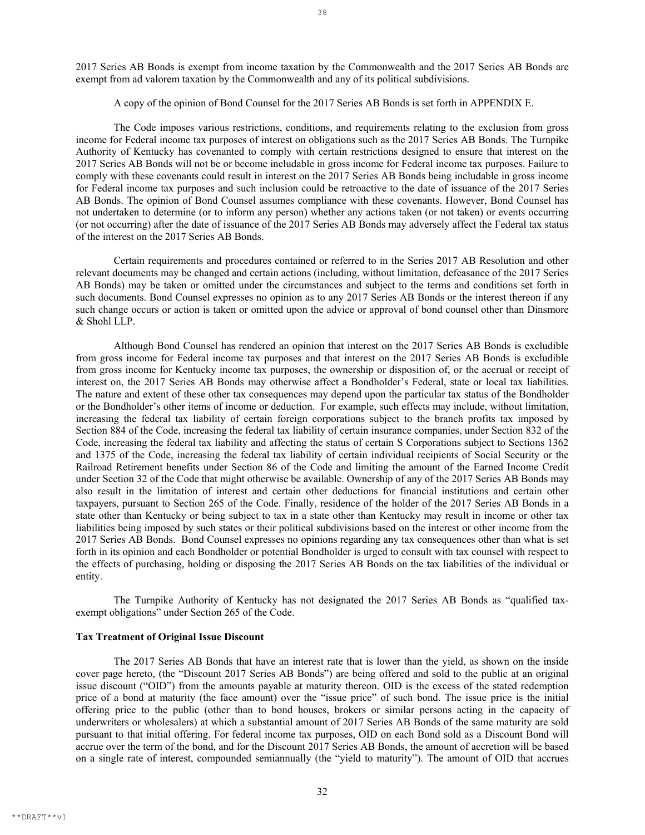2017 Series AB Bonds is exempt from income taxation by the Commonwealth and the 2017 Series AB Bonds are exempt from ad valorem taxation by the Commonwealth and any of its political subdivisions.

A copy of the opinion of Bond Counsel for the 2017 Series AB Bonds is set forth in APPENDIX E.

 The Code imposes various restrictions, conditions, and requirements relating to the exclusion from gross income for Federal income tax purposes of interest on obligations such as the 2017 Series AB Bonds. The Turnpike Authority of Kentucky has covenanted to comply with certain restrictions designed to ensure that interest on the 2017 Series AB Bonds will not be or become includable in gross income for Federal income tax purposes. Failure to comply with these covenants could result in interest on the 2017 Series AB Bonds being includable in gross income for Federal income tax purposes and such inclusion could be retroactive to the date of issuance of the 2017 Series AB Bonds. The opinion of Bond Counsel assumes compliance with these covenants. However, Bond Counsel has not undertaken to determine (or to inform any person) whether any actions taken (or not taken) or events occurring (or not occurring) after the date of issuance of the 2017 Series AB Bonds may adversely affect the Federal tax status of the interest on the 2017 Series AB Bonds.

 Certain requirements and procedures contained or referred to in the Series 2017 AB Resolution and other relevant documents may be changed and certain actions (including, without limitation, defeasance of the 2017 Series AB Bonds) may be taken or omitted under the circumstances and subject to the terms and conditions set forth in such documents. Bond Counsel expresses no opinion as to any 2017 Series AB Bonds or the interest thereon if any such change occurs or action is taken or omitted upon the advice or approval of bond counsel other than Dinsmore & Shohl LLP.

Although Bond Counsel has rendered an opinion that interest on the 2017 Series AB Bonds is excludible from gross income for Federal income tax purposes and that interest on the 2017 Series AB Bonds is excludible from gross income for Kentucky income tax purposes, the ownership or disposition of, or the accrual or receipt of interest on, the 2017 Series AB Bonds may otherwise affect a Bondholder's Federal, state or local tax liabilities. The nature and extent of these other tax consequences may depend upon the particular tax status of the Bondholder or the Bondholder's other items of income or deduction. For example, such effects may include, without limitation, increasing the federal tax liability of certain foreign corporations subject to the branch profits tax imposed by Section 884 of the Code, increasing the federal tax liability of certain insurance companies, under Section 832 of the Code, increasing the federal tax liability and affecting the status of certain S Corporations subject to Sections 1362 and 1375 of the Code, increasing the federal tax liability of certain individual recipients of Social Security or the Railroad Retirement benefits under Section 86 of the Code and limiting the amount of the Earned Income Credit under Section 32 of the Code that might otherwise be available. Ownership of any of the 2017 Series AB Bonds may also result in the limitation of interest and certain other deductions for financial institutions and certain other taxpayers, pursuant to Section 265 of the Code. Finally, residence of the holder of the 2017 Series AB Bonds in a state other than Kentucky or being subject to tax in a state other than Kentucky may result in income or other tax liabilities being imposed by such states or their political subdivisions based on the interest or other income from the 2017 Series AB Bonds. Bond Counsel expresses no opinions regarding any tax consequences other than what is set forth in its opinion and each Bondholder or potential Bondholder is urged to consult with tax counsel with respect to the effects of purchasing, holding or disposing the 2017 Series AB Bonds on the tax liabilities of the individual or entity.

 The Turnpike Authority of Kentucky has not designated the 2017 Series AB Bonds as "qualified taxexempt obligations" under Section 265 of the Code.

## **Tax Treatment of Original Issue Discount**

 The 2017 Series AB Bonds that have an interest rate that is lower than the yield, as shown on the inside cover page hereto, (the "Discount 2017 Series AB Bonds") are being offered and sold to the public at an original issue discount ("OID") from the amounts payable at maturity thereon. OID is the excess of the stated redemption price of a bond at maturity (the face amount) over the "issue price" of such bond. The issue price is the initial offering price to the public (other than to bond houses, brokers or similar persons acting in the capacity of underwriters or wholesalers) at which a substantial amount of 2017 Series AB Bonds of the same maturity are sold pursuant to that initial offering. For federal income tax purposes, OID on each Bond sold as a Discount Bond will accrue over the term of the bond, and for the Discount 2017 Series AB Bonds, the amount of accretion will be based on a single rate of interest, compounded semiannually (the "yield to maturity"). The amount of OID that accrues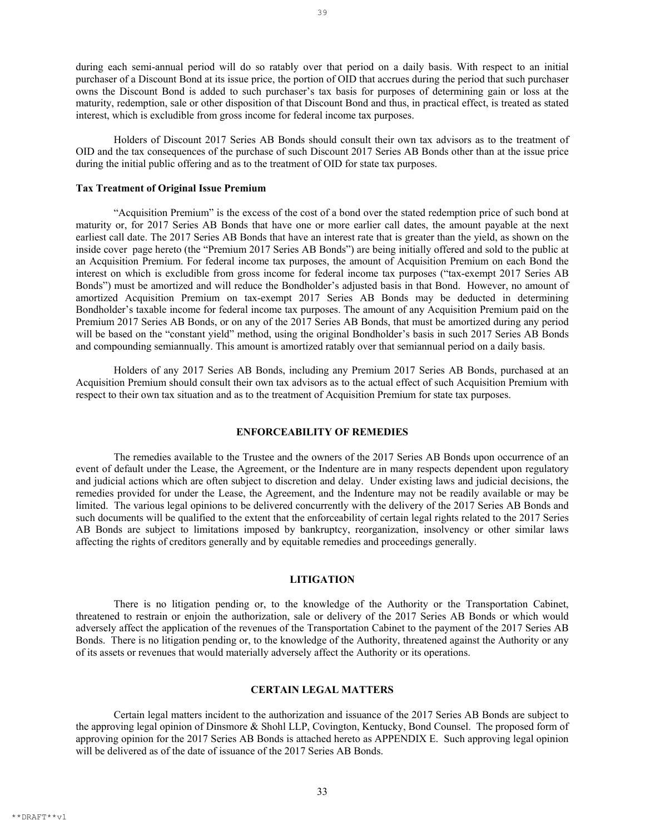during each semi-annual period will do so ratably over that period on a daily basis. With respect to an initial purchaser of a Discount Bond at its issue price, the portion of OID that accrues during the period that such purchaser owns the Discount Bond is added to such purchaser's tax basis for purposes of determining gain or loss at the maturity, redemption, sale or other disposition of that Discount Bond and thus, in practical effect, is treated as stated interest, which is excludible from gross income for federal income tax purposes.

 Holders of Discount 2017 Series AB Bonds should consult their own tax advisors as to the treatment of OID and the tax consequences of the purchase of such Discount 2017 Series AB Bonds other than at the issue price during the initial public offering and as to the treatment of OID for state tax purposes.

### **Tax Treatment of Original Issue Premium**

 "Acquisition Premium" is the excess of the cost of a bond over the stated redemption price of such bond at maturity or, for 2017 Series AB Bonds that have one or more earlier call dates, the amount payable at the next earliest call date. The 2017 Series AB Bonds that have an interest rate that is greater than the yield, as shown on the inside cover page hereto (the "Premium 2017 Series AB Bonds") are being initially offered and sold to the public at an Acquisition Premium. For federal income tax purposes, the amount of Acquisition Premium on each Bond the interest on which is excludible from gross income for federal income tax purposes ("tax-exempt 2017 Series AB Bonds") must be amortized and will reduce the Bondholder's adjusted basis in that Bond. However, no amount of amortized Acquisition Premium on tax-exempt 2017 Series AB Bonds may be deducted in determining Bondholder's taxable income for federal income tax purposes. The amount of any Acquisition Premium paid on the Premium 2017 Series AB Bonds, or on any of the 2017 Series AB Bonds, that must be amortized during any period will be based on the "constant yield" method, using the original Bondholder's basis in such 2017 Series AB Bonds and compounding semiannually. This amount is amortized ratably over that semiannual period on a daily basis.

Holders of any 2017 Series AB Bonds, including any Premium 2017 Series AB Bonds, purchased at an Acquisition Premium should consult their own tax advisors as to the actual effect of such Acquisition Premium with respect to their own tax situation and as to the treatment of Acquisition Premium for state tax purposes.

## **ENFORCEABILITY OF REMEDIES**

The remedies available to the Trustee and the owners of the 2017 Series AB Bonds upon occurrence of an event of default under the Lease, the Agreement, or the Indenture are in many respects dependent upon regulatory and judicial actions which are often subject to discretion and delay. Under existing laws and judicial decisions, the remedies provided for under the Lease, the Agreement, and the Indenture may not be readily available or may be limited. The various legal opinions to be delivered concurrently with the delivery of the 2017 Series AB Bonds and such documents will be qualified to the extent that the enforceability of certain legal rights related to the 2017 Series AB Bonds are subject to limitations imposed by bankruptcy, reorganization, insolvency or other similar laws affecting the rights of creditors generally and by equitable remedies and proceedings generally.

## **LITIGATION**

There is no litigation pending or, to the knowledge of the Authority or the Transportation Cabinet, threatened to restrain or enjoin the authorization, sale or delivery of the 2017 Series AB Bonds or which would adversely affect the application of the revenues of the Transportation Cabinet to the payment of the 2017 Series AB Bonds. There is no litigation pending or, to the knowledge of the Authority, threatened against the Authority or any of its assets or revenues that would materially adversely affect the Authority or its operations.

## **CERTAIN LEGAL MATTERS**

Certain legal matters incident to the authorization and issuance of the 2017 Series AB Bonds are subject to the approving legal opinion of Dinsmore & Shohl LLP, Covington, Kentucky, Bond Counsel. The proposed form of approving opinion for the 2017 Series AB Bonds is attached hereto as APPENDIX E. Such approving legal opinion will be delivered as of the date of issuance of the 2017 Series AB Bonds.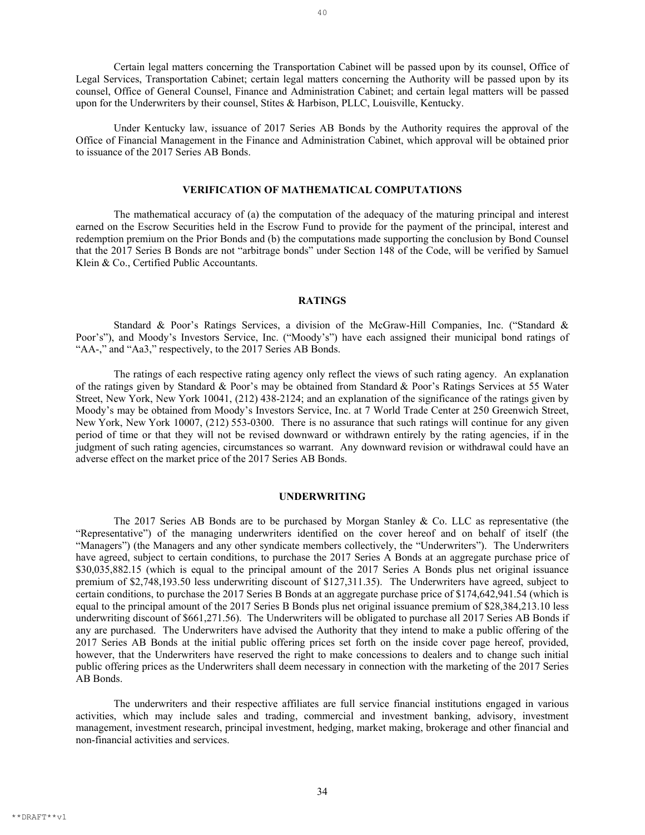Certain legal matters concerning the Transportation Cabinet will be passed upon by its counsel, Office of Legal Services, Transportation Cabinet; certain legal matters concerning the Authority will be passed upon by its counsel, Office of General Counsel, Finance and Administration Cabinet; and certain legal matters will be passed upon for the Underwriters by their counsel, Stites & Harbison, PLLC, Louisville, Kentucky.

Under Kentucky law, issuance of 2017 Series AB Bonds by the Authority requires the approval of the Office of Financial Management in the Finance and Administration Cabinet, which approval will be obtained prior to issuance of the 2017 Series AB Bonds.

## **VERIFICATION OF MATHEMATICAL COMPUTATIONS**

The mathematical accuracy of (a) the computation of the adequacy of the maturing principal and interest earned on the Escrow Securities held in the Escrow Fund to provide for the payment of the principal, interest and redemption premium on the Prior Bonds and (b) the computations made supporting the conclusion by Bond Counsel that the 2017 Series B Bonds are not "arbitrage bonds" under Section 148 of the Code, will be verified by Samuel Klein & Co., Certified Public Accountants.

### **RATINGS**

Standard & Poor's Ratings Services, a division of the McGraw-Hill Companies, Inc. ("Standard & Poor's"), and Moody's Investors Service, Inc. ("Moody's") have each assigned their municipal bond ratings of "AA-," and "Aa3," respectively, to the 2017 Series AB Bonds.

The ratings of each respective rating agency only reflect the views of such rating agency. An explanation of the ratings given by Standard & Poor's may be obtained from Standard & Poor's Ratings Services at 55 Water Street, New York, New York 10041, (212) 438-2124; and an explanation of the significance of the ratings given by Moody's may be obtained from Moody's Investors Service, Inc. at 7 World Trade Center at 250 Greenwich Street, New York, New York 10007, (212) 553-0300. There is no assurance that such ratings will continue for any given period of time or that they will not be revised downward or withdrawn entirely by the rating agencies, if in the judgment of such rating agencies, circumstances so warrant. Any downward revision or withdrawal could have an adverse effect on the market price of the 2017 Series AB Bonds.

#### **UNDERWRITING**

The 2017 Series AB Bonds are to be purchased by Morgan Stanley & Co. LLC as representative (the "Representative") of the managing underwriters identified on the cover hereof and on behalf of itself (the "Managers") (the Managers and any other syndicate members collectively, the "Underwriters"). The Underwriters have agreed, subject to certain conditions, to purchase the 2017 Series A Bonds at an aggregate purchase price of \$30,035,882.15 (which is equal to the principal amount of the 2017 Series A Bonds plus net original issuance premium of \$2,748,193.50 less underwriting discount of \$127,311.35). The Underwriters have agreed, subject to certain conditions, to purchase the 2017 Series B Bonds at an aggregate purchase price of \$174,642,941.54 (which is equal to the principal amount of the 2017 Series B Bonds plus net original issuance premium of \$28,384,213.10 less underwriting discount of \$661,271.56). The Underwriters will be obligated to purchase all 2017 Series AB Bonds if any are purchased. The Underwriters have advised the Authority that they intend to make a public offering of the 2017 Series AB Bonds at the initial public offering prices set forth on the inside cover page hereof, provided, however, that the Underwriters have reserved the right to make concessions to dealers and to change such initial public offering prices as the Underwriters shall deem necessary in connection with the marketing of the 2017 Series AB Bonds.

 The underwriters and their respective affiliates are full service financial institutions engaged in various activities, which may include sales and trading, commercial and investment banking, advisory, investment management, investment research, principal investment, hedging, market making, brokerage and other financial and non-financial activities and services.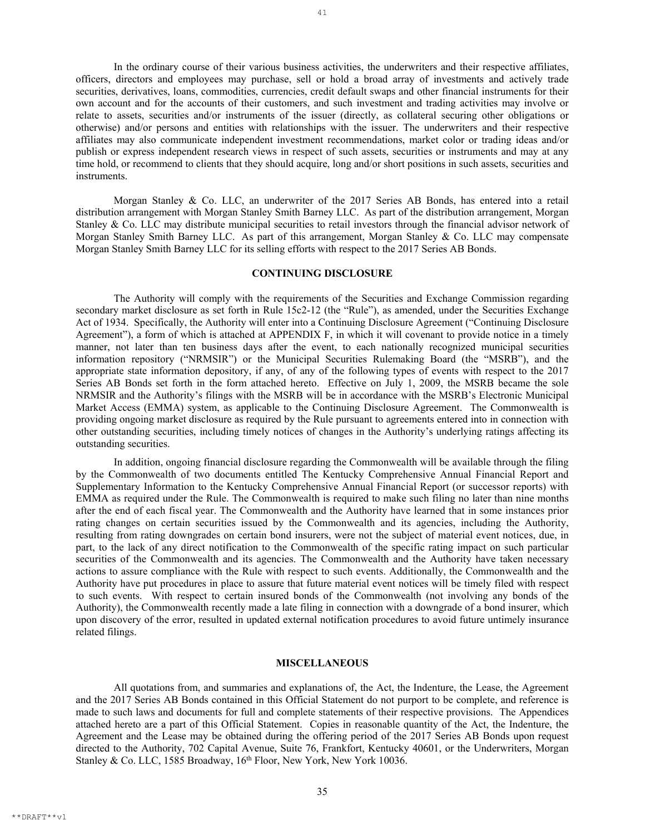In the ordinary course of their various business activities, the underwriters and their respective affiliates, officers, directors and employees may purchase, sell or hold a broad array of investments and actively trade securities, derivatives, loans, commodities, currencies, credit default swaps and other financial instruments for their own account and for the accounts of their customers, and such investment and trading activities may involve or relate to assets, securities and/or instruments of the issuer (directly, as collateral securing other obligations or otherwise) and/or persons and entities with relationships with the issuer. The underwriters and their respective affiliates may also communicate independent investment recommendations, market color or trading ideas and/or publish or express independent research views in respect of such assets, securities or instruments and may at any time hold, or recommend to clients that they should acquire, long and/or short positions in such assets, securities and instruments.

Morgan Stanley & Co. LLC, an underwriter of the 2017 Series AB Bonds, has entered into a retail distribution arrangement with Morgan Stanley Smith Barney LLC. As part of the distribution arrangement, Morgan Stanley & Co. LLC may distribute municipal securities to retail investors through the financial advisor network of Morgan Stanley Smith Barney LLC. As part of this arrangement, Morgan Stanley & Co. LLC may compensate Morgan Stanley Smith Barney LLC for its selling efforts with respect to the 2017 Series AB Bonds.

## **CONTINUING DISCLOSURE**

The Authority will comply with the requirements of the Securities and Exchange Commission regarding secondary market disclosure as set forth in Rule 15c2-12 (the "Rule"), as amended, under the Securities Exchange Act of 1934. Specifically, the Authority will enter into a Continuing Disclosure Agreement ("Continuing Disclosure Agreement"), a form of which is attached at APPENDIX F, in which it will covenant to provide notice in a timely manner, not later than ten business days after the event, to each nationally recognized municipal securities information repository ("NRMSIR") or the Municipal Securities Rulemaking Board (the "MSRB"), and the appropriate state information depository, if any, of any of the following types of events with respect to the 2017 Series AB Bonds set forth in the form attached hereto. Effective on July 1, 2009, the MSRB became the sole NRMSIR and the Authority's filings with the MSRB will be in accordance with the MSRB's Electronic Municipal Market Access (EMMA) system, as applicable to the Continuing Disclosure Agreement. The Commonwealth is providing ongoing market disclosure as required by the Rule pursuant to agreements entered into in connection with other outstanding securities, including timely notices of changes in the Authority's underlying ratings affecting its outstanding securities.

In addition, ongoing financial disclosure regarding the Commonwealth will be available through the filing by the Commonwealth of two documents entitled The Kentucky Comprehensive Annual Financial Report and Supplementary Information to the Kentucky Comprehensive Annual Financial Report (or successor reports) with EMMA as required under the Rule. The Commonwealth is required to make such filing no later than nine months after the end of each fiscal year. The Commonwealth and the Authority have learned that in some instances prior rating changes on certain securities issued by the Commonwealth and its agencies, including the Authority, resulting from rating downgrades on certain bond insurers, were not the subject of material event notices, due, in part, to the lack of any direct notification to the Commonwealth of the specific rating impact on such particular securities of the Commonwealth and its agencies. The Commonwealth and the Authority have taken necessary actions to assure compliance with the Rule with respect to such events. Additionally, the Commonwealth and the Authority have put procedures in place to assure that future material event notices will be timely filed with respect to such events. With respect to certain insured bonds of the Commonwealth (not involving any bonds of the Authority), the Commonwealth recently made a late filing in connection with a downgrade of a bond insurer, which upon discovery of the error, resulted in updated external notification procedures to avoid future untimely insurance related filings.

#### **MISCELLANEOUS**

All quotations from, and summaries and explanations of, the Act, the Indenture, the Lease, the Agreement and the 2017 Series AB Bonds contained in this Official Statement do not purport to be complete, and reference is made to such laws and documents for full and complete statements of their respective provisions. The Appendices attached hereto are a part of this Official Statement. Copies in reasonable quantity of the Act, the Indenture, the Agreement and the Lease may be obtained during the offering period of the 2017 Series AB Bonds upon request directed to the Authority, 702 Capital Avenue, Suite 76, Frankfort, Kentucky 40601, or the Underwriters, Morgan Stanley & Co. LLC, 1585 Broadway,  $16<sup>th</sup>$  Floor, New York, New York 10036.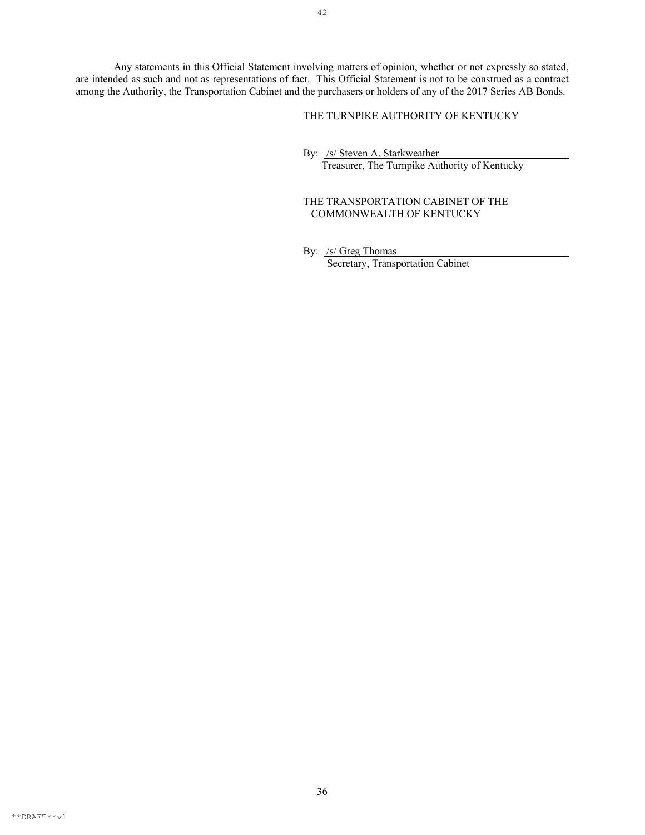Any statements in this Official Statement involving matters of opinion, whether or not expressly so stated, are intended as such and not as representations of fact. This Official Statement is not to be construed as a contract among the Authority, the Transportation Cabinet and the purchasers or holders of any of the 2017 Series AB Bonds.

## THE TURNPIKE AUTHORITY OF KENTUCKY

By: /s/ Steven A. Starkweather Treasurer, The Turnpike Authority of Kentucky

## THE TRANSPORTATION CABINET OF THE COMMONWEALTH OF KENTUCKY

By: /s/ Greg Thomas

Secretary, Transportation Cabinet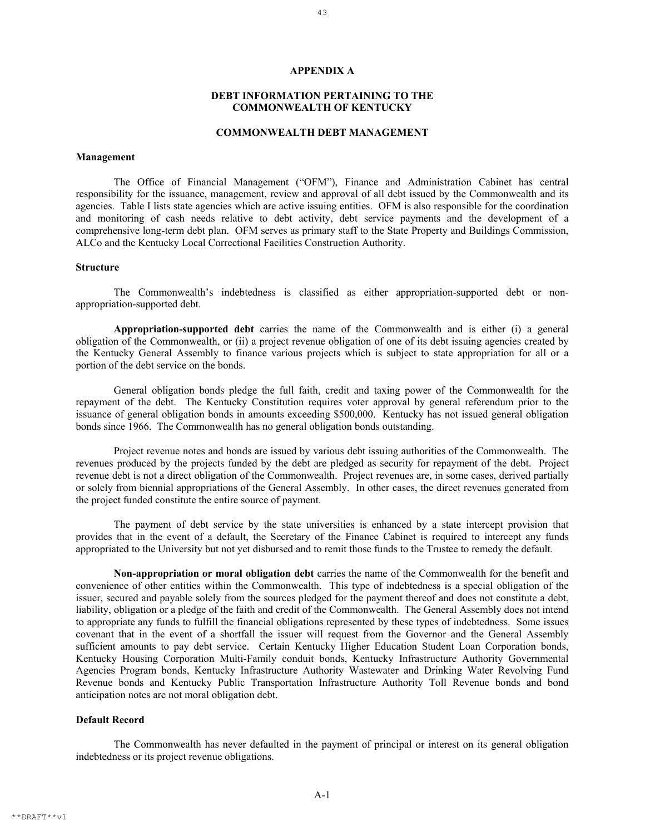## **APPENDIX A**

## **DEBT INFORMATION PERTAINING TO THE COMMONWEALTH OF KENTUCKY**

## **COMMONWEALTH DEBT MANAGEMENT**

## **Management**

The Office of Financial Management ("OFM"), Finance and Administration Cabinet has central responsibility for the issuance, management, review and approval of all debt issued by the Commonwealth and its agencies. Table I lists state agencies which are active issuing entities. OFM is also responsible for the coordination and monitoring of cash needs relative to debt activity, debt service payments and the development of a comprehensive long-term debt plan. OFM serves as primary staff to the State Property and Buildings Commission, ALCo and the Kentucky Local Correctional Facilities Construction Authority.

## **Structure**

The Commonwealth's indebtedness is classified as either appropriation-supported debt or nonappropriation-supported debt.

**Appropriation-supported debt** carries the name of the Commonwealth and is either (i) a general obligation of the Commonwealth, or (ii) a project revenue obligation of one of its debt issuing agencies created by the Kentucky General Assembly to finance various projects which is subject to state appropriation for all or a portion of the debt service on the bonds.

General obligation bonds pledge the full faith, credit and taxing power of the Commonwealth for the repayment of the debt. The Kentucky Constitution requires voter approval by general referendum prior to the issuance of general obligation bonds in amounts exceeding \$500,000. Kentucky has not issued general obligation bonds since 1966. The Commonwealth has no general obligation bonds outstanding.

Project revenue notes and bonds are issued by various debt issuing authorities of the Commonwealth. The revenues produced by the projects funded by the debt are pledged as security for repayment of the debt. Project revenue debt is not a direct obligation of the Commonwealth. Project revenues are, in some cases, derived partially or solely from biennial appropriations of the General Assembly. In other cases, the direct revenues generated from the project funded constitute the entire source of payment.

The payment of debt service by the state universities is enhanced by a state intercept provision that provides that in the event of a default, the Secretary of the Finance Cabinet is required to intercept any funds appropriated to the University but not yet disbursed and to remit those funds to the Trustee to remedy the default.

**Non-appropriation or moral obligation debt** carries the name of the Commonwealth for the benefit and convenience of other entities within the Commonwealth. This type of indebtedness is a special obligation of the issuer, secured and payable solely from the sources pledged for the payment thereof and does not constitute a debt, liability, obligation or a pledge of the faith and credit of the Commonwealth. The General Assembly does not intend to appropriate any funds to fulfill the financial obligations represented by these types of indebtedness. Some issues covenant that in the event of a shortfall the issuer will request from the Governor and the General Assembly sufficient amounts to pay debt service. Certain Kentucky Higher Education Student Loan Corporation bonds, Kentucky Housing Corporation Multi-Family conduit bonds, Kentucky Infrastructure Authority Governmental Agencies Program bonds, Kentucky Infrastructure Authority Wastewater and Drinking Water Revolving Fund Revenue bonds and Kentucky Public Transportation Infrastructure Authority Toll Revenue bonds and bond anticipation notes are not moral obligation debt.

### **Default Record**

The Commonwealth has never defaulted in the payment of principal or interest on its general obligation indebtedness or its project revenue obligations.

43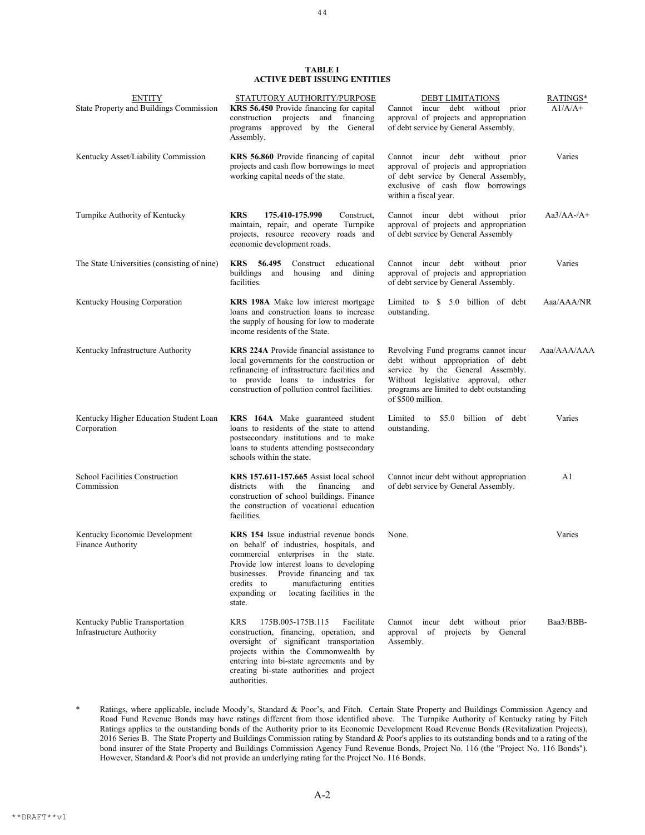44

#### **TABLE I ACTIVE DEBT ISSUING ENTITIES**

| <b>ENTITY</b><br>State Property and Buildings Commission          | STATUTORY AUTHORITY/PURPOSE<br>KRS 56.450 Provide financing for capital<br>construction projects and financing<br>programs approved by the General<br>Assembly.                                                                                                                                                   | <b>DEBT LIMITATIONS</b><br>Cannot incur debt without prior<br>approval of projects and appropriation<br>of debt service by General Assembly.                                                                           | RATINGS*<br>$A1/A/A+$ |
|-------------------------------------------------------------------|-------------------------------------------------------------------------------------------------------------------------------------------------------------------------------------------------------------------------------------------------------------------------------------------------------------------|------------------------------------------------------------------------------------------------------------------------------------------------------------------------------------------------------------------------|-----------------------|
| Kentucky Asset/Liability Commission                               | KRS 56.860 Provide financing of capital<br>projects and cash flow borrowings to meet<br>working capital needs of the state.                                                                                                                                                                                       | Cannot incur debt without prior<br>approval of projects and appropriation<br>of debt service by General Assembly,<br>exclusive of cash flow borrowings<br>within a fiscal year.                                        | Varies                |
| Turnpike Authority of Kentucky                                    | KRS<br>175.410-175.990<br>Construct,<br>maintain, repair, and operate Turnpike<br>projects, resource recovery roads and<br>economic development roads.                                                                                                                                                            | Cannot incur debt without prior<br>approval of projects and appropriation<br>of debt service by General Assembly                                                                                                       | $Aa3/AA-A+$           |
| The State Universities (consisting of nine)                       | KRS 56.495<br>Construct<br>educational<br>buildings<br>and housing<br>and dining<br>facilities.                                                                                                                                                                                                                   | Cannot incur debt without prior<br>approval of projects and appropriation<br>of debt service by General Assembly.                                                                                                      | Varies                |
| Kentucky Housing Corporation                                      | <b>KRS 198A</b> Make low interest mortgage<br>loans and construction loans to increase<br>the supply of housing for low to moderate<br>income residents of the State.                                                                                                                                             | Limited to $$5.0$ billion of debt<br>outstanding.                                                                                                                                                                      | Aaa/AAA/NR            |
| Kentucky Infrastructure Authority                                 | <b>KRS 224A</b> Provide financial assistance to<br>local governments for the construction or<br>refinancing of infrastructure facilities and<br>to provide loans to industries for<br>construction of pollution control facilities.                                                                               | Revolving Fund programs cannot incur<br>debt without appropriation of debt<br>service by the General Assembly.<br>Without legislative approval, other<br>programs are limited to debt outstanding<br>of \$500 million. | Aaa/AAA/AAA           |
| Kentucky Higher Education Student Loan<br>Corporation             | KRS 164A Make guaranteed student<br>loans to residents of the state to attend<br>postsecondary institutions and to make<br>loans to students attending postsecondary<br>schools within the state.                                                                                                                 | Limited to \$5.0 billion of debt<br>outstanding.                                                                                                                                                                       | Varies                |
| <b>School Facilities Construction</b><br>Commission               | <b>KRS 157.611-157.665</b> Assist local school<br>districts with<br>the financing<br>and<br>construction of school buildings. Finance<br>the construction of vocational education<br>facilities.                                                                                                                  | Cannot incur debt without appropriation<br>of debt service by General Assembly.                                                                                                                                        | A1                    |
| Kentucky Economic Development<br>Finance Authority                | KRS 154 Issue industrial revenue bonds<br>on behalf of industries, hospitals, and<br>commercial enterprises in the state.<br>Provide low interest loans to developing<br>Provide financing and tax<br>businesses.<br>credits to<br>manufacturing entities<br>locating facilities in the<br>expanding or<br>state. | None.                                                                                                                                                                                                                  | Varies                |
| Kentucky Public Transportation<br><b>Infrastructure Authority</b> | 175B.005-175B.115<br>Facilitate<br>KRS<br>construction, financing, operation, and<br>oversight of significant transportation<br>projects within the Commonwealth by<br>entering into bi-state agreements and by<br>creating bi-state authorities and project<br>authorities.                                      | Cannot incur debt without prior<br>approval of projects by General<br>Assembly.                                                                                                                                        | Baa3/BBB-             |

\* Ratings, where applicable, include Moody's, Standard & Poor's, and Fitch. Certain State Property and Buildings Commission Agency and Road Fund Revenue Bonds may have ratings different from those identified above. The Turnpike Authority of Kentucky rating by Fitch Ratings applies to the outstanding bonds of the Authority prior to its Economic Development Road Revenue Bonds (Revitalization Projects), 2016 Series B. The State Property and Buildings Commission rating by Standard & Poor's applies to its outstanding bonds and to a rating of the bond insurer of the State Property and Buildings Commission Agency Fund Revenue Bonds, Project No. 116 (the "Project No. 116 Bonds"). However, Standard & Poor's did not provide an underlying rating for the Project No. 116 Bonds.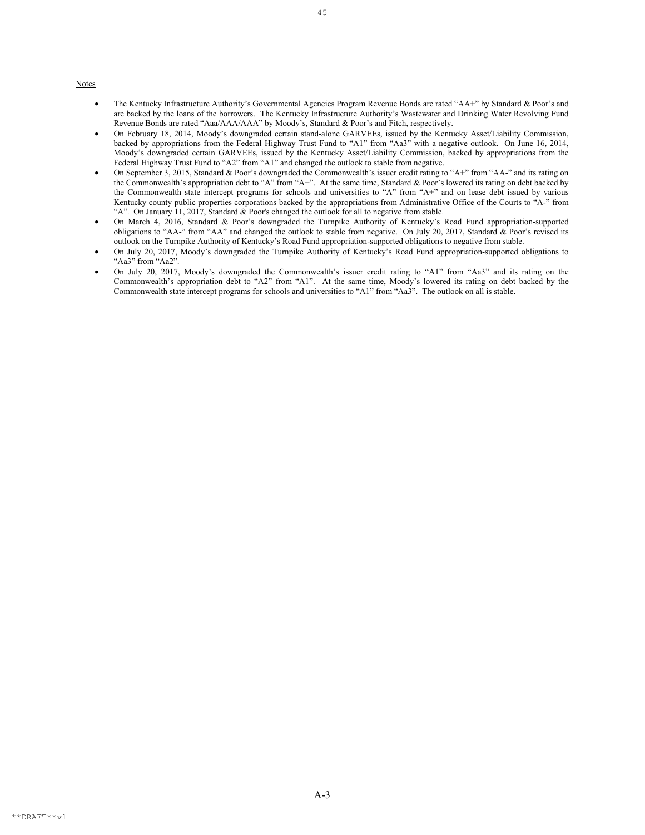#### Notes

- The Kentucky Infrastructure Authority's Governmental Agencies Program Revenue Bonds are rated "AA+" by Standard & Poor's and are backed by the loans of the borrowers. The Kentucky Infrastructure Authority's Wastewater and Drinking Water Revolving Fund Revenue Bonds are rated "Aaa/AAA/AAA" by Moody's, Standard & Poor's and Fitch, respectively.
- On February 18, 2014, Moody's downgraded certain stand-alone GARVEEs, issued by the Kentucky Asset/Liability Commission, backed by appropriations from the Federal Highway Trust Fund to "A1" from "Aa3" with a negative outlook. On June 16, 2014, Moody's downgraded certain GARVEEs, issued by the Kentucky Asset/Liability Commission, backed by appropriations from the Federal Highway Trust Fund to "A2" from "A1" and changed the outlook to stable from negative.
- On September 3, 2015, Standard & Poor's downgraded the Commonwealth's issuer credit rating to "A+" from "AA-" and its rating on the Commonwealth's appropriation debt to "A" from "A+". At the same time, Standard & Poor's lowered its rating on debt backed by the Commonwealth state intercept programs for schools and universities to "A" from "A+" and on lease debt issued by various Kentucky county public properties corporations backed by the appropriations from Administrative Office of the Courts to "A-" from "A". On January 11, 2017, Standard & Poor's changed the outlook for all to negative from stable.
- On March 4, 2016, Standard & Poor's downgraded the Turnpike Authority of Kentucky's Road Fund appropriation-supported obligations to "AA-" from "AA" and changed the outlook to stable from negative. On July 20, 2017, Standard & Poor's revised its outlook on the Turnpike Authority of Kentucky's Road Fund appropriation-supported obligations to negative from stable.
- On July 20, 2017, Moody's downgraded the Turnpike Authority of Kentucky's Road Fund appropriation-supported obligations to "Aa3" from "Aa2"
- On July 20, 2017, Moody's downgraded the Commonwealth's issuer credit rating to "A1" from "Aa3" and its rating on the Commonwealth's appropriation debt to "A2" from "A1". At the same time, Moody's lowered its rating on debt backed by the Commonwealth state intercept programs for schools and universities to "A1" from "Aa3". The outlook on all is stable.

45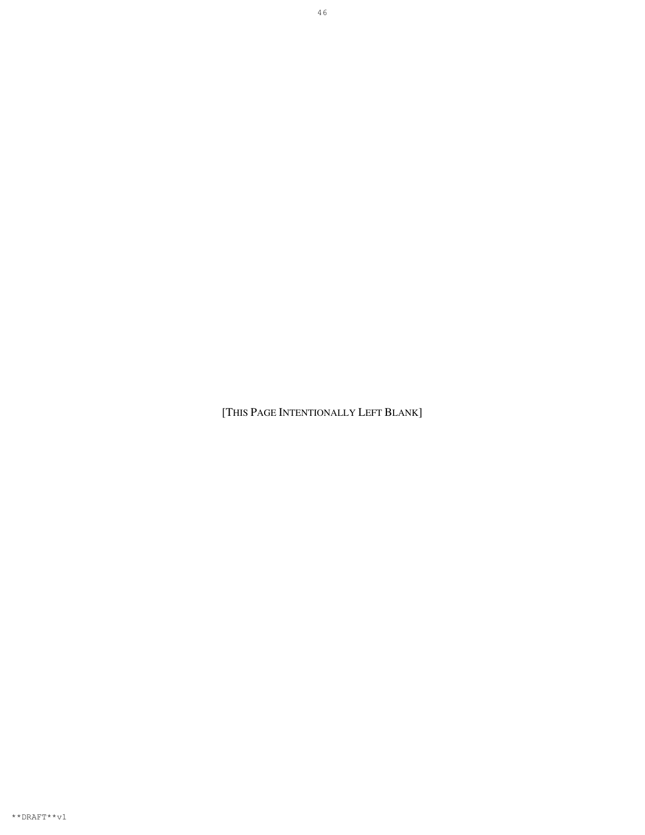[THIS PAGE INTENTIONALLY LEFT BLANK]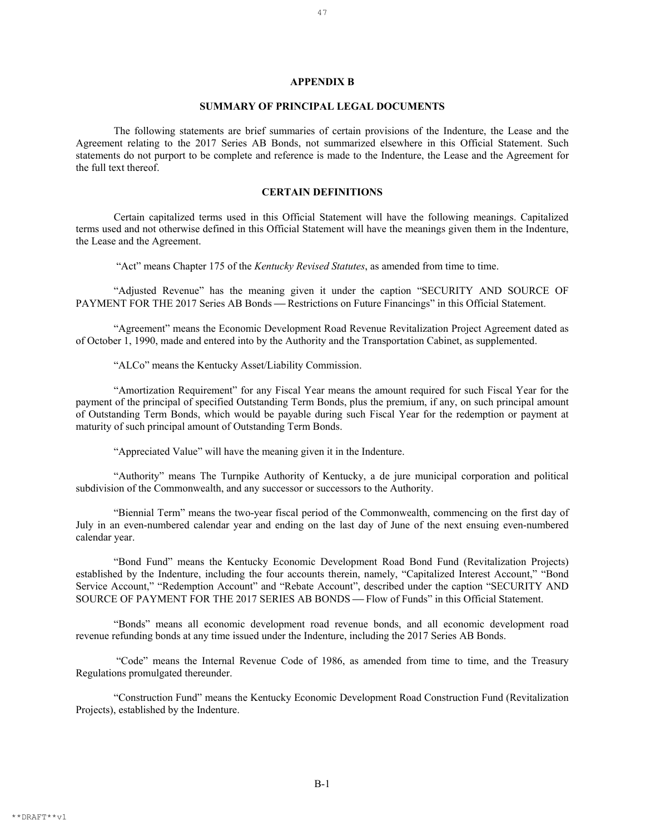## **APPENDIX B**

### **SUMMARY OF PRINCIPAL LEGAL DOCUMENTS**

The following statements are brief summaries of certain provisions of the Indenture, the Lease and the Agreement relating to the 2017 Series AB Bonds, not summarized elsewhere in this Official Statement. Such statements do not purport to be complete and reference is made to the Indenture, the Lease and the Agreement for the full text thereof.

### **CERTAIN DEFINITIONS**

Certain capitalized terms used in this Official Statement will have the following meanings. Capitalized terms used and not otherwise defined in this Official Statement will have the meanings given them in the Indenture, the Lease and the Agreement.

"Act" means Chapter 175 of the *Kentucky Revised Statutes*, as amended from time to time.

"Adjusted Revenue" has the meaning given it under the caption "SECURITY AND SOURCE OF PAYMENT FOR THE 2017 Series AB Bonds — Restrictions on Future Financings" in this Official Statement.

"Agreement" means the Economic Development Road Revenue Revitalization Project Agreement dated as of October 1, 1990, made and entered into by the Authority and the Transportation Cabinet, as supplemented.

"ALCo" means the Kentucky Asset/Liability Commission.

"Amortization Requirement" for any Fiscal Year means the amount required for such Fiscal Year for the payment of the principal of specified Outstanding Term Bonds, plus the premium, if any, on such principal amount of Outstanding Term Bonds, which would be payable during such Fiscal Year for the redemption or payment at maturity of such principal amount of Outstanding Term Bonds.

"Appreciated Value" will have the meaning given it in the Indenture.

"Authority" means The Turnpike Authority of Kentucky, a de jure municipal corporation and political subdivision of the Commonwealth, and any successor or successors to the Authority.

"Biennial Term" means the two-year fiscal period of the Commonwealth, commencing on the first day of July in an even-numbered calendar year and ending on the last day of June of the next ensuing even-numbered calendar year.

"Bond Fund" means the Kentucky Economic Development Road Bond Fund (Revitalization Projects) established by the Indenture, including the four accounts therein, namely, "Capitalized Interest Account," "Bond Service Account," "Redemption Account" and "Rebate Account", described under the caption "SECURITY AND SOURCE OF PAYMENT FOR THE 2017 SERIES AB BONDS — Flow of Funds" in this Official Statement.

"Bonds" means all economic development road revenue bonds, and all economic development road revenue refunding bonds at any time issued under the Indenture, including the 2017 Series AB Bonds.

 "Code" means the Internal Revenue Code of 1986, as amended from time to time, and the Treasury Regulations promulgated thereunder.

"Construction Fund" means the Kentucky Economic Development Road Construction Fund (Revitalization Projects), established by the Indenture.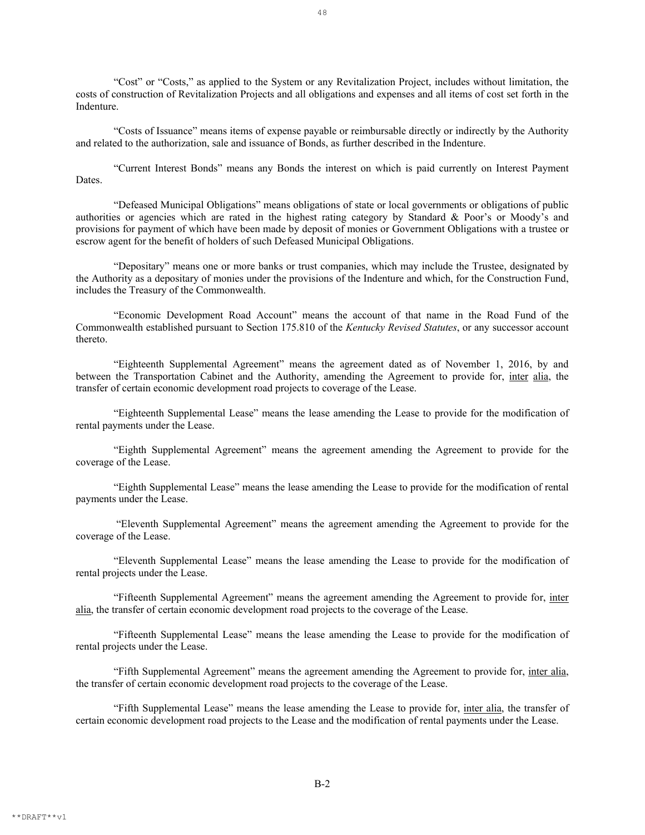"Cost" or "Costs," as applied to the System or any Revitalization Project, includes without limitation, the costs of construction of Revitalization Projects and all obligations and expenses and all items of cost set forth in the Indenture.

"Costs of Issuance" means items of expense payable or reimbursable directly or indirectly by the Authority and related to the authorization, sale and issuance of Bonds, as further described in the Indenture.

"Current Interest Bonds" means any Bonds the interest on which is paid currently on Interest Payment Dates.

"Defeased Municipal Obligations" means obligations of state or local governments or obligations of public authorities or agencies which are rated in the highest rating category by Standard & Poor's or Moody's and provisions for payment of which have been made by deposit of monies or Government Obligations with a trustee or escrow agent for the benefit of holders of such Defeased Municipal Obligations.

"Depositary" means one or more banks or trust companies, which may include the Trustee, designated by the Authority as a depositary of monies under the provisions of the Indenture and which, for the Construction Fund, includes the Treasury of the Commonwealth.

"Economic Development Road Account" means the account of that name in the Road Fund of the Commonwealth established pursuant to Section 175.810 of the *Kentucky Revised Statutes*, or any successor account thereto.

"Eighteenth Supplemental Agreement" means the agreement dated as of November 1, 2016, by and between the Transportation Cabinet and the Authority, amending the Agreement to provide for, inter alia, the transfer of certain economic development road projects to coverage of the Lease.

"Eighteenth Supplemental Lease" means the lease amending the Lease to provide for the modification of rental payments under the Lease.

"Eighth Supplemental Agreement" means the agreement amending the Agreement to provide for the coverage of the Lease.

"Eighth Supplemental Lease" means the lease amending the Lease to provide for the modification of rental payments under the Lease.

 "Eleventh Supplemental Agreement" means the agreement amending the Agreement to provide for the coverage of the Lease.

"Eleventh Supplemental Lease" means the lease amending the Lease to provide for the modification of rental projects under the Lease.

"Fifteenth Supplemental Agreement" means the agreement amending the Agreement to provide for, inter alia, the transfer of certain economic development road projects to the coverage of the Lease.

"Fifteenth Supplemental Lease" means the lease amending the Lease to provide for the modification of rental projects under the Lease.

"Fifth Supplemental Agreement" means the agreement amending the Agreement to provide for, inter alia, the transfer of certain economic development road projects to the coverage of the Lease.

"Fifth Supplemental Lease" means the lease amending the Lease to provide for, inter alia, the transfer of certain economic development road projects to the Lease and the modification of rental payments under the Lease.

48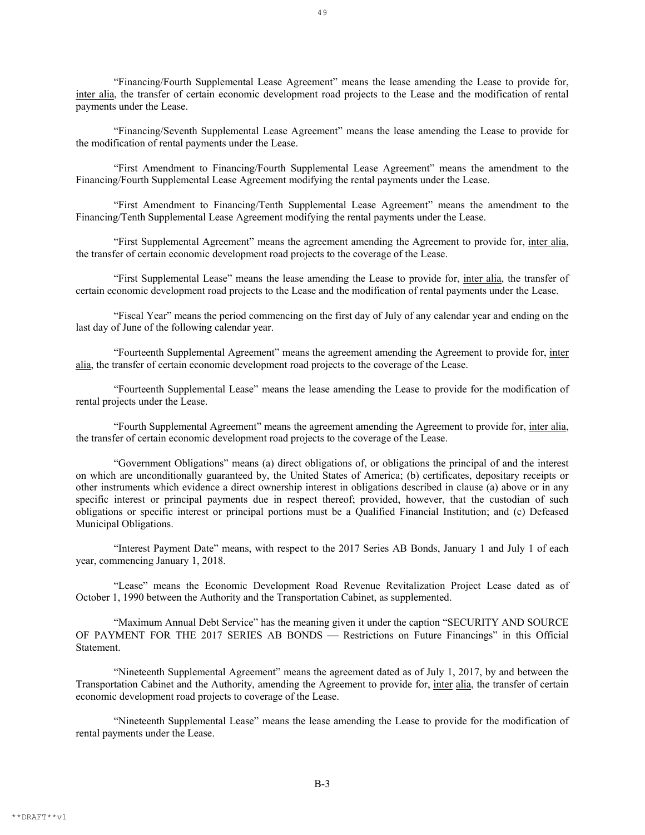"Financing/Fourth Supplemental Lease Agreement" means the lease amending the Lease to provide for, inter alia, the transfer of certain economic development road projects to the Lease and the modification of rental payments under the Lease.

"Financing/Seventh Supplemental Lease Agreement" means the lease amending the Lease to provide for the modification of rental payments under the Lease.

"First Amendment to Financing/Fourth Supplemental Lease Agreement" means the amendment to the Financing/Fourth Supplemental Lease Agreement modifying the rental payments under the Lease.

"First Amendment to Financing/Tenth Supplemental Lease Agreement" means the amendment to the Financing/Tenth Supplemental Lease Agreement modifying the rental payments under the Lease.

"First Supplemental Agreement" means the agreement amending the Agreement to provide for, inter alia, the transfer of certain economic development road projects to the coverage of the Lease.

"First Supplemental Lease" means the lease amending the Lease to provide for, inter alia, the transfer of certain economic development road projects to the Lease and the modification of rental payments under the Lease.

"Fiscal Year" means the period commencing on the first day of July of any calendar year and ending on the last day of June of the following calendar year.

"Fourteenth Supplemental Agreement" means the agreement amending the Agreement to provide for, inter alia, the transfer of certain economic development road projects to the coverage of the Lease.

"Fourteenth Supplemental Lease" means the lease amending the Lease to provide for the modification of rental projects under the Lease.

"Fourth Supplemental Agreement" means the agreement amending the Agreement to provide for, inter alia, the transfer of certain economic development road projects to the coverage of the Lease.

"Government Obligations" means (a) direct obligations of, or obligations the principal of and the interest on which are unconditionally guaranteed by, the United States of America; (b) certificates, depositary receipts or other instruments which evidence a direct ownership interest in obligations described in clause (a) above or in any specific interest or principal payments due in respect thereof; provided, however, that the custodian of such obligations or specific interest or principal portions must be a Qualified Financial Institution; and (c) Defeased Municipal Obligations.

"Interest Payment Date" means, with respect to the 2017 Series AB Bonds, January 1 and July 1 of each year, commencing January 1, 2018.

"Lease" means the Economic Development Road Revenue Revitalization Project Lease dated as of October 1, 1990 between the Authority and the Transportation Cabinet, as supplemented.

"Maximum Annual Debt Service" has the meaning given it under the caption "SECURITY AND SOURCE OF PAYMENT FOR THE 2017 SERIES AB BONDS — Restrictions on Future Financings" in this Official Statement.

"Nineteenth Supplemental Agreement" means the agreement dated as of July 1, 2017, by and between the Transportation Cabinet and the Authority, amending the Agreement to provide for, inter alia, the transfer of certain economic development road projects to coverage of the Lease.

"Nineteenth Supplemental Lease" means the lease amending the Lease to provide for the modification of rental payments under the Lease.

\*\*DRAFT\*\*v1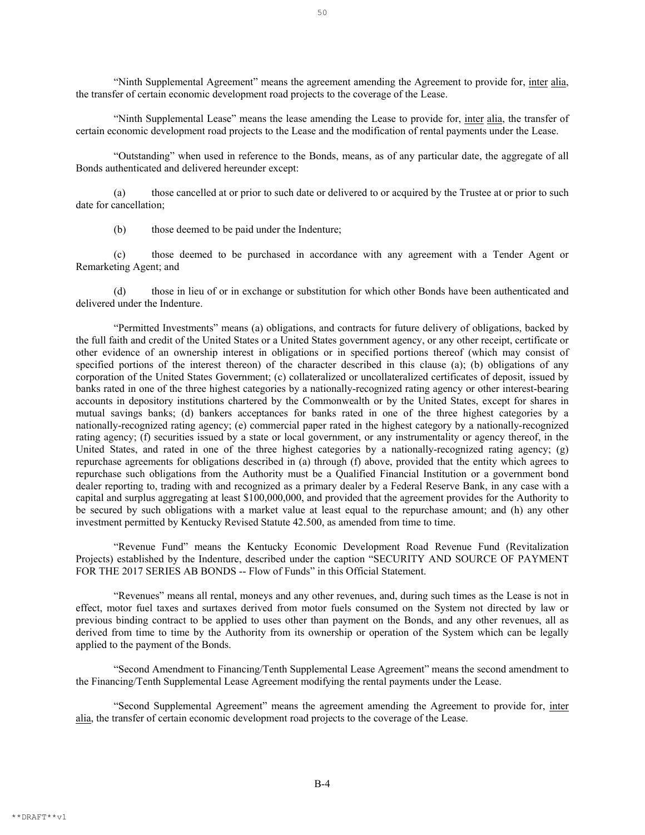50

"Ninth Supplemental Lease" means the lease amending the Lease to provide for, inter alia, the transfer of certain economic development road projects to the Lease and the modification of rental payments under the Lease.

"Outstanding" when used in reference to the Bonds, means, as of any particular date, the aggregate of all Bonds authenticated and delivered hereunder except:

(a) those cancelled at or prior to such date or delivered to or acquired by the Trustee at or prior to such date for cancellation;

(b) those deemed to be paid under the Indenture;

(c) those deemed to be purchased in accordance with any agreement with a Tender Agent or Remarketing Agent; and

(d) those in lieu of or in exchange or substitution for which other Bonds have been authenticated and delivered under the Indenture.

"Permitted Investments" means (a) obligations, and contracts for future delivery of obligations, backed by the full faith and credit of the United States or a United States government agency, or any other receipt, certificate or other evidence of an ownership interest in obligations or in specified portions thereof (which may consist of specified portions of the interest thereon) of the character described in this clause (a); (b) obligations of any corporation of the United States Government; (c) collateralized or uncollateralized certificates of deposit, issued by banks rated in one of the three highest categories by a nationally-recognized rating agency or other interest-bearing accounts in depository institutions chartered by the Commonwealth or by the United States, except for shares in mutual savings banks; (d) bankers acceptances for banks rated in one of the three highest categories by a nationally-recognized rating agency; (e) commercial paper rated in the highest category by a nationally-recognized rating agency; (f) securities issued by a state or local government, or any instrumentality or agency thereof, in the United States, and rated in one of the three highest categories by a nationally-recognized rating agency; (g) repurchase agreements for obligations described in (a) through (f) above, provided that the entity which agrees to repurchase such obligations from the Authority must be a Qualified Financial Institution or a government bond dealer reporting to, trading with and recognized as a primary dealer by a Federal Reserve Bank, in any case with a capital and surplus aggregating at least \$100,000,000, and provided that the agreement provides for the Authority to be secured by such obligations with a market value at least equal to the repurchase amount; and (h) any other investment permitted by Kentucky Revised Statute 42.500, as amended from time to time.

"Revenue Fund" means the Kentucky Economic Development Road Revenue Fund (Revitalization Projects) established by the Indenture, described under the caption "SECURITY AND SOURCE OF PAYMENT FOR THE 2017 SERIES AB BONDS -- Flow of Funds" in this Official Statement.

"Revenues" means all rental, moneys and any other revenues, and, during such times as the Lease is not in effect, motor fuel taxes and surtaxes derived from motor fuels consumed on the System not directed by law or previous binding contract to be applied to uses other than payment on the Bonds, and any other revenues, all as derived from time to time by the Authority from its ownership or operation of the System which can be legally applied to the payment of the Bonds.

"Second Amendment to Financing/Tenth Supplemental Lease Agreement" means the second amendment to the Financing/Tenth Supplemental Lease Agreement modifying the rental payments under the Lease.

"Second Supplemental Agreement" means the agreement amending the Agreement to provide for, inter alia, the transfer of certain economic development road projects to the coverage of the Lease.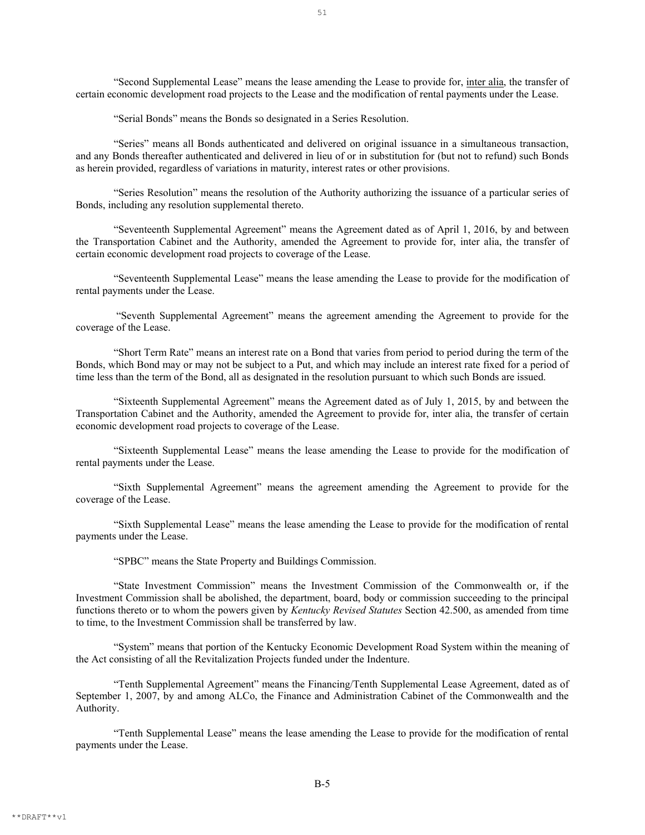"Serial Bonds" means the Bonds so designated in a Series Resolution.

"Series" means all Bonds authenticated and delivered on original issuance in a simultaneous transaction, and any Bonds thereafter authenticated and delivered in lieu of or in substitution for (but not to refund) such Bonds as herein provided, regardless of variations in maturity, interest rates or other provisions.

"Series Resolution" means the resolution of the Authority authorizing the issuance of a particular series of Bonds, including any resolution supplemental thereto.

"Seventeenth Supplemental Agreement" means the Agreement dated as of April 1, 2016, by and between the Transportation Cabinet and the Authority, amended the Agreement to provide for, inter alia, the transfer of certain economic development road projects to coverage of the Lease.

"Seventeenth Supplemental Lease" means the lease amending the Lease to provide for the modification of rental payments under the Lease.

 "Seventh Supplemental Agreement" means the agreement amending the Agreement to provide for the coverage of the Lease.

"Short Term Rate" means an interest rate on a Bond that varies from period to period during the term of the Bonds, which Bond may or may not be subject to a Put, and which may include an interest rate fixed for a period of time less than the term of the Bond, all as designated in the resolution pursuant to which such Bonds are issued.

"Sixteenth Supplemental Agreement" means the Agreement dated as of July 1, 2015, by and between the Transportation Cabinet and the Authority, amended the Agreement to provide for, inter alia, the transfer of certain economic development road projects to coverage of the Lease.

"Sixteenth Supplemental Lease" means the lease amending the Lease to provide for the modification of rental payments under the Lease.

"Sixth Supplemental Agreement" means the agreement amending the Agreement to provide for the coverage of the Lease.

"Sixth Supplemental Lease" means the lease amending the Lease to provide for the modification of rental payments under the Lease.

"SPBC" means the State Property and Buildings Commission.

"State Investment Commission" means the Investment Commission of the Commonwealth or, if the Investment Commission shall be abolished, the department, board, body or commission succeeding to the principal functions thereto or to whom the powers given by *Kentucky Revised Statutes* Section 42.500, as amended from time to time, to the Investment Commission shall be transferred by law.

"System" means that portion of the Kentucky Economic Development Road System within the meaning of the Act consisting of all the Revitalization Projects funded under the Indenture.

"Tenth Supplemental Agreement" means the Financing/Tenth Supplemental Lease Agreement, dated as of September 1, 2007, by and among ALCo, the Finance and Administration Cabinet of the Commonwealth and the Authority.

"Tenth Supplemental Lease" means the lease amending the Lease to provide for the modification of rental payments under the Lease.

\*\*DRAFT\*\*v1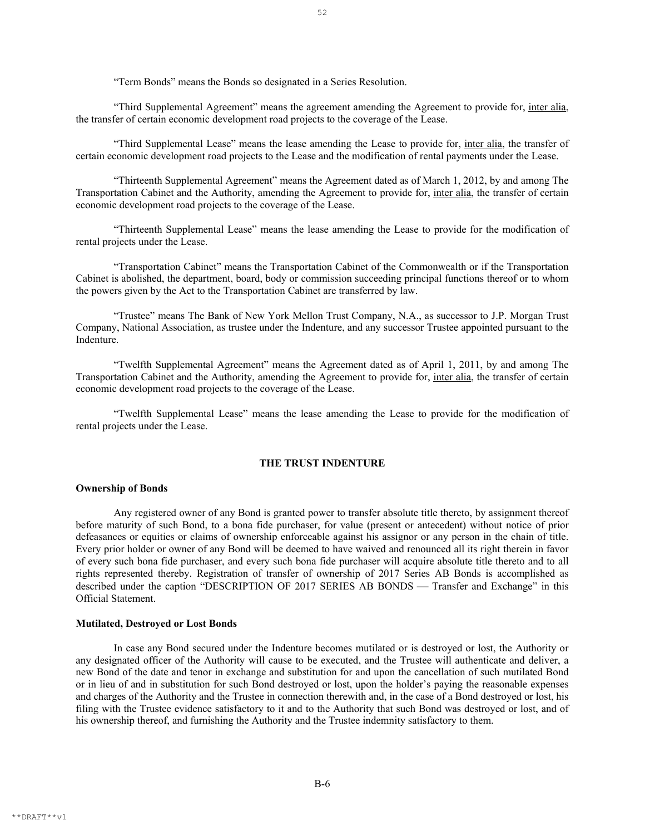"Term Bonds" means the Bonds so designated in a Series Resolution.

"Third Supplemental Agreement" means the agreement amending the Agreement to provide for, inter alia, the transfer of certain economic development road projects to the coverage of the Lease.

"Third Supplemental Lease" means the lease amending the Lease to provide for, inter alia, the transfer of certain economic development road projects to the Lease and the modification of rental payments under the Lease.

"Thirteenth Supplemental Agreement" means the Agreement dated as of March 1, 2012, by and among The Transportation Cabinet and the Authority, amending the Agreement to provide for, inter alia, the transfer of certain economic development road projects to the coverage of the Lease.

"Thirteenth Supplemental Lease" means the lease amending the Lease to provide for the modification of rental projects under the Lease.

"Transportation Cabinet" means the Transportation Cabinet of the Commonwealth or if the Transportation Cabinet is abolished, the department, board, body or commission succeeding principal functions thereof or to whom the powers given by the Act to the Transportation Cabinet are transferred by law.

"Trustee" means The Bank of New York Mellon Trust Company, N.A., as successor to J.P. Morgan Trust Company, National Association, as trustee under the Indenture, and any successor Trustee appointed pursuant to the Indenture.

"Twelfth Supplemental Agreement" means the Agreement dated as of April 1, 2011, by and among The Transportation Cabinet and the Authority, amending the Agreement to provide for, inter alia, the transfer of certain economic development road projects to the coverage of the Lease.

"Twelfth Supplemental Lease" means the lease amending the Lease to provide for the modification of rental projects under the Lease.

## **THE TRUST INDENTURE**

## **Ownership of Bonds**

Any registered owner of any Bond is granted power to transfer absolute title thereto, by assignment thereof before maturity of such Bond, to a bona fide purchaser, for value (present or antecedent) without notice of prior defeasances or equities or claims of ownership enforceable against his assignor or any person in the chain of title. Every prior holder or owner of any Bond will be deemed to have waived and renounced all its right therein in favor of every such bona fide purchaser, and every such bona fide purchaser will acquire absolute title thereto and to all rights represented thereby. Registration of transfer of ownership of 2017 Series AB Bonds is accomplished as described under the caption "DESCRIPTION OF 2017 SERIES AB BONDS - Transfer and Exchange" in this Official Statement.

### **Mutilated, Destroyed or Lost Bonds**

In case any Bond secured under the Indenture becomes mutilated or is destroyed or lost, the Authority or any designated officer of the Authority will cause to be executed, and the Trustee will authenticate and deliver, a new Bond of the date and tenor in exchange and substitution for and upon the cancellation of such mutilated Bond or in lieu of and in substitution for such Bond destroyed or lost, upon the holder's paying the reasonable expenses and charges of the Authority and the Trustee in connection therewith and, in the case of a Bond destroyed or lost, his filing with the Trustee evidence satisfactory to it and to the Authority that such Bond was destroyed or lost, and of his ownership thereof, and furnishing the Authority and the Trustee indemnity satisfactory to them.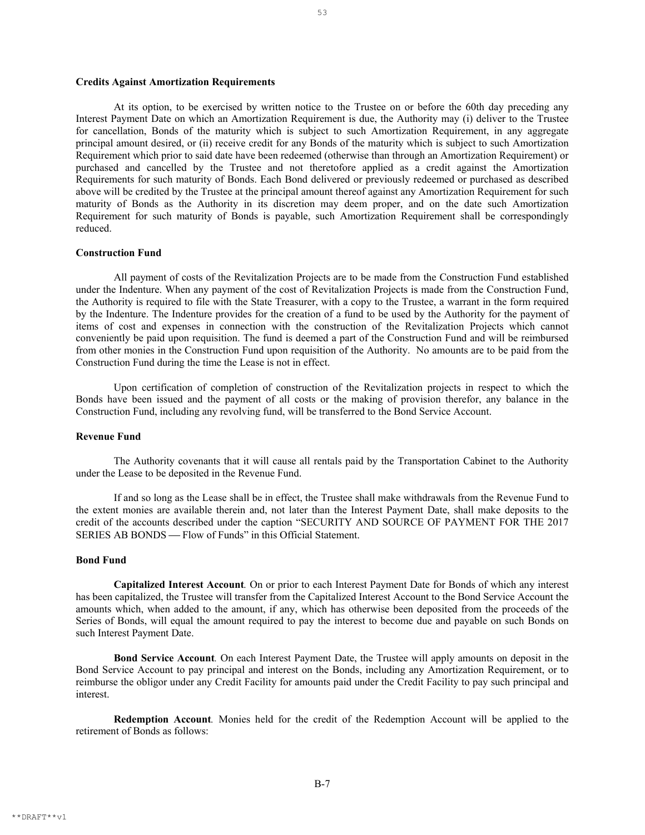### **Credits Against Amortization Requirements**

At its option, to be exercised by written notice to the Trustee on or before the 60th day preceding any Interest Payment Date on which an Amortization Requirement is due, the Authority may (i) deliver to the Trustee for cancellation, Bonds of the maturity which is subject to such Amortization Requirement, in any aggregate principal amount desired, or (ii) receive credit for any Bonds of the maturity which is subject to such Amortization Requirement which prior to said date have been redeemed (otherwise than through an Amortization Requirement) or purchased and cancelled by the Trustee and not theretofore applied as a credit against the Amortization Requirements for such maturity of Bonds. Each Bond delivered or previously redeemed or purchased as described above will be credited by the Trustee at the principal amount thereof against any Amortization Requirement for such maturity of Bonds as the Authority in its discretion may deem proper, and on the date such Amortization Requirement for such maturity of Bonds is payable, such Amortization Requirement shall be correspondingly reduced.

### **Construction Fund**

All payment of costs of the Revitalization Projects are to be made from the Construction Fund established under the Indenture. When any payment of the cost of Revitalization Projects is made from the Construction Fund, the Authority is required to file with the State Treasurer, with a copy to the Trustee, a warrant in the form required by the Indenture. The Indenture provides for the creation of a fund to be used by the Authority for the payment of items of cost and expenses in connection with the construction of the Revitalization Projects which cannot conveniently be paid upon requisition. The fund is deemed a part of the Construction Fund and will be reimbursed from other monies in the Construction Fund upon requisition of the Authority. No amounts are to be paid from the Construction Fund during the time the Lease is not in effect.

Upon certification of completion of construction of the Revitalization projects in respect to which the Bonds have been issued and the payment of all costs or the making of provision therefor, any balance in the Construction Fund, including any revolving fund, will be transferred to the Bond Service Account.

### **Revenue Fund**

The Authority covenants that it will cause all rentals paid by the Transportation Cabinet to the Authority under the Lease to be deposited in the Revenue Fund.

If and so long as the Lease shall be in effect, the Trustee shall make withdrawals from the Revenue Fund to the extent monies are available therein and, not later than the Interest Payment Date, shall make deposits to the credit of the accounts described under the caption "SECURITY AND SOURCE OF PAYMENT FOR THE 2017 SERIES AB BONDS — Flow of Funds" in this Official Statement.

#### **Bond Fund**

**Capitalized Interest Account***.* On or prior to each Interest Payment Date for Bonds of which any interest has been capitalized, the Trustee will transfer from the Capitalized Interest Account to the Bond Service Account the amounts which, when added to the amount, if any, which has otherwise been deposited from the proceeds of the Series of Bonds, will equal the amount required to pay the interest to become due and payable on such Bonds on such Interest Payment Date.

**Bond Service Account***.* On each Interest Payment Date, the Trustee will apply amounts on deposit in the Bond Service Account to pay principal and interest on the Bonds, including any Amortization Requirement, or to reimburse the obligor under any Credit Facility for amounts paid under the Credit Facility to pay such principal and interest.

**Redemption Account***.* Monies held for the credit of the Redemption Account will be applied to the retirement of Bonds as follows:

B-7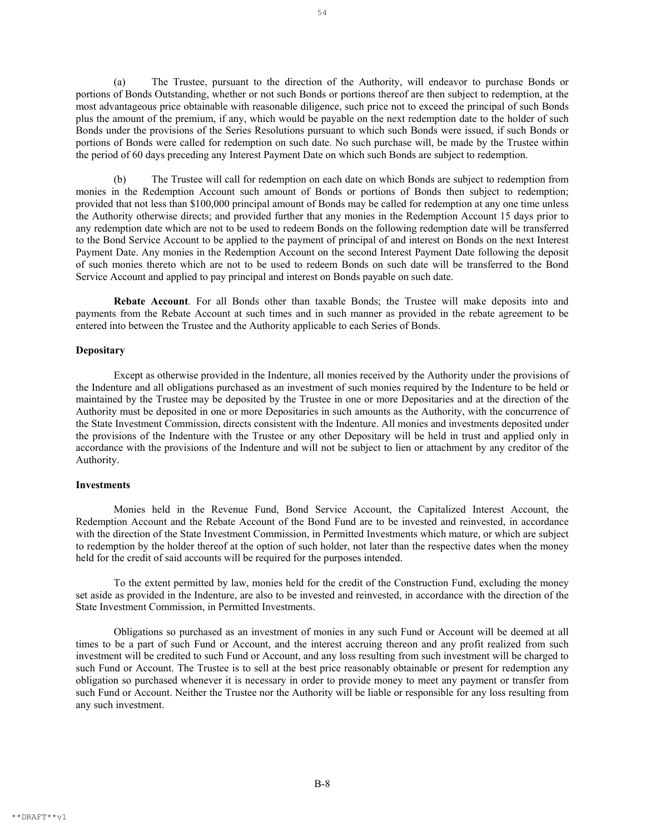(a) The Trustee, pursuant to the direction of the Authority, will endeavor to purchase Bonds or portions of Bonds Outstanding, whether or not such Bonds or portions thereof are then subject to redemption, at the most advantageous price obtainable with reasonable diligence, such price not to exceed the principal of such Bonds plus the amount of the premium, if any, which would be payable on the next redemption date to the holder of such Bonds under the provisions of the Series Resolutions pursuant to which such Bonds were issued, if such Bonds or portions of Bonds were called for redemption on such date. No such purchase will, be made by the Trustee within the period of 60 days preceding any Interest Payment Date on which such Bonds are subject to redemption.

(b) The Trustee will call for redemption on each date on which Bonds are subject to redemption from monies in the Redemption Account such amount of Bonds or portions of Bonds then subject to redemption; provided that not less than \$100,000 principal amount of Bonds may be called for redemption at any one time unless the Authority otherwise directs; and provided further that any monies in the Redemption Account 15 days prior to any redemption date which are not to be used to redeem Bonds on the following redemption date will be transferred to the Bond Service Account to be applied to the payment of principal of and interest on Bonds on the next Interest Payment Date. Any monies in the Redemption Account on the second Interest Payment Date following the deposit of such monies thereto which are not to be used to redeem Bonds on such date will be transferred to the Bond Service Account and applied to pay principal and interest on Bonds payable on such date.

**Rebate Account***.* For all Bonds other than taxable Bonds; the Trustee will make deposits into and payments from the Rebate Account at such times and in such manner as provided in the rebate agreement to be entered into between the Trustee and the Authority applicable to each Series of Bonds.

## **Depositary**

Except as otherwise provided in the Indenture, all monies received by the Authority under the provisions of the Indenture and all obligations purchased as an investment of such monies required by the Indenture to be held or maintained by the Trustee may be deposited by the Trustee in one or more Depositaries and at the direction of the Authority must be deposited in one or more Depositaries in such amounts as the Authority, with the concurrence of the State Investment Commission, directs consistent with the Indenture. All monies and investments deposited under the provisions of the Indenture with the Trustee or any other Depositary will be held in trust and applied only in accordance with the provisions of the Indenture and will not be subject to lien or attachment by any creditor of the Authority.

## **Investments**

Monies held in the Revenue Fund, Bond Service Account, the Capitalized Interest Account, the Redemption Account and the Rebate Account of the Bond Fund are to be invested and reinvested, in accordance with the direction of the State Investment Commission, in Permitted Investments which mature, or which are subject to redemption by the holder thereof at the option of such holder, not later than the respective dates when the money held for the credit of said accounts will be required for the purposes intended.

To the extent permitted by law, monies held for the credit of the Construction Fund, excluding the money set aside as provided in the Indenture, are also to be invested and reinvested, in accordance with the direction of the State Investment Commission, in Permitted Investments.

Obligations so purchased as an investment of monies in any such Fund or Account will be deemed at all times to be a part of such Fund or Account, and the interest accruing thereon and any profit realized from such investment will be credited to such Fund or Account, and any loss resulting from such investment will be charged to such Fund or Account. The Trustee is to sell at the best price reasonably obtainable or present for redemption any obligation so purchased whenever it is necessary in order to provide money to meet any payment or transfer from such Fund or Account. Neither the Trustee nor the Authority will be liable or responsible for any loss resulting from any such investment.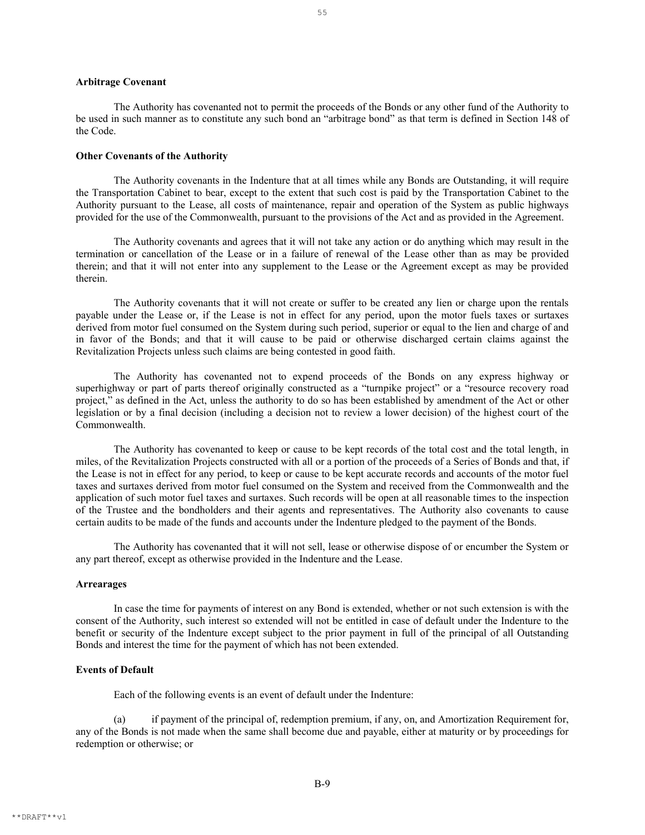#### **Arbitrage Covenant**

The Authority has covenanted not to permit the proceeds of the Bonds or any other fund of the Authority to be used in such manner as to constitute any such bond an "arbitrage bond" as that term is defined in Section 148 of the Code.

## **Other Covenants of the Authority**

The Authority covenants in the Indenture that at all times while any Bonds are Outstanding, it will require the Transportation Cabinet to bear, except to the extent that such cost is paid by the Transportation Cabinet to the Authority pursuant to the Lease, all costs of maintenance, repair and operation of the System as public highways provided for the use of the Commonwealth, pursuant to the provisions of the Act and as provided in the Agreement.

The Authority covenants and agrees that it will not take any action or do anything which may result in the termination or cancellation of the Lease or in a failure of renewal of the Lease other than as may be provided therein; and that it will not enter into any supplement to the Lease or the Agreement except as may be provided therein.

The Authority covenants that it will not create or suffer to be created any lien or charge upon the rentals payable under the Lease or, if the Lease is not in effect for any period, upon the motor fuels taxes or surtaxes derived from motor fuel consumed on the System during such period, superior or equal to the lien and charge of and in favor of the Bonds; and that it will cause to be paid or otherwise discharged certain claims against the Revitalization Projects unless such claims are being contested in good faith.

The Authority has covenanted not to expend proceeds of the Bonds on any express highway or superhighway or part of parts thereof originally constructed as a "turnpike project" or a "resource recovery road project," as defined in the Act, unless the authority to do so has been established by amendment of the Act or other legislation or by a final decision (including a decision not to review a lower decision) of the highest court of the Commonwealth.

The Authority has covenanted to keep or cause to be kept records of the total cost and the total length, in miles, of the Revitalization Projects constructed with all or a portion of the proceeds of a Series of Bonds and that, if the Lease is not in effect for any period, to keep or cause to be kept accurate records and accounts of the motor fuel taxes and surtaxes derived from motor fuel consumed on the System and received from the Commonwealth and the application of such motor fuel taxes and surtaxes. Such records will be open at all reasonable times to the inspection of the Trustee and the bondholders and their agents and representatives. The Authority also covenants to cause certain audits to be made of the funds and accounts under the Indenture pledged to the payment of the Bonds.

The Authority has covenanted that it will not sell, lease or otherwise dispose of or encumber the System or any part thereof, except as otherwise provided in the Indenture and the Lease.

### **Arrearages**

In case the time for payments of interest on any Bond is extended, whether or not such extension is with the consent of the Authority, such interest so extended will not be entitled in case of default under the Indenture to the benefit or security of the Indenture except subject to the prior payment in full of the principal of all Outstanding Bonds and interest the time for the payment of which has not been extended.

### **Events of Default**

Each of the following events is an event of default under the Indenture:

(a) if payment of the principal of, redemption premium, if any, on, and Amortization Requirement for, any of the Bonds is not made when the same shall become due and payable, either at maturity or by proceedings for redemption or otherwise; or

55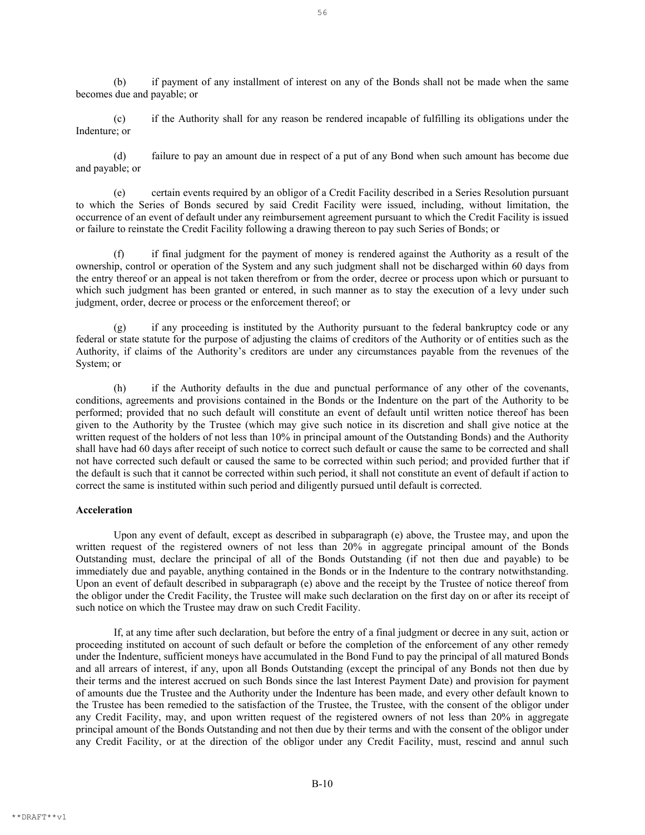(b) if payment of any installment of interest on any of the Bonds shall not be made when the same becomes due and payable; or

(c) if the Authority shall for any reason be rendered incapable of fulfilling its obligations under the Indenture; or

(d) failure to pay an amount due in respect of a put of any Bond when such amount has become due and payable; or

(e) certain events required by an obligor of a Credit Facility described in a Series Resolution pursuant to which the Series of Bonds secured by said Credit Facility were issued, including, without limitation, the occurrence of an event of default under any reimbursement agreement pursuant to which the Credit Facility is issued or failure to reinstate the Credit Facility following a drawing thereon to pay such Series of Bonds; or

(f) if final judgment for the payment of money is rendered against the Authority as a result of the ownership, control or operation of the System and any such judgment shall not be discharged within 60 days from the entry thereof or an appeal is not taken therefrom or from the order, decree or process upon which or pursuant to which such judgment has been granted or entered, in such manner as to stay the execution of a levy under such judgment, order, decree or process or the enforcement thereof; or

(g) if any proceeding is instituted by the Authority pursuant to the federal bankruptcy code or any federal or state statute for the purpose of adjusting the claims of creditors of the Authority or of entities such as the Authority, if claims of the Authority's creditors are under any circumstances payable from the revenues of the System; or

(h) if the Authority defaults in the due and punctual performance of any other of the covenants, conditions, agreements and provisions contained in the Bonds or the Indenture on the part of the Authority to be performed; provided that no such default will constitute an event of default until written notice thereof has been given to the Authority by the Trustee (which may give such notice in its discretion and shall give notice at the written request of the holders of not less than 10% in principal amount of the Outstanding Bonds) and the Authority shall have had 60 days after receipt of such notice to correct such default or cause the same to be corrected and shall not have corrected such default or caused the same to be corrected within such period; and provided further that if the default is such that it cannot be corrected within such period, it shall not constitute an event of default if action to correct the same is instituted within such period and diligently pursued until default is corrected.

## **Acceleration**

Upon any event of default, except as described in subparagraph (e) above, the Trustee may, and upon the written request of the registered owners of not less than 20% in aggregate principal amount of the Bonds Outstanding must, declare the principal of all of the Bonds Outstanding (if not then due and payable) to be immediately due and payable, anything contained in the Bonds or in the Indenture to the contrary notwithstanding. Upon an event of default described in subparagraph (e) above and the receipt by the Trustee of notice thereof from the obligor under the Credit Facility, the Trustee will make such declaration on the first day on or after its receipt of such notice on which the Trustee may draw on such Credit Facility.

If, at any time after such declaration, but before the entry of a final judgment or decree in any suit, action or proceeding instituted on account of such default or before the completion of the enforcement of any other remedy under the Indenture, sufficient moneys have accumulated in the Bond Fund to pay the principal of all matured Bonds and all arrears of interest, if any, upon all Bonds Outstanding (except the principal of any Bonds not then due by their terms and the interest accrued on such Bonds since the last Interest Payment Date) and provision for payment of amounts due the Trustee and the Authority under the Indenture has been made, and every other default known to the Trustee has been remedied to the satisfaction of the Trustee, the Trustee, with the consent of the obligor under any Credit Facility, may, and upon written request of the registered owners of not less than 20% in aggregate principal amount of the Bonds Outstanding and not then due by their terms and with the consent of the obligor under any Credit Facility, or at the direction of the obligor under any Credit Facility, must, rescind and annul such

56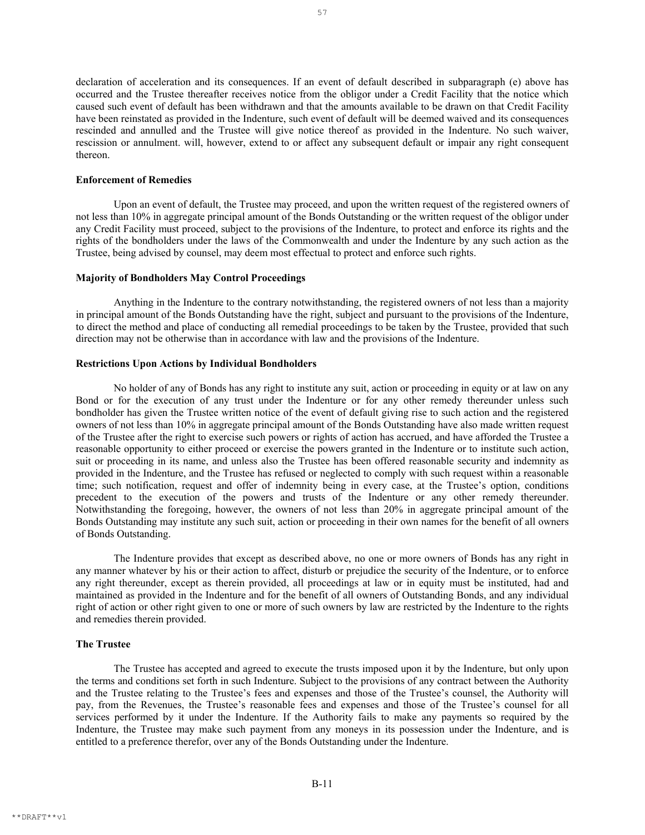declaration of acceleration and its consequences. If an event of default described in subparagraph (e) above has occurred and the Trustee thereafter receives notice from the obligor under a Credit Facility that the notice which caused such event of default has been withdrawn and that the amounts available to be drawn on that Credit Facility have been reinstated as provided in the Indenture, such event of default will be deemed waived and its consequences rescinded and annulled and the Trustee will give notice thereof as provided in the Indenture. No such waiver, rescission or annulment. will, however, extend to or affect any subsequent default or impair any right consequent thereon.

### **Enforcement of Remedies**

Upon an event of default, the Trustee may proceed, and upon the written request of the registered owners of not less than 10% in aggregate principal amount of the Bonds Outstanding or the written request of the obligor under any Credit Facility must proceed, subject to the provisions of the Indenture, to protect and enforce its rights and the rights of the bondholders under the laws of the Commonwealth and under the Indenture by any such action as the Trustee, being advised by counsel, may deem most effectual to protect and enforce such rights.

### **Majority of Bondholders May Control Proceedings**

Anything in the Indenture to the contrary notwithstanding, the registered owners of not less than a majority in principal amount of the Bonds Outstanding have the right, subject and pursuant to the provisions of the Indenture, to direct the method and place of conducting all remedial proceedings to be taken by the Trustee, provided that such direction may not be otherwise than in accordance with law and the provisions of the Indenture.

### **Restrictions Upon Actions by Individual Bondholders**

No holder of any of Bonds has any right to institute any suit, action or proceeding in equity or at law on any Bond or for the execution of any trust under the Indenture or for any other remedy thereunder unless such bondholder has given the Trustee written notice of the event of default giving rise to such action and the registered owners of not less than 10% in aggregate principal amount of the Bonds Outstanding have also made written request of the Trustee after the right to exercise such powers or rights of action has accrued, and have afforded the Trustee a reasonable opportunity to either proceed or exercise the powers granted in the Indenture or to institute such action, suit or proceeding in its name, and unless also the Trustee has been offered reasonable security and indemnity as provided in the Indenture, and the Trustee has refused or neglected to comply with such request within a reasonable time; such notification, request and offer of indemnity being in every case, at the Trustee's option, conditions precedent to the execution of the powers and trusts of the Indenture or any other remedy thereunder. Notwithstanding the foregoing, however, the owners of not less than 20% in aggregate principal amount of the Bonds Outstanding may institute any such suit, action or proceeding in their own names for the benefit of all owners of Bonds Outstanding.

The Indenture provides that except as described above, no one or more owners of Bonds has any right in any manner whatever by his or their action to affect, disturb or prejudice the security of the Indenture, or to enforce any right thereunder, except as therein provided, all proceedings at law or in equity must be instituted, had and maintained as provided in the Indenture and for the benefit of all owners of Outstanding Bonds, and any individual right of action or other right given to one or more of such owners by law are restricted by the Indenture to the rights and remedies therein provided.

## **The Trustee**

The Trustee has accepted and agreed to execute the trusts imposed upon it by the Indenture, but only upon the terms and conditions set forth in such Indenture. Subject to the provisions of any contract between the Authority and the Trustee relating to the Trustee's fees and expenses and those of the Trustee's counsel, the Authority will pay, from the Revenues, the Trustee's reasonable fees and expenses and those of the Trustee's counsel for all services performed by it under the Indenture. If the Authority fails to make any payments so required by the Indenture, the Trustee may make such payment from any moneys in its possession under the Indenture, and is entitled to a preference therefor, over any of the Bonds Outstanding under the Indenture.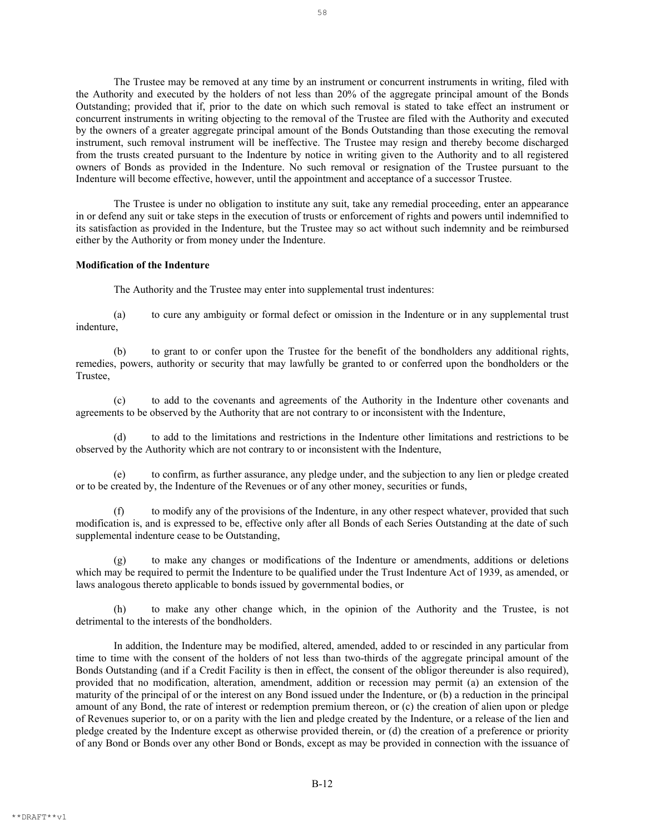The Trustee may be removed at any time by an instrument or concurrent instruments in writing, filed with the Authority and executed by the holders of not less than 20% of the aggregate principal amount of the Bonds Outstanding; provided that if, prior to the date on which such removal is stated to take effect an instrument or concurrent instruments in writing objecting to the removal of the Trustee are filed with the Authority and executed by the owners of a greater aggregate principal amount of the Bonds Outstanding than those executing the removal instrument, such removal instrument will be ineffective. The Trustee may resign and thereby become discharged from the trusts created pursuant to the Indenture by notice in writing given to the Authority and to all registered owners of Bonds as provided in the Indenture. No such removal or resignation of the Trustee pursuant to the Indenture will become effective, however, until the appointment and acceptance of a successor Trustee.

The Trustee is under no obligation to institute any suit, take any remedial proceeding, enter an appearance in or defend any suit or take steps in the execution of trusts or enforcement of rights and powers until indemnified to its satisfaction as provided in the Indenture, but the Trustee may so act without such indemnity and be reimbursed either by the Authority or from money under the Indenture.

## **Modification of the Indenture**

The Authority and the Trustee may enter into supplemental trust indentures:

(a) to cure any ambiguity or formal defect or omission in the Indenture or in any supplemental trust indenture,

(b) to grant to or confer upon the Trustee for the benefit of the bondholders any additional rights, remedies, powers, authority or security that may lawfully be granted to or conferred upon the bondholders or the Trustee,

(c) to add to the covenants and agreements of the Authority in the Indenture other covenants and agreements to be observed by the Authority that are not contrary to or inconsistent with the Indenture,

(d) to add to the limitations and restrictions in the Indenture other limitations and restrictions to be observed by the Authority which are not contrary to or inconsistent with the Indenture,

(e) to confirm, as further assurance, any pledge under, and the subjection to any lien or pledge created or to be created by, the Indenture of the Revenues or of any other money, securities or funds,

(f) to modify any of the provisions of the Indenture, in any other respect whatever, provided that such modification is, and is expressed to be, effective only after all Bonds of each Series Outstanding at the date of such supplemental indenture cease to be Outstanding,

(g) to make any changes or modifications of the Indenture or amendments, additions or deletions which may be required to permit the Indenture to be qualified under the Trust Indenture Act of 1939, as amended, or laws analogous thereto applicable to bonds issued by governmental bodies, or

(h) to make any other change which, in the opinion of the Authority and the Trustee, is not detrimental to the interests of the bondholders.

In addition, the Indenture may be modified, altered, amended, added to or rescinded in any particular from time to time with the consent of the holders of not less than two-thirds of the aggregate principal amount of the Bonds Outstanding (and if a Credit Facility is then in effect, the consent of the obligor thereunder is also required), provided that no modification, alteration, amendment, addition or recession may permit (a) an extension of the maturity of the principal of or the interest on any Bond issued under the Indenture, or (b) a reduction in the principal amount of any Bond, the rate of interest or redemption premium thereon, or (c) the creation of alien upon or pledge of Revenues superior to, or on a parity with the lien and pledge created by the Indenture, or a release of the lien and pledge created by the Indenture except as otherwise provided therein, or (d) the creation of a preference or priority of any Bond or Bonds over any other Bond or Bonds, except as may be provided in connection with the issuance of

58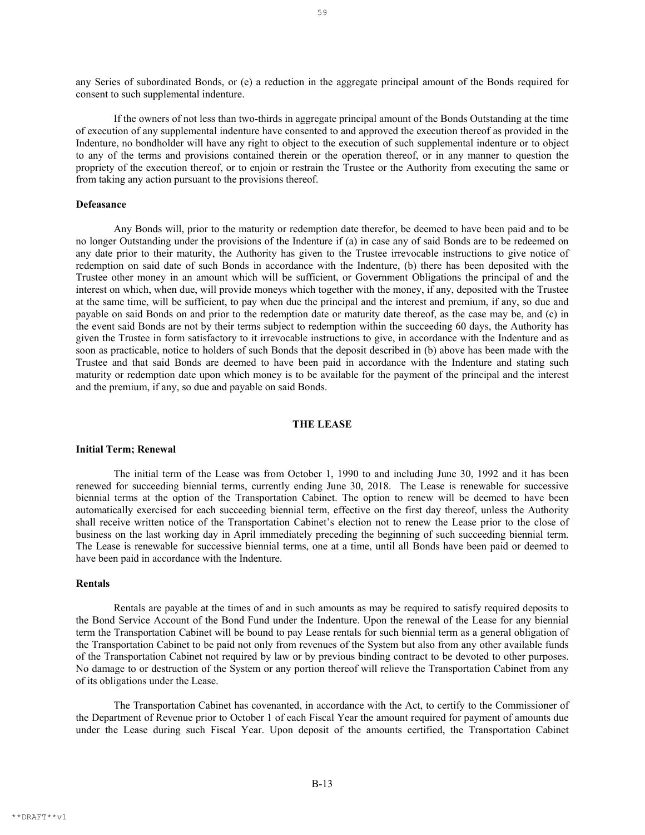any Series of subordinated Bonds, or (e) a reduction in the aggregate principal amount of the Bonds required for consent to such supplemental indenture.

If the owners of not less than two-thirds in aggregate principal amount of the Bonds Outstanding at the time of execution of any supplemental indenture have consented to and approved the execution thereof as provided in the Indenture, no bondholder will have any right to object to the execution of such supplemental indenture or to object to any of the terms and provisions contained therein or the operation thereof, or in any manner to question the propriety of the execution thereof, or to enjoin or restrain the Trustee or the Authority from executing the same or from taking any action pursuant to the provisions thereof.

### **Defeasance**

Any Bonds will, prior to the maturity or redemption date therefor, be deemed to have been paid and to be no longer Outstanding under the provisions of the Indenture if (a) in case any of said Bonds are to be redeemed on any date prior to their maturity, the Authority has given to the Trustee irrevocable instructions to give notice of redemption on said date of such Bonds in accordance with the Indenture, (b) there has been deposited with the Trustee other money in an amount which will be sufficient, or Government Obligations the principal of and the interest on which, when due, will provide moneys which together with the money, if any, deposited with the Trustee at the same time, will be sufficient, to pay when due the principal and the interest and premium, if any, so due and payable on said Bonds on and prior to the redemption date or maturity date thereof, as the case may be, and (c) in the event said Bonds are not by their terms subject to redemption within the succeeding 60 days, the Authority has given the Trustee in form satisfactory to it irrevocable instructions to give, in accordance with the Indenture and as soon as practicable, notice to holders of such Bonds that the deposit described in (b) above has been made with the Trustee and that said Bonds are deemed to have been paid in accordance with the Indenture and stating such maturity or redemption date upon which money is to be available for the payment of the principal and the interest and the premium, if any, so due and payable on said Bonds.

### **THE LEASE**

#### **Initial Term; Renewal**

The initial term of the Lease was from October 1, 1990 to and including June 30, 1992 and it has been renewed for succeeding biennial terms, currently ending June 30, 2018. The Lease is renewable for successive biennial terms at the option of the Transportation Cabinet. The option to renew will be deemed to have been automatically exercised for each succeeding biennial term, effective on the first day thereof, unless the Authority shall receive written notice of the Transportation Cabinet's election not to renew the Lease prior to the close of business on the last working day in April immediately preceding the beginning of such succeeding biennial term. The Lease is renewable for successive biennial terms, one at a time, until all Bonds have been paid or deemed to have been paid in accordance with the Indenture.

### **Rentals**

Rentals are payable at the times of and in such amounts as may be required to satisfy required deposits to the Bond Service Account of the Bond Fund under the Indenture. Upon the renewal of the Lease for any biennial term the Transportation Cabinet will be bound to pay Lease rentals for such biennial term as a general obligation of the Transportation Cabinet to be paid not only from revenues of the System but also from any other available funds of the Transportation Cabinet not required by law or by previous binding contract to be devoted to other purposes. No damage to or destruction of the System or any portion thereof will relieve the Transportation Cabinet from any of its obligations under the Lease.

The Transportation Cabinet has covenanted, in accordance with the Act, to certify to the Commissioner of the Department of Revenue prior to October 1 of each Fiscal Year the amount required for payment of amounts due under the Lease during such Fiscal Year. Upon deposit of the amounts certified, the Transportation Cabinet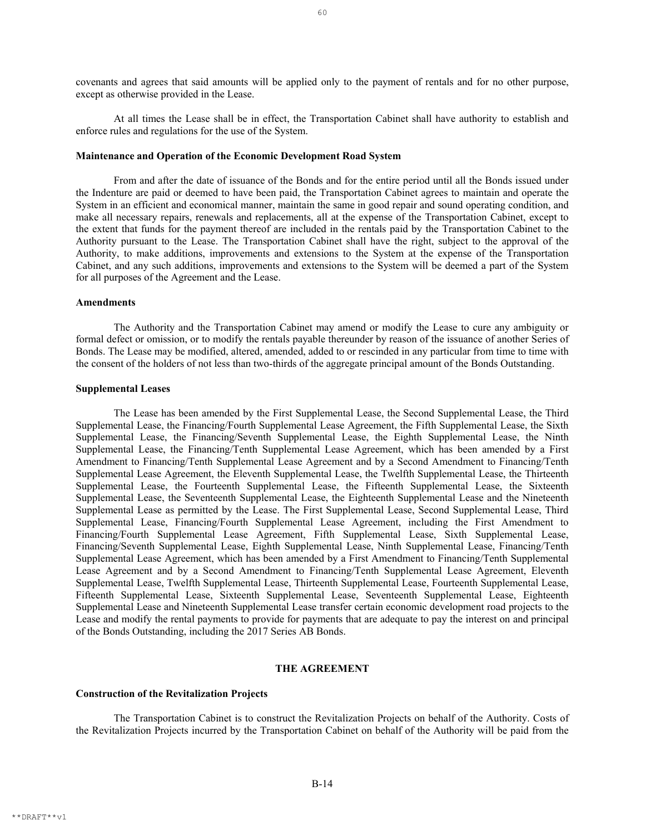covenants and agrees that said amounts will be applied only to the payment of rentals and for no other purpose, except as otherwise provided in the Lease.

At all times the Lease shall be in effect, the Transportation Cabinet shall have authority to establish and enforce rules and regulations for the use of the System.

## **Maintenance and Operation of the Economic Development Road System**

From and after the date of issuance of the Bonds and for the entire period until all the Bonds issued under the Indenture are paid or deemed to have been paid, the Transportation Cabinet agrees to maintain and operate the System in an efficient and economical manner, maintain the same in good repair and sound operating condition, and make all necessary repairs, renewals and replacements, all at the expense of the Transportation Cabinet, except to the extent that funds for the payment thereof are included in the rentals paid by the Transportation Cabinet to the Authority pursuant to the Lease. The Transportation Cabinet shall have the right, subject to the approval of the Authority, to make additions, improvements and extensions to the System at the expense of the Transportation Cabinet, and any such additions, improvements and extensions to the System will be deemed a part of the System for all purposes of the Agreement and the Lease.

### **Amendments**

The Authority and the Transportation Cabinet may amend or modify the Lease to cure any ambiguity or formal defect or omission, or to modify the rentals payable thereunder by reason of the issuance of another Series of Bonds. The Lease may be modified, altered, amended, added to or rescinded in any particular from time to time with the consent of the holders of not less than two-thirds of the aggregate principal amount of the Bonds Outstanding.

### **Supplemental Leases**

The Lease has been amended by the First Supplemental Lease, the Second Supplemental Lease, the Third Supplemental Lease, the Financing/Fourth Supplemental Lease Agreement, the Fifth Supplemental Lease, the Sixth Supplemental Lease, the Financing/Seventh Supplemental Lease, the Eighth Supplemental Lease, the Ninth Supplemental Lease, the Financing/Tenth Supplemental Lease Agreement, which has been amended by a First Amendment to Financing/Tenth Supplemental Lease Agreement and by a Second Amendment to Financing/Tenth Supplemental Lease Agreement, the Eleventh Supplemental Lease, the Twelfth Supplemental Lease, the Thirteenth Supplemental Lease, the Fourteenth Supplemental Lease, the Fifteenth Supplemental Lease, the Sixteenth Supplemental Lease, the Seventeenth Supplemental Lease, the Eighteenth Supplemental Lease and the Nineteenth Supplemental Lease as permitted by the Lease. The First Supplemental Lease, Second Supplemental Lease, Third Supplemental Lease, Financing/Fourth Supplemental Lease Agreement, including the First Amendment to Financing/Fourth Supplemental Lease Agreement, Fifth Supplemental Lease, Sixth Supplemental Lease, Financing/Seventh Supplemental Lease, Eighth Supplemental Lease, Ninth Supplemental Lease, Financing/Tenth Supplemental Lease Agreement, which has been amended by a First Amendment to Financing/Tenth Supplemental Lease Agreement and by a Second Amendment to Financing/Tenth Supplemental Lease Agreement, Eleventh Supplemental Lease, Twelfth Supplemental Lease, Thirteenth Supplemental Lease, Fourteenth Supplemental Lease, Fifteenth Supplemental Lease, Sixteenth Supplemental Lease, Seventeenth Supplemental Lease, Eighteenth Supplemental Lease and Nineteenth Supplemental Lease transfer certain economic development road projects to the Lease and modify the rental payments to provide for payments that are adequate to pay the interest on and principal of the Bonds Outstanding, including the 2017 Series AB Bonds.

## **THE AGREEMENT**

### **Construction of the Revitalization Projects**

The Transportation Cabinet is to construct the Revitalization Projects on behalf of the Authority. Costs of the Revitalization Projects incurred by the Transportation Cabinet on behalf of the Authority will be paid from the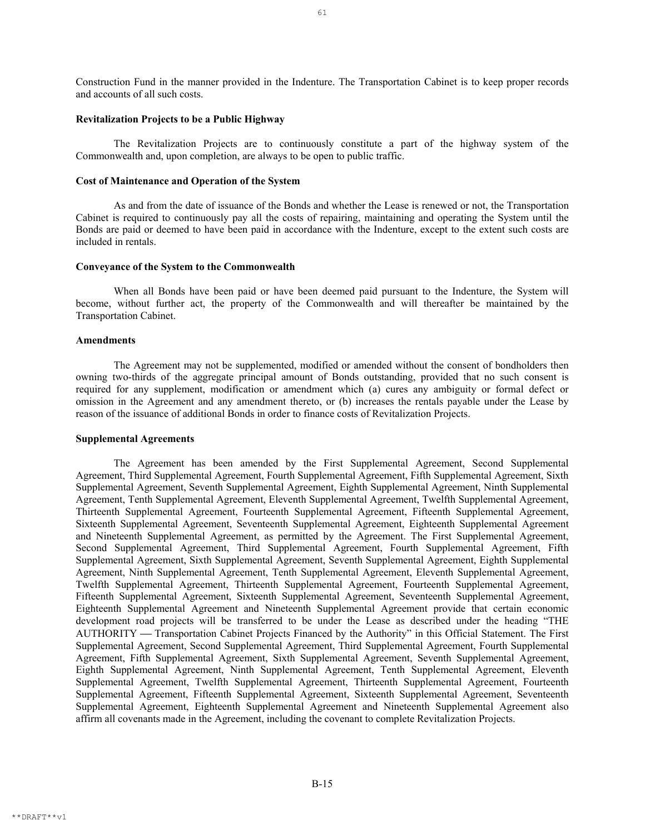Construction Fund in the manner provided in the Indenture. The Transportation Cabinet is to keep proper records and accounts of all such costs.

### **Revitalization Projects to be a Public Highway**

The Revitalization Projects are to continuously constitute a part of the highway system of the Commonwealth and, upon completion, are always to be open to public traffic.

### **Cost of Maintenance and Operation of the System**

As and from the date of issuance of the Bonds and whether the Lease is renewed or not, the Transportation Cabinet is required to continuously pay all the costs of repairing, maintaining and operating the System until the Bonds are paid or deemed to have been paid in accordance with the Indenture, except to the extent such costs are included in rentals.

#### **Conveyance of the System to the Commonwealth**

When all Bonds have been paid or have been deemed paid pursuant to the Indenture, the System will become, without further act, the property of the Commonwealth and will thereafter be maintained by the Transportation Cabinet.

### **Amendments**

The Agreement may not be supplemented, modified or amended without the consent of bondholders then owning two-thirds of the aggregate principal amount of Bonds outstanding, provided that no such consent is required for any supplement, modification or amendment which (a) cures any ambiguity or formal defect or omission in the Agreement and any amendment thereto, or (b) increases the rentals payable under the Lease by reason of the issuance of additional Bonds in order to finance costs of Revitalization Projects.

### **Supplemental Agreements**

The Agreement has been amended by the First Supplemental Agreement, Second Supplemental Agreement, Third Supplemental Agreement, Fourth Supplemental Agreement, Fifth Supplemental Agreement, Sixth Supplemental Agreement, Seventh Supplemental Agreement, Eighth Supplemental Agreement, Ninth Supplemental Agreement, Tenth Supplemental Agreement, Eleventh Supplemental Agreement, Twelfth Supplemental Agreement, Thirteenth Supplemental Agreement, Fourteenth Supplemental Agreement, Fifteenth Supplemental Agreement, Sixteenth Supplemental Agreement, Seventeenth Supplemental Agreement, Eighteenth Supplemental Agreement and Nineteenth Supplemental Agreement, as permitted by the Agreement. The First Supplemental Agreement, Second Supplemental Agreement, Third Supplemental Agreement, Fourth Supplemental Agreement, Fifth Supplemental Agreement, Sixth Supplemental Agreement, Seventh Supplemental Agreement, Eighth Supplemental Agreement, Ninth Supplemental Agreement, Tenth Supplemental Agreement, Eleventh Supplemental Agreement, Twelfth Supplemental Agreement, Thirteenth Supplemental Agreement, Fourteenth Supplemental Agreement, Fifteenth Supplemental Agreement, Sixteenth Supplemental Agreement, Seventeenth Supplemental Agreement, Eighteenth Supplemental Agreement and Nineteenth Supplemental Agreement provide that certain economic development road projects will be transferred to be under the Lease as described under the heading "THE AUTHORITY — Transportation Cabinet Projects Financed by the Authority" in this Official Statement. The First Supplemental Agreement, Second Supplemental Agreement, Third Supplemental Agreement, Fourth Supplemental Agreement, Fifth Supplemental Agreement, Sixth Supplemental Agreement, Seventh Supplemental Agreement, Eighth Supplemental Agreement, Ninth Supplemental Agreement, Tenth Supplemental Agreement, Eleventh Supplemental Agreement, Twelfth Supplemental Agreement, Thirteenth Supplemental Agreement, Fourteenth Supplemental Agreement, Fifteenth Supplemental Agreement, Sixteenth Supplemental Agreement, Seventeenth Supplemental Agreement, Eighteenth Supplemental Agreement and Nineteenth Supplemental Agreement also affirm all covenants made in the Agreement, including the covenant to complete Revitalization Projects.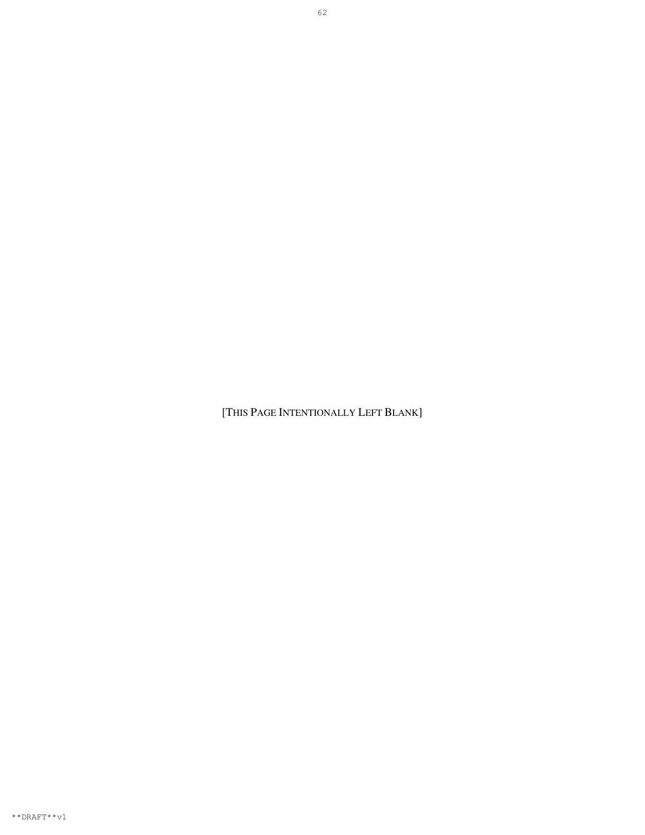[THIS PAGE INTENTIONALLY LEFT BLANK]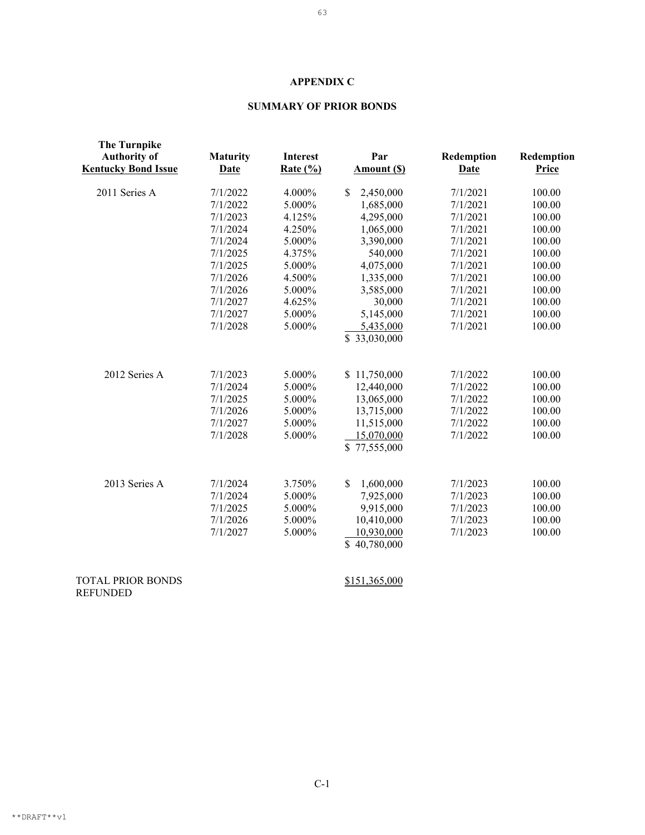# **APPENDIX C**

63

# **SUMMARY OF PRIOR BONDS**

| <b>The Turnpike</b><br><b>Authority of</b><br><b>Kentucky Bond Issue</b> | <b>Maturity</b><br>Date                                                                                                                      | <b>Interest</b><br>Rate $(\% )$                                                                                      | Par<br>Amount (\$)                                                                                                                                                        | Redemption<br><b>Date</b>                                                                                                                    | Redemption<br>Price                                                                                                  |
|--------------------------------------------------------------------------|----------------------------------------------------------------------------------------------------------------------------------------------|----------------------------------------------------------------------------------------------------------------------|---------------------------------------------------------------------------------------------------------------------------------------------------------------------------|----------------------------------------------------------------------------------------------------------------------------------------------|----------------------------------------------------------------------------------------------------------------------|
| 2011 Series A                                                            | 7/1/2022<br>7/1/2022<br>7/1/2023<br>7/1/2024<br>7/1/2024<br>7/1/2025<br>7/1/2025<br>7/1/2026<br>7/1/2026<br>7/1/2027<br>7/1/2027<br>7/1/2028 | 4.000%<br>5.000%<br>4.125%<br>4.250%<br>5.000%<br>4.375%<br>5.000%<br>4.500%<br>5.000%<br>4.625%<br>5.000%<br>5.000% | \$<br>2,450,000<br>1,685,000<br>4,295,000<br>1,065,000<br>3,390,000<br>540,000<br>4,075,000<br>1,335,000<br>3,585,000<br>30,000<br>5,145,000<br>5,435,000<br>\$33,030,000 | 7/1/2021<br>7/1/2021<br>7/1/2021<br>7/1/2021<br>7/1/2021<br>7/1/2021<br>7/1/2021<br>7/1/2021<br>7/1/2021<br>7/1/2021<br>7/1/2021<br>7/1/2021 | 100.00<br>100.00<br>100.00<br>100.00<br>100.00<br>100.00<br>100.00<br>100.00<br>100.00<br>100.00<br>100.00<br>100.00 |
| 2012 Series A                                                            | 7/1/2023<br>7/1/2024<br>7/1/2025<br>7/1/2026<br>7/1/2027<br>7/1/2028                                                                         | 5.000%<br>5.000%<br>5.000%<br>5.000%<br>5.000%<br>5.000%                                                             | \$11,750,000<br>12,440,000<br>13,065,000<br>13,715,000<br>11,515,000<br>15,070,000<br>\$77,555,000                                                                        | 7/1/2022<br>7/1/2022<br>7/1/2022<br>7/1/2022<br>7/1/2022<br>7/1/2022                                                                         | 100.00<br>100.00<br>100.00<br>100.00<br>100.00<br>100.00                                                             |
| 2013 Series A                                                            | 7/1/2024<br>7/1/2024<br>7/1/2025<br>7/1/2026<br>7/1/2027                                                                                     | 3.750%<br>5.000%<br>5.000%<br>5.000%<br>5.000%                                                                       | \$<br>1,600,000<br>7,925,000<br>9,915,000<br>10,410,000<br>10,930,000<br>40,780,000<br>S                                                                                  | 7/1/2023<br>7/1/2023<br>7/1/2023<br>7/1/2023<br>7/1/2023                                                                                     | 100.00<br>100.00<br>100.00<br>100.00<br>100.00                                                                       |

TOTAL PRIOR BONDS REFUNDED

\$151,365,000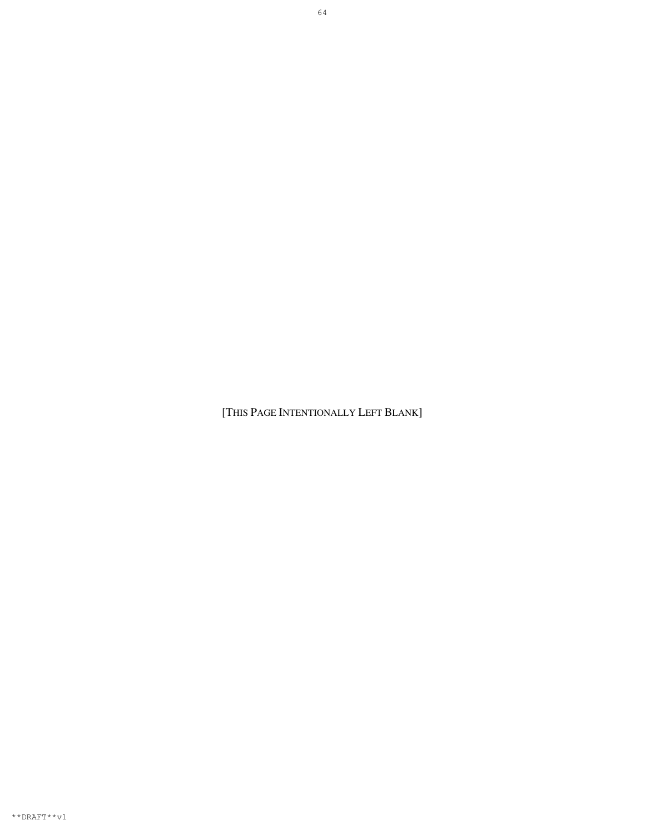[THIS PAGE INTENTIONALLY LEFT BLANK]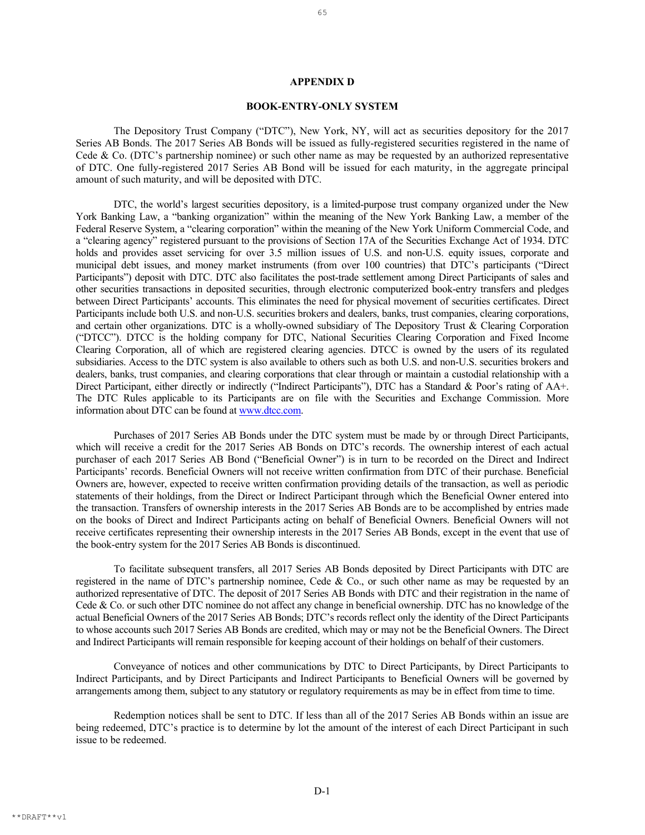### **APPENDIX D**

65

### **BOOK-ENTRY-ONLY SYSTEM**

The Depository Trust Company ("DTC"), New York, NY, will act as securities depository for the 2017 Series AB Bonds. The 2017 Series AB Bonds will be issued as fully-registered securities registered in the name of Cede & Co. (DTC's partnership nominee) or such other name as may be requested by an authorized representative of DTC. One fully-registered 2017 Series AB Bond will be issued for each maturity, in the aggregate principal amount of such maturity, and will be deposited with DTC.

DTC, the world's largest securities depository, is a limited-purpose trust company organized under the New York Banking Law, a "banking organization" within the meaning of the New York Banking Law, a member of the Federal Reserve System, a "clearing corporation" within the meaning of the New York Uniform Commercial Code, and a "clearing agency" registered pursuant to the provisions of Section 17A of the Securities Exchange Act of 1934. DTC holds and provides asset servicing for over 3.5 million issues of U.S. and non-U.S. equity issues, corporate and municipal debt issues, and money market instruments (from over 100 countries) that DTC's participants ("Direct Participants") deposit with DTC. DTC also facilitates the post-trade settlement among Direct Participants of sales and other securities transactions in deposited securities, through electronic computerized book-entry transfers and pledges between Direct Participants' accounts. This eliminates the need for physical movement of securities certificates. Direct Participants include both U.S. and non-U.S. securities brokers and dealers, banks, trust companies, clearing corporations, and certain other organizations. DTC is a wholly-owned subsidiary of The Depository Trust & Clearing Corporation ("DTCC"). DTCC is the holding company for DTC, National Securities Clearing Corporation and Fixed Income Clearing Corporation, all of which are registered clearing agencies. DTCC is owned by the users of its regulated subsidiaries. Access to the DTC system is also available to others such as both U.S. and non-U.S. securities brokers and dealers, banks, trust companies, and clearing corporations that clear through or maintain a custodial relationship with a Direct Participant, either directly or indirectly ("Indirect Participants"), DTC has a Standard & Poor's rating of AA+. The DTC Rules applicable to its Participants are on file with the Securities and Exchange Commission. More information about DTC can be found at www.dtcc.com.

Purchases of 2017 Series AB Bonds under the DTC system must be made by or through Direct Participants, which will receive a credit for the 2017 Series AB Bonds on DTC's records. The ownership interest of each actual purchaser of each 2017 Series AB Bond ("Beneficial Owner") is in turn to be recorded on the Direct and Indirect Participants' records. Beneficial Owners will not receive written confirmation from DTC of their purchase. Beneficial Owners are, however, expected to receive written confirmation providing details of the transaction, as well as periodic statements of their holdings, from the Direct or Indirect Participant through which the Beneficial Owner entered into the transaction. Transfers of ownership interests in the 2017 Series AB Bonds are to be accomplished by entries made on the books of Direct and Indirect Participants acting on behalf of Beneficial Owners. Beneficial Owners will not receive certificates representing their ownership interests in the 2017 Series AB Bonds, except in the event that use of the book-entry system for the 2017 Series AB Bonds is discontinued.

To facilitate subsequent transfers, all 2017 Series AB Bonds deposited by Direct Participants with DTC are registered in the name of DTC's partnership nominee, Cede & Co., or such other name as may be requested by an authorized representative of DTC. The deposit of 2017 Series AB Bonds with DTC and their registration in the name of Cede & Co. or such other DTC nominee do not affect any change in beneficial ownership. DTC has no knowledge of the actual Beneficial Owners of the 2017 Series AB Bonds; DTC's records reflect only the identity of the Direct Participants to whose accounts such 2017 Series AB Bonds are credited, which may or may not be the Beneficial Owners. The Direct and Indirect Participants will remain responsible for keeping account of their holdings on behalf of their customers.

Conveyance of notices and other communications by DTC to Direct Participants, by Direct Participants to Indirect Participants, and by Direct Participants and Indirect Participants to Beneficial Owners will be governed by arrangements among them, subject to any statutory or regulatory requirements as may be in effect from time to time.

Redemption notices shall be sent to DTC. If less than all of the 2017 Series AB Bonds within an issue are being redeemed, DTC's practice is to determine by lot the amount of the interest of each Direct Participant in such issue to be redeemed.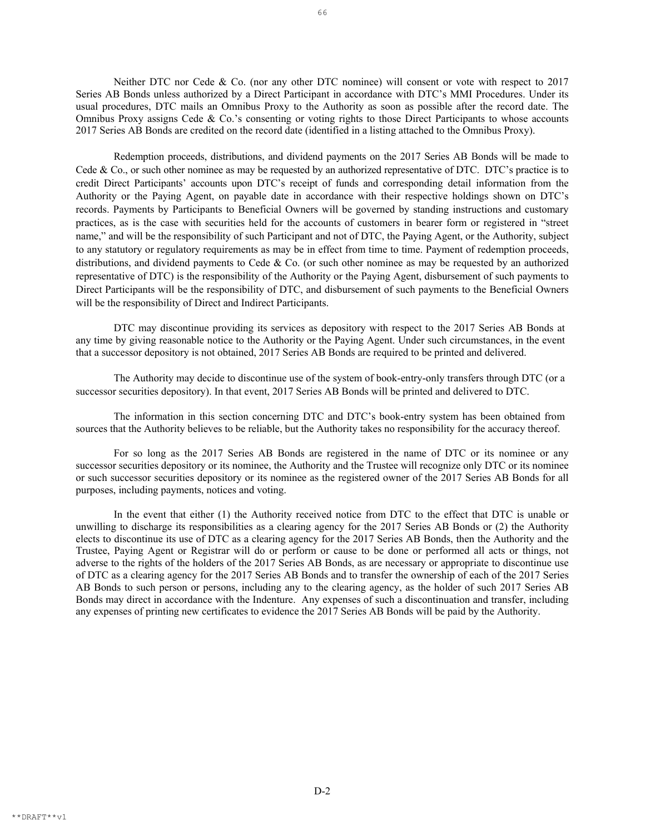Neither DTC nor Cede & Co. (nor any other DTC nominee) will consent or vote with respect to 2017 Series AB Bonds unless authorized by a Direct Participant in accordance with DTC's MMI Procedures. Under its usual procedures, DTC mails an Omnibus Proxy to the Authority as soon as possible after the record date. The Omnibus Proxy assigns Cede & Co.'s consenting or voting rights to those Direct Participants to whose accounts 2017 Series AB Bonds are credited on the record date (identified in a listing attached to the Omnibus Proxy).

Redemption proceeds, distributions, and dividend payments on the 2017 Series AB Bonds will be made to Cede & Co., or such other nominee as may be requested by an authorized representative of DTC. DTC's practice is to credit Direct Participants' accounts upon DTC's receipt of funds and corresponding detail information from the Authority or the Paying Agent, on payable date in accordance with their respective holdings shown on DTC's records. Payments by Participants to Beneficial Owners will be governed by standing instructions and customary practices, as is the case with securities held for the accounts of customers in bearer form or registered in "street name," and will be the responsibility of such Participant and not of DTC, the Paying Agent, or the Authority, subject to any statutory or regulatory requirements as may be in effect from time to time. Payment of redemption proceeds, distributions, and dividend payments to Cede & Co. (or such other nominee as may be requested by an authorized representative of DTC) is the responsibility of the Authority or the Paying Agent, disbursement of such payments to Direct Participants will be the responsibility of DTC, and disbursement of such payments to the Beneficial Owners will be the responsibility of Direct and Indirect Participants.

DTC may discontinue providing its services as depository with respect to the 2017 Series AB Bonds at any time by giving reasonable notice to the Authority or the Paying Agent. Under such circumstances, in the event that a successor depository is not obtained, 2017 Series AB Bonds are required to be printed and delivered.

The Authority may decide to discontinue use of the system of book-entry-only transfers through DTC (or a successor securities depository). In that event, 2017 Series AB Bonds will be printed and delivered to DTC.

The information in this section concerning DTC and DTC's book-entry system has been obtained from sources that the Authority believes to be reliable, but the Authority takes no responsibility for the accuracy thereof.

For so long as the 2017 Series AB Bonds are registered in the name of DTC or its nominee or any successor securities depository or its nominee, the Authority and the Trustee will recognize only DTC or its nominee or such successor securities depository or its nominee as the registered owner of the 2017 Series AB Bonds for all purposes, including payments, notices and voting.

In the event that either (1) the Authority received notice from DTC to the effect that DTC is unable or unwilling to discharge its responsibilities as a clearing agency for the 2017 Series AB Bonds or (2) the Authority elects to discontinue its use of DTC as a clearing agency for the 2017 Series AB Bonds, then the Authority and the Trustee, Paying Agent or Registrar will do or perform or cause to be done or performed all acts or things, not adverse to the rights of the holders of the 2017 Series AB Bonds, as are necessary or appropriate to discontinue use of DTC as a clearing agency for the 2017 Series AB Bonds and to transfer the ownership of each of the 2017 Series AB Bonds to such person or persons, including any to the clearing agency, as the holder of such 2017 Series AB Bonds may direct in accordance with the Indenture. Any expenses of such a discontinuation and transfer, including any expenses of printing new certificates to evidence the 2017 Series AB Bonds will be paid by the Authority.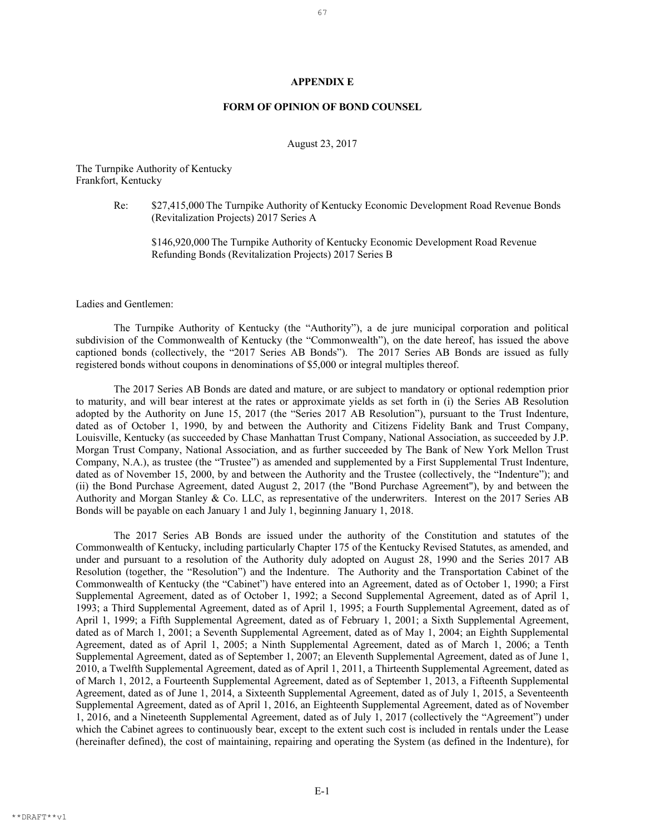## **APPENDIX E**

67

### **FORM OF OPINION OF BOND COUNSEL**

#### August 23, 2017

The Turnpike Authority of Kentucky Frankfort, Kentucky

> Re: \$27,415,000 The Turnpike Authority of Kentucky Economic Development Road Revenue Bonds (Revitalization Projects) 2017 Series A

 \$146,920,000 The Turnpike Authority of Kentucky Economic Development Road Revenue Refunding Bonds (Revitalization Projects) 2017 Series B

Ladies and Gentlemen:

The Turnpike Authority of Kentucky (the "Authority"), a de jure municipal corporation and political subdivision of the Commonwealth of Kentucky (the "Commonwealth"), on the date hereof, has issued the above captioned bonds (collectively, the "2017 Series AB Bonds"). The 2017 Series AB Bonds are issued as fully registered bonds without coupons in denominations of \$5,000 or integral multiples thereof.

The 2017 Series AB Bonds are dated and mature, or are subject to mandatory or optional redemption prior to maturity, and will bear interest at the rates or approximate yields as set forth in (i) the Series AB Resolution adopted by the Authority on June 15, 2017 (the "Series 2017 AB Resolution"), pursuant to the Trust Indenture, dated as of October 1, 1990, by and between the Authority and Citizens Fidelity Bank and Trust Company, Louisville, Kentucky (as succeeded by Chase Manhattan Trust Company, National Association, as succeeded by J.P. Morgan Trust Company, National Association, and as further succeeded by The Bank of New York Mellon Trust Company, N.A.), as trustee (the "Trustee") as amended and supplemented by a First Supplemental Trust Indenture, dated as of November 15, 2000, by and between the Authority and the Trustee (collectively, the "Indenture"); and (ii) the Bond Purchase Agreement, dated August 2, 2017 (the "Bond Purchase Agreement"), by and between the Authority and Morgan Stanley & Co. LLC, as representative of the underwriters. Interest on the 2017 Series AB Bonds will be payable on each January 1 and July 1, beginning January 1, 2018.

The 2017 Series AB Bonds are issued under the authority of the Constitution and statutes of the Commonwealth of Kentucky, including particularly Chapter 175 of the Kentucky Revised Statutes, as amended, and under and pursuant to a resolution of the Authority duly adopted on August 28, 1990 and the Series 2017 AB Resolution (together, the "Resolution") and the Indenture. The Authority and the Transportation Cabinet of the Commonwealth of Kentucky (the "Cabinet") have entered into an Agreement, dated as of October 1, 1990; a First Supplemental Agreement, dated as of October 1, 1992; a Second Supplemental Agreement, dated as of April 1, 1993; a Third Supplemental Agreement, dated as of April 1, 1995; a Fourth Supplemental Agreement, dated as of April 1, 1999; a Fifth Supplemental Agreement, dated as of February 1, 2001; a Sixth Supplemental Agreement, dated as of March 1, 2001; a Seventh Supplemental Agreement, dated as of May 1, 2004; an Eighth Supplemental Agreement, dated as of April 1, 2005; a Ninth Supplemental Agreement, dated as of March 1, 2006; a Tenth Supplemental Agreement, dated as of September 1, 2007; an Eleventh Supplemental Agreement, dated as of June 1, 2010, a Twelfth Supplemental Agreement, dated as of April 1, 2011, a Thirteenth Supplemental Agreement, dated as of March 1, 2012, a Fourteenth Supplemental Agreement, dated as of September 1, 2013, a Fifteenth Supplemental Agreement, dated as of June 1, 2014, a Sixteenth Supplemental Agreement, dated as of July 1, 2015, a Seventeenth Supplemental Agreement, dated as of April 1, 2016, an Eighteenth Supplemental Agreement, dated as of November 1, 2016, and a Nineteenth Supplemental Agreement, dated as of July 1, 2017 (collectively the "Agreement") under which the Cabinet agrees to continuously bear, except to the extent such cost is included in rentals under the Lease (hereinafter defined), the cost of maintaining, repairing and operating the System (as defined in the Indenture), for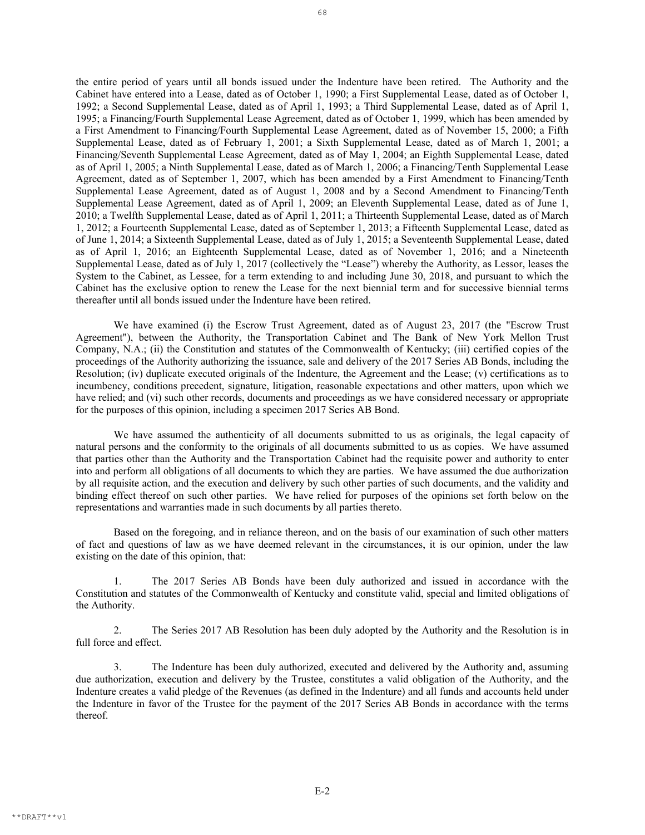the entire period of years until all bonds issued under the Indenture have been retired. The Authority and the Cabinet have entered into a Lease, dated as of October 1, 1990; a First Supplemental Lease, dated as of October 1, 1992; a Second Supplemental Lease, dated as of April 1, 1993; a Third Supplemental Lease, dated as of April 1, 1995; a Financing/Fourth Supplemental Lease Agreement, dated as of October 1, 1999, which has been amended by a First Amendment to Financing/Fourth Supplemental Lease Agreement, dated as of November 15, 2000; a Fifth Supplemental Lease, dated as of February 1, 2001; a Sixth Supplemental Lease, dated as of March 1, 2001; a Financing/Seventh Supplemental Lease Agreement, dated as of May 1, 2004; an Eighth Supplemental Lease, dated as of April 1, 2005; a Ninth Supplemental Lease, dated as of March 1, 2006; a Financing/Tenth Supplemental Lease Agreement, dated as of September 1, 2007, which has been amended by a First Amendment to Financing/Tenth Supplemental Lease Agreement, dated as of August 1, 2008 and by a Second Amendment to Financing/Tenth Supplemental Lease Agreement, dated as of April 1, 2009; an Eleventh Supplemental Lease, dated as of June 1, 2010; a Twelfth Supplemental Lease, dated as of April 1, 2011; a Thirteenth Supplemental Lease, dated as of March 1, 2012; a Fourteenth Supplemental Lease, dated as of September 1, 2013; a Fifteenth Supplemental Lease, dated as of June 1, 2014; a Sixteenth Supplemental Lease, dated as of July 1, 2015; a Seventeenth Supplemental Lease, dated as of April 1, 2016; an Eighteenth Supplemental Lease, dated as of November 1, 2016; and a Nineteenth Supplemental Lease, dated as of July 1, 2017 (collectively the "Lease") whereby the Authority, as Lessor, leases the System to the Cabinet, as Lessee, for a term extending to and including June 30, 2018, and pursuant to which the Cabinet has the exclusive option to renew the Lease for the next biennial term and for successive biennial terms thereafter until all bonds issued under the Indenture have been retired.

We have examined (i) the Escrow Trust Agreement, dated as of August 23, 2017 (the "Escrow Trust Agreement"), between the Authority, the Transportation Cabinet and The Bank of New York Mellon Trust Company, N.A.; (ii) the Constitution and statutes of the Commonwealth of Kentucky; (iii) certified copies of the proceedings of the Authority authorizing the issuance, sale and delivery of the 2017 Series AB Bonds, including the Resolution; (iv) duplicate executed originals of the Indenture, the Agreement and the Lease; (v) certifications as to incumbency, conditions precedent, signature, litigation, reasonable expectations and other matters, upon which we have relied; and (vi) such other records, documents and proceedings as we have considered necessary or appropriate for the purposes of this opinion, including a specimen 2017 Series AB Bond.

We have assumed the authenticity of all documents submitted to us as originals, the legal capacity of natural persons and the conformity to the originals of all documents submitted to us as copies. We have assumed that parties other than the Authority and the Transportation Cabinet had the requisite power and authority to enter into and perform all obligations of all documents to which they are parties. We have assumed the due authorization by all requisite action, and the execution and delivery by such other parties of such documents, and the validity and binding effect thereof on such other parties. We have relied for purposes of the opinions set forth below on the representations and warranties made in such documents by all parties thereto.

Based on the foregoing, and in reliance thereon, and on the basis of our examination of such other matters of fact and questions of law as we have deemed relevant in the circumstances, it is our opinion, under the law existing on the date of this opinion, that:

1. The 2017 Series AB Bonds have been duly authorized and issued in accordance with the Constitution and statutes of the Commonwealth of Kentucky and constitute valid, special and limited obligations of the Authority.

2. The Series 2017 AB Resolution has been duly adopted by the Authority and the Resolution is in full force and effect.

3. The Indenture has been duly authorized, executed and delivered by the Authority and, assuming due authorization, execution and delivery by the Trustee, constitutes a valid obligation of the Authority, and the Indenture creates a valid pledge of the Revenues (as defined in the Indenture) and all funds and accounts held under the Indenture in favor of the Trustee for the payment of the 2017 Series AB Bonds in accordance with the terms thereof.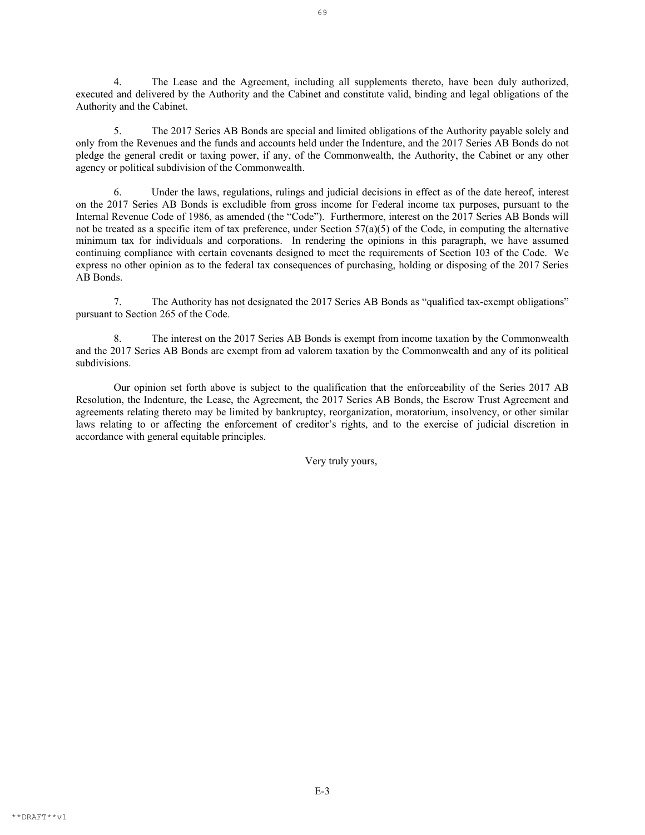4. The Lease and the Agreement, including all supplements thereto, have been duly authorized, executed and delivered by the Authority and the Cabinet and constitute valid, binding and legal obligations of the Authority and the Cabinet.

5. The 2017 Series AB Bonds are special and limited obligations of the Authority payable solely and only from the Revenues and the funds and accounts held under the Indenture, and the 2017 Series AB Bonds do not pledge the general credit or taxing power, if any, of the Commonwealth, the Authority, the Cabinet or any other agency or political subdivision of the Commonwealth.

6. Under the laws, regulations, rulings and judicial decisions in effect as of the date hereof, interest on the 2017 Series AB Bonds is excludible from gross income for Federal income tax purposes, pursuant to the Internal Revenue Code of 1986, as amended (the "Code"). Furthermore, interest on the 2017 Series AB Bonds will not be treated as a specific item of tax preference, under Section  $57(a)(5)$  of the Code, in computing the alternative minimum tax for individuals and corporations. In rendering the opinions in this paragraph, we have assumed continuing compliance with certain covenants designed to meet the requirements of Section 103 of the Code. We express no other opinion as to the federal tax consequences of purchasing, holding or disposing of the 2017 Series AB Bonds.

7. The Authority has not designated the 2017 Series AB Bonds as "qualified tax-exempt obligations" pursuant to Section 265 of the Code.

8. The interest on the 2017 Series AB Bonds is exempt from income taxation by the Commonwealth and the 2017 Series AB Bonds are exempt from ad valorem taxation by the Commonwealth and any of its political subdivisions.

Our opinion set forth above is subject to the qualification that the enforceability of the Series 2017 AB Resolution, the Indenture, the Lease, the Agreement, the 2017 Series AB Bonds, the Escrow Trust Agreement and agreements relating thereto may be limited by bankruptcy, reorganization, moratorium, insolvency, or other similar laws relating to or affecting the enforcement of creditor's rights, and to the exercise of judicial discretion in accordance with general equitable principles.

Very truly yours,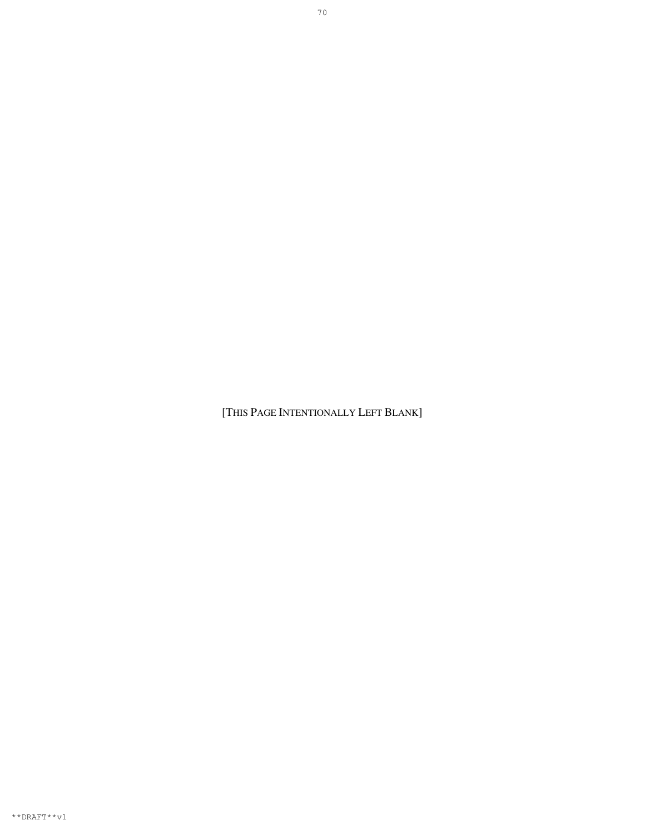[THIS PAGE INTENTIONALLY LEFT BLANK]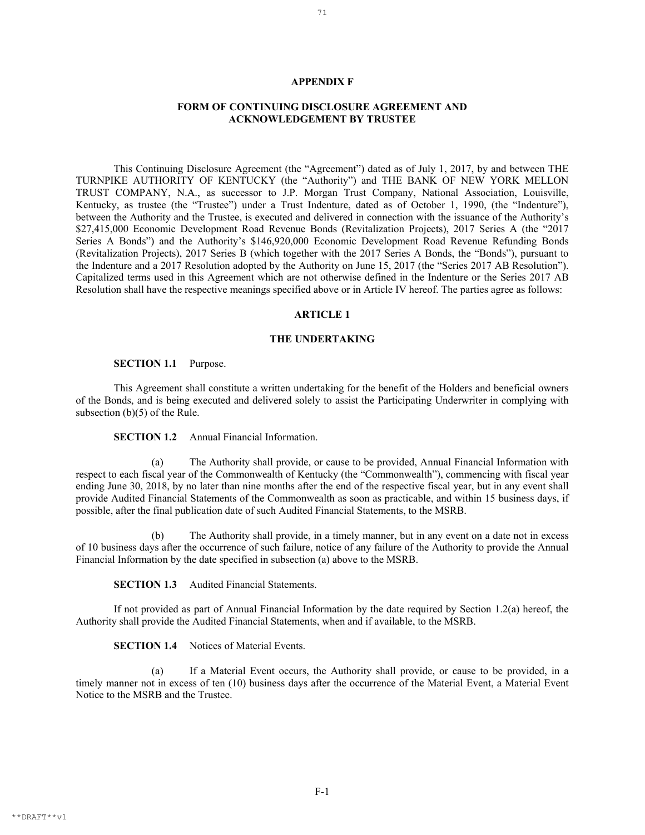## **APPENDIX F**

71

## **FORM OF CONTINUING DISCLOSURE AGREEMENT AND ACKNOWLEDGEMENT BY TRUSTEE**

This Continuing Disclosure Agreement (the "Agreement") dated as of July 1, 2017, by and between THE TURNPIKE AUTHORITY OF KENTUCKY (the "Authority") and THE BANK OF NEW YORK MELLON TRUST COMPANY, N.A., as successor to J.P. Morgan Trust Company, National Association, Louisville, Kentucky, as trustee (the "Trustee") under a Trust Indenture, dated as of October 1, 1990, (the "Indenture"), between the Authority and the Trustee, is executed and delivered in connection with the issuance of the Authority's \$27,415,000 Economic Development Road Revenue Bonds (Revitalization Projects), 2017 Series A (the "2017 Series A Bonds") and the Authority's \$146,920,000 Economic Development Road Revenue Refunding Bonds (Revitalization Projects), 2017 Series B (which together with the 2017 Series A Bonds, the "Bonds"), pursuant to the Indenture and a 2017 Resolution adopted by the Authority on June 15, 2017 (the "Series 2017 AB Resolution"). Capitalized terms used in this Agreement which are not otherwise defined in the Indenture or the Series 2017 AB Resolution shall have the respective meanings specified above or in Article IV hereof. The parties agree as follows:

## **ARTICLE 1**

### **THE UNDERTAKING**

## **SECTION 1.1** Purpose.

This Agreement shall constitute a written undertaking for the benefit of the Holders and beneficial owners of the Bonds, and is being executed and delivered solely to assist the Participating Underwriter in complying with subsection (b)(5) of the Rule.

**SECTION 1.2** Annual Financial Information.

(a) The Authority shall provide, or cause to be provided, Annual Financial Information with respect to each fiscal year of the Commonwealth of Kentucky (the "Commonwealth"), commencing with fiscal year ending June 30, 2018, by no later than nine months after the end of the respective fiscal year, but in any event shall provide Audited Financial Statements of the Commonwealth as soon as practicable, and within 15 business days, if possible, after the final publication date of such Audited Financial Statements, to the MSRB.

(b) The Authority shall provide, in a timely manner, but in any event on a date not in excess of 10 business days after the occurrence of such failure, notice of any failure of the Authority to provide the Annual Financial Information by the date specified in subsection (a) above to the MSRB.

**SECTION 1.3** Audited Financial Statements.

If not provided as part of Annual Financial Information by the date required by Section 1.2(a) hereof, the Authority shall provide the Audited Financial Statements, when and if available, to the MSRB.

**SECTION 1.4** Notices of Material Events.

(a) If a Material Event occurs, the Authority shall provide, or cause to be provided, in a timely manner not in excess of ten (10) business days after the occurrence of the Material Event, a Material Event Notice to the MSRB and the Trustee.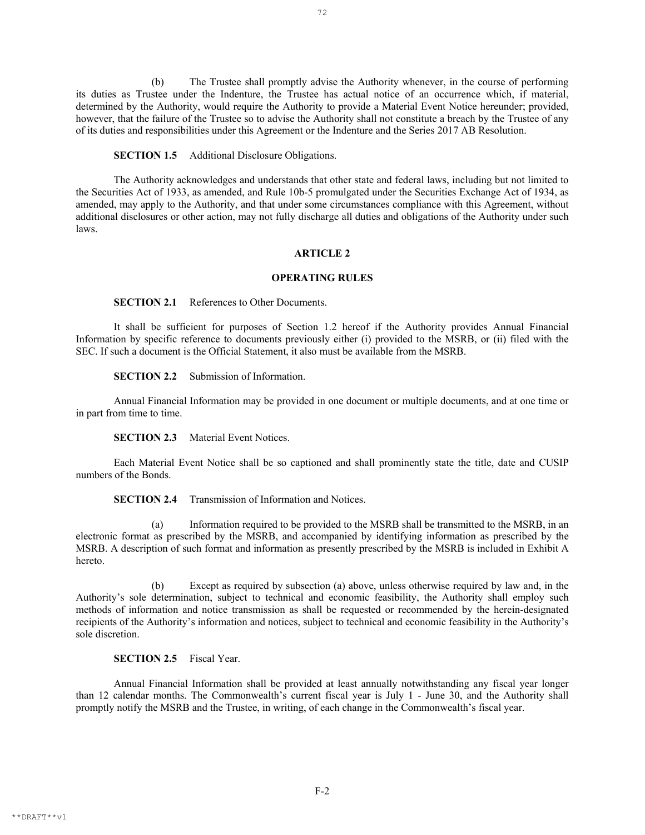(b) The Trustee shall promptly advise the Authority whenever, in the course of performing its duties as Trustee under the Indenture, the Trustee has actual notice of an occurrence which, if material, determined by the Authority, would require the Authority to provide a Material Event Notice hereunder; provided, however, that the failure of the Trustee so to advise the Authority shall not constitute a breach by the Trustee of any of its duties and responsibilities under this Agreement or the Indenture and the Series 2017 AB Resolution.

**SECTION 1.5** Additional Disclosure Obligations.

 The Authority acknowledges and understands that other state and federal laws, including but not limited to the Securities Act of 1933, as amended, and Rule 10b-5 promulgated under the Securities Exchange Act of 1934, as amended, may apply to the Authority, and that under some circumstances compliance with this Agreement, without additional disclosures or other action, may not fully discharge all duties and obligations of the Authority under such laws.

## **ARTICLE 2**

### **OPERATING RULES**

**SECTION 2.1** References to Other Documents.

It shall be sufficient for purposes of Section 1.2 hereof if the Authority provides Annual Financial Information by specific reference to documents previously either (i) provided to the MSRB, or (ii) filed with the SEC. If such a document is the Official Statement, it also must be available from the MSRB.

**SECTION 2.2** Submission of Information.

Annual Financial Information may be provided in one document or multiple documents, and at one time or in part from time to time.

**SECTION 2.3** Material Event Notices.

Each Material Event Notice shall be so captioned and shall prominently state the title, date and CUSIP numbers of the Bonds.

**SECTION 2.4** Transmission of Information and Notices.

(a) Information required to be provided to the MSRB shall be transmitted to the MSRB, in an electronic format as prescribed by the MSRB, and accompanied by identifying information as prescribed by the MSRB. A description of such format and information as presently prescribed by the MSRB is included in Exhibit A hereto.

(b) Except as required by subsection (a) above, unless otherwise required by law and, in the Authority's sole determination, subject to technical and economic feasibility, the Authority shall employ such methods of information and notice transmission as shall be requested or recommended by the herein-designated recipients of the Authority's information and notices, subject to technical and economic feasibility in the Authority's sole discretion.

### **SECTION 2.5** Fiscal Year.

Annual Financial Information shall be provided at least annually notwithstanding any fiscal year longer than 12 calendar months. The Commonwealth's current fiscal year is July 1 - June 30, and the Authority shall promptly notify the MSRB and the Trustee, in writing, of each change in the Commonwealth's fiscal year.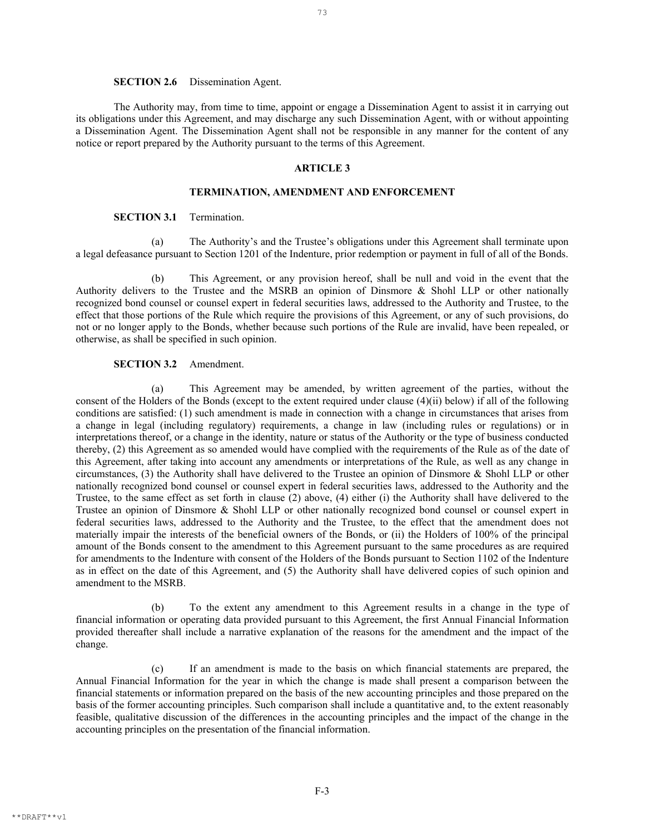## **SECTION 2.6** Dissemination Agent.

The Authority may, from time to time, appoint or engage a Dissemination Agent to assist it in carrying out its obligations under this Agreement, and may discharge any such Dissemination Agent, with or without appointing a Dissemination Agent. The Dissemination Agent shall not be responsible in any manner for the content of any notice or report prepared by the Authority pursuant to the terms of this Agreement.

## **ARTICLE 3**

## **TERMINATION, AMENDMENT AND ENFORCEMENT**

#### **SECTION 3.1** Termination.

(a) The Authority's and the Trustee's obligations under this Agreement shall terminate upon a legal defeasance pursuant to Section 1201 of the Indenture, prior redemption or payment in full of all of the Bonds.

(b) This Agreement, or any provision hereof, shall be null and void in the event that the Authority delivers to the Trustee and the MSRB an opinion of Dinsmore & Shohl LLP or other nationally recognized bond counsel or counsel expert in federal securities laws, addressed to the Authority and Trustee, to the effect that those portions of the Rule which require the provisions of this Agreement, or any of such provisions, do not or no longer apply to the Bonds, whether because such portions of the Rule are invalid, have been repealed, or otherwise, as shall be specified in such opinion.

#### **SECTION 3.2** Amendment.

(a) This Agreement may be amended, by written agreement of the parties, without the consent of the Holders of the Bonds (except to the extent required under clause (4)(ii) below) if all of the following conditions are satisfied: (1) such amendment is made in connection with a change in circumstances that arises from a change in legal (including regulatory) requirements, a change in law (including rules or regulations) or in interpretations thereof, or a change in the identity, nature or status of the Authority or the type of business conducted thereby, (2) this Agreement as so amended would have complied with the requirements of the Rule as of the date of this Agreement, after taking into account any amendments or interpretations of the Rule, as well as any change in circumstances, (3) the Authority shall have delivered to the Trustee an opinion of Dinsmore & Shohl LLP or other nationally recognized bond counsel or counsel expert in federal securities laws, addressed to the Authority and the Trustee, to the same effect as set forth in clause (2) above, (4) either (i) the Authority shall have delivered to the Trustee an opinion of Dinsmore & Shohl LLP or other nationally recognized bond counsel or counsel expert in federal securities laws, addressed to the Authority and the Trustee, to the effect that the amendment does not materially impair the interests of the beneficial owners of the Bonds, or (ii) the Holders of 100% of the principal amount of the Bonds consent to the amendment to this Agreement pursuant to the same procedures as are required for amendments to the Indenture with consent of the Holders of the Bonds pursuant to Section 1102 of the Indenture as in effect on the date of this Agreement, and (5) the Authority shall have delivered copies of such opinion and amendment to the MSRB.

(b) To the extent any amendment to this Agreement results in a change in the type of financial information or operating data provided pursuant to this Agreement, the first Annual Financial Information provided thereafter shall include a narrative explanation of the reasons for the amendment and the impact of the change.

(c) If an amendment is made to the basis on which financial statements are prepared, the Annual Financial Information for the year in which the change is made shall present a comparison between the financial statements or information prepared on the basis of the new accounting principles and those prepared on the basis of the former accounting principles. Such comparison shall include a quantitative and, to the extent reasonably feasible, qualitative discussion of the differences in the accounting principles and the impact of the change in the accounting principles on the presentation of the financial information.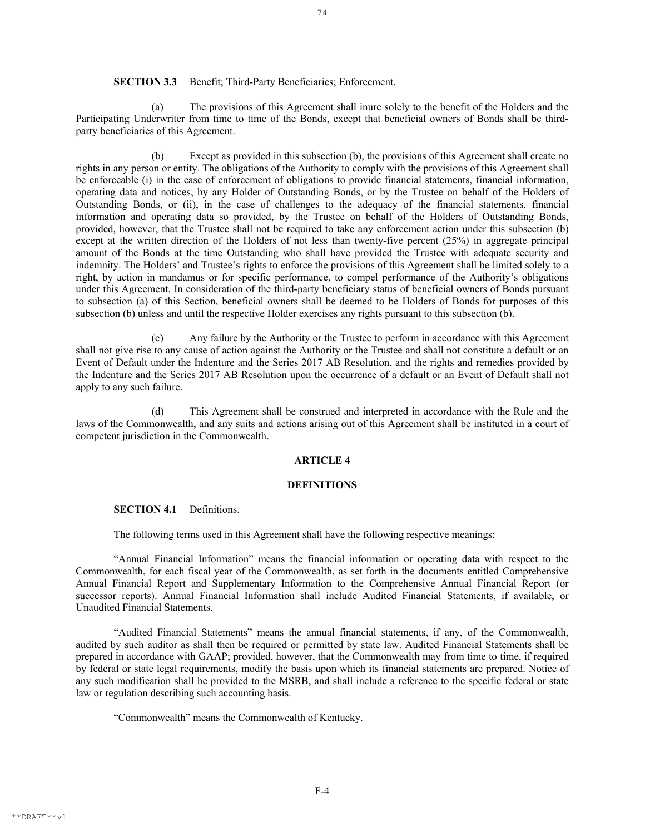# **SECTION 3.3** Benefit; Third-Party Beneficiaries; Enforcement.

(a) The provisions of this Agreement shall inure solely to the benefit of the Holders and the Participating Underwriter from time to time of the Bonds, except that beneficial owners of Bonds shall be thirdparty beneficiaries of this Agreement.

(b) Except as provided in this subsection (b), the provisions of this Agreement shall create no rights in any person or entity. The obligations of the Authority to comply with the provisions of this Agreement shall be enforceable (i) in the case of enforcement of obligations to provide financial statements, financial information, operating data and notices, by any Holder of Outstanding Bonds, or by the Trustee on behalf of the Holders of Outstanding Bonds, or (ii), in the case of challenges to the adequacy of the financial statements, financial information and operating data so provided, by the Trustee on behalf of the Holders of Outstanding Bonds, provided, however, that the Trustee shall not be required to take any enforcement action under this subsection (b) except at the written direction of the Holders of not less than twenty-five percent (25%) in aggregate principal amount of the Bonds at the time Outstanding who shall have provided the Trustee with adequate security and indemnity. The Holders' and Trustee's rights to enforce the provisions of this Agreement shall be limited solely to a right, by action in mandamus or for specific performance, to compel performance of the Authority's obligations under this Agreement. In consideration of the third-party beneficiary status of beneficial owners of Bonds pursuant to subsection (a) of this Section, beneficial owners shall be deemed to be Holders of Bonds for purposes of this subsection (b) unless and until the respective Holder exercises any rights pursuant to this subsection (b).

(c) Any failure by the Authority or the Trustee to perform in accordance with this Agreement shall not give rise to any cause of action against the Authority or the Trustee and shall not constitute a default or an Event of Default under the Indenture and the Series 2017 AB Resolution, and the rights and remedies provided by the Indenture and the Series 2017 AB Resolution upon the occurrence of a default or an Event of Default shall not apply to any such failure.

(d) This Agreement shall be construed and interpreted in accordance with the Rule and the laws of the Commonwealth, and any suits and actions arising out of this Agreement shall be instituted in a court of competent jurisdiction in the Commonwealth.

## **ARTICLE 4**

#### **DEFINITIONS**

## **SECTION 4.1** Definitions.

The following terms used in this Agreement shall have the following respective meanings:

"Annual Financial Information" means the financial information or operating data with respect to the Commonwealth, for each fiscal year of the Commonwealth, as set forth in the documents entitled Comprehensive Annual Financial Report and Supplementary Information to the Comprehensive Annual Financial Report (or successor reports). Annual Financial Information shall include Audited Financial Statements, if available, or Unaudited Financial Statements.

"Audited Financial Statements" means the annual financial statements, if any, of the Commonwealth, audited by such auditor as shall then be required or permitted by state law. Audited Financial Statements shall be prepared in accordance with GAAP; provided, however, that the Commonwealth may from time to time, if required by federal or state legal requirements, modify the basis upon which its financial statements are prepared. Notice of any such modification shall be provided to the MSRB, and shall include a reference to the specific federal or state law or regulation describing such accounting basis.

"Commonwealth" means the Commonwealth of Kentucky.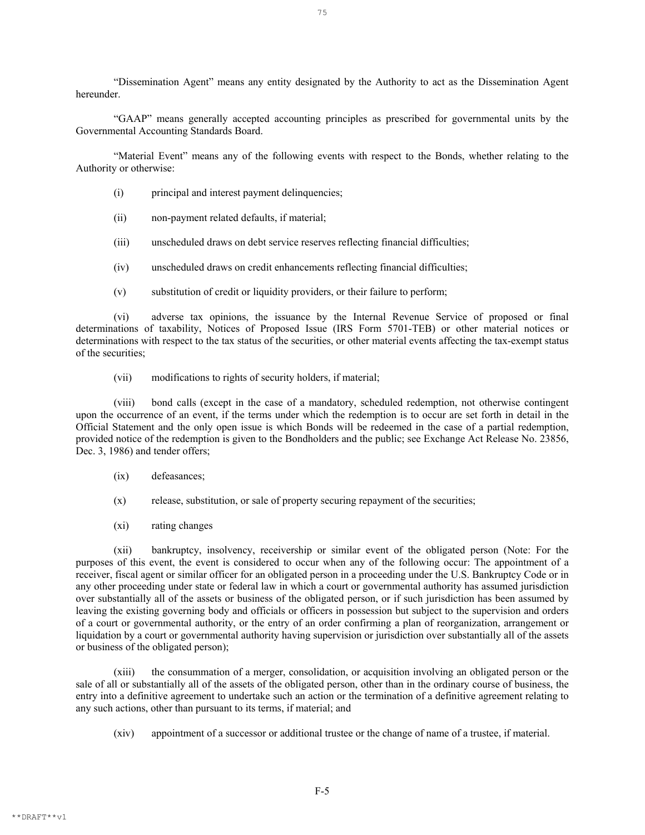"Dissemination Agent" means any entity designated by the Authority to act as the Dissemination Agent hereunder.

"GAAP" means generally accepted accounting principles as prescribed for governmental units by the Governmental Accounting Standards Board.

"Material Event" means any of the following events with respect to the Bonds, whether relating to the Authority or otherwise:

- (i) principal and interest payment delinquencies;
- (ii) non-payment related defaults, if material;
- (iii) unscheduled draws on debt service reserves reflecting financial difficulties;
- (iv) unscheduled draws on credit enhancements reflecting financial difficulties;
- (v) substitution of credit or liquidity providers, or their failure to perform;

(vi) adverse tax opinions, the issuance by the Internal Revenue Service of proposed or final determinations of taxability, Notices of Proposed Issue (IRS Form 5701-TEB) or other material notices or determinations with respect to the tax status of the securities, or other material events affecting the tax-exempt status of the securities;

(vii) modifications to rights of security holders, if material;

(viii) bond calls (except in the case of a mandatory, scheduled redemption, not otherwise contingent upon the occurrence of an event, if the terms under which the redemption is to occur are set forth in detail in the Official Statement and the only open issue is which Bonds will be redeemed in the case of a partial redemption, provided notice of the redemption is given to the Bondholders and the public; see Exchange Act Release No. 23856, Dec. 3, 1986) and tender offers;

- (ix) defeasances;
- (x) release, substitution, or sale of property securing repayment of the securities;
- (xi) rating changes

(xii) bankruptcy, insolvency, receivership or similar event of the obligated person (Note: For the purposes of this event, the event is considered to occur when any of the following occur: The appointment of a receiver, fiscal agent or similar officer for an obligated person in a proceeding under the U.S. Bankruptcy Code or in any other proceeding under state or federal law in which a court or governmental authority has assumed jurisdiction over substantially all of the assets or business of the obligated person, or if such jurisdiction has been assumed by leaving the existing governing body and officials or officers in possession but subject to the supervision and orders of a court or governmental authority, or the entry of an order confirming a plan of reorganization, arrangement or liquidation by a court or governmental authority having supervision or jurisdiction over substantially all of the assets or business of the obligated person);

(xiii) the consummation of a merger, consolidation, or acquisition involving an obligated person or the sale of all or substantially all of the assets of the obligated person, other than in the ordinary course of business, the entry into a definitive agreement to undertake such an action or the termination of a definitive agreement relating to any such actions, other than pursuant to its terms, if material; and

(xiv) appointment of a successor or additional trustee or the change of name of a trustee, if material.

75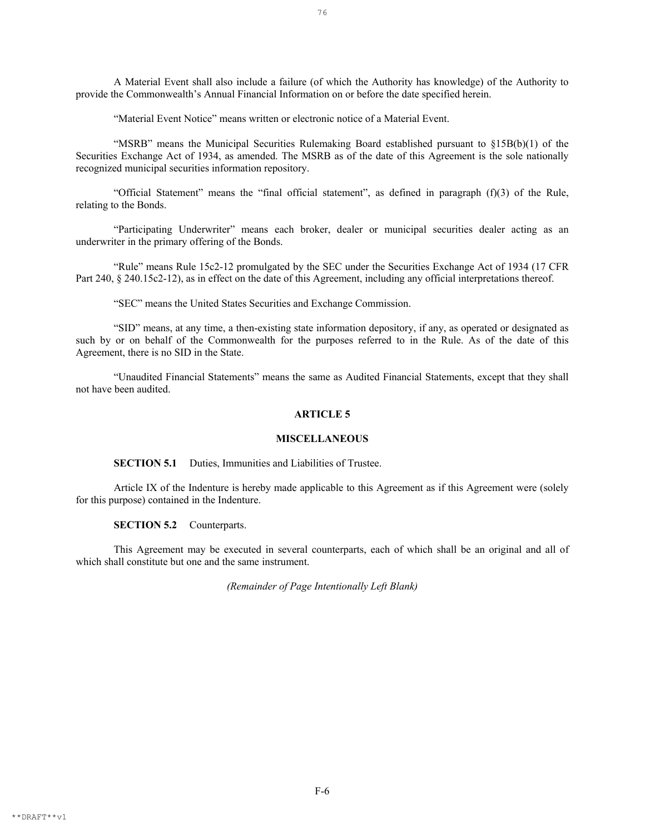A Material Event shall also include a failure (of which the Authority has knowledge) of the Authority to provide the Commonwealth's Annual Financial Information on or before the date specified herein.

"Material Event Notice" means written or electronic notice of a Material Event.

"MSRB" means the Municipal Securities Rulemaking Board established pursuant to §15B(b)(1) of the Securities Exchange Act of 1934, as amended. The MSRB as of the date of this Agreement is the sole nationally recognized municipal securities information repository.

"Official Statement" means the "final official statement", as defined in paragraph (f)(3) of the Rule, relating to the Bonds.

"Participating Underwriter" means each broker, dealer or municipal securities dealer acting as an underwriter in the primary offering of the Bonds.

"Rule" means Rule 15c2-12 promulgated by the SEC under the Securities Exchange Act of 1934 (17 CFR Part 240, § 240.15c2-12), as in effect on the date of this Agreement, including any official interpretations thereof.

"SEC" means the United States Securities and Exchange Commission.

"SID" means, at any time, a then-existing state information depository, if any, as operated or designated as such by or on behalf of the Commonwealth for the purposes referred to in the Rule. As of the date of this Agreement, there is no SID in the State.

"Unaudited Financial Statements" means the same as Audited Financial Statements, except that they shall not have been audited.

#### **ARTICLE 5**

### **MISCELLANEOUS**

**SECTION 5.1** Duties, Immunities and Liabilities of Trustee.

Article IX of the Indenture is hereby made applicable to this Agreement as if this Agreement were (solely for this purpose) contained in the Indenture.

**SECTION 5.2** Counterparts.

This Agreement may be executed in several counterparts, each of which shall be an original and all of which shall constitute but one and the same instrument.

*(Remainder of Page Intentionally Left Blank)*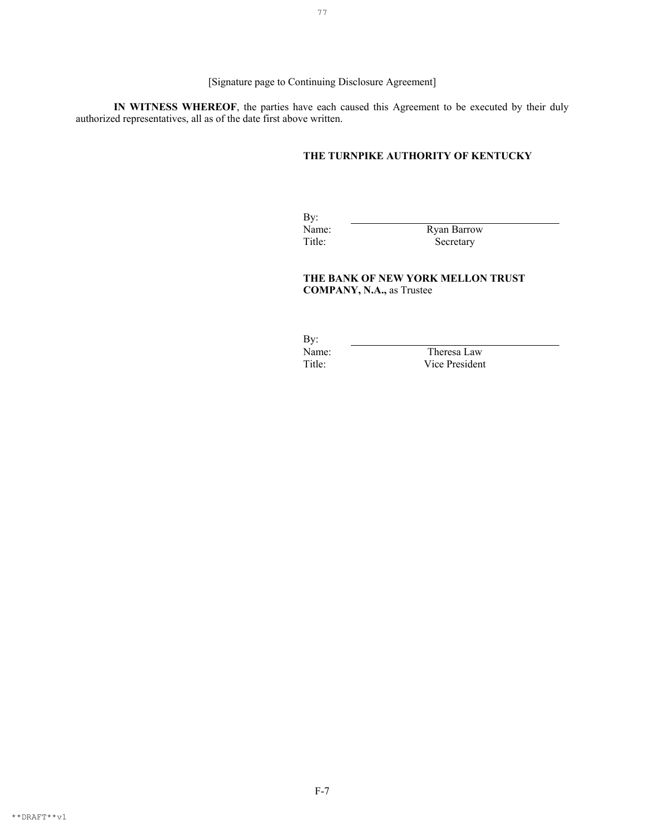[Signature page to Continuing Disclosure Agreement]

77

**IN WITNESS WHEREOF**, the parties have each caused this Agreement to be executed by their duly authorized representatives, all as of the date first above written.

# **THE TURNPIKE AUTHORITY OF KENTUCKY**

By:

Name: Ryan Barrow<br>Title: Secretary Secretary

**THE BANK OF NEW YORK MELLON TRUST COMPANY, N.A.,** as Trustee

By: Name: Theresa Law<br>Title: Vice President Vice President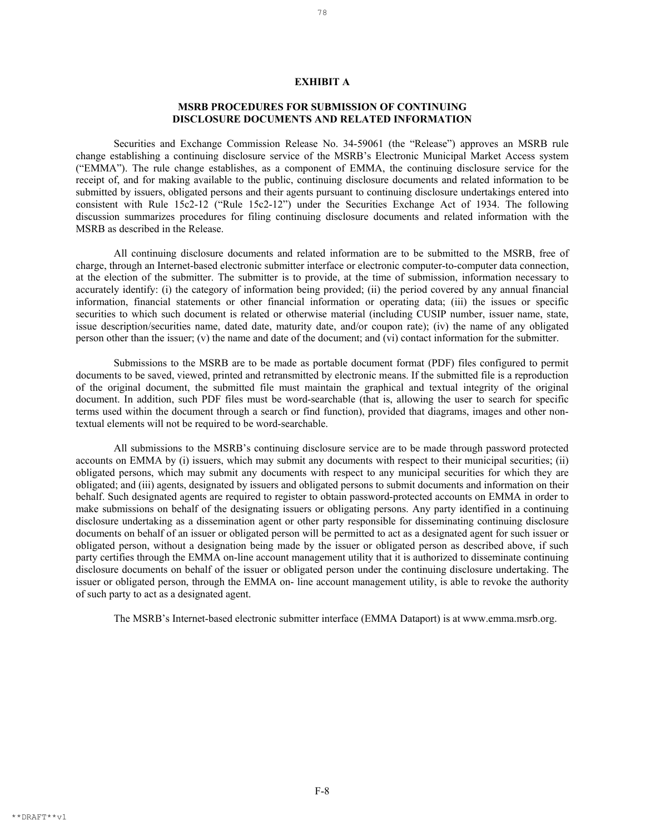# **EXHIBIT A**

# **MSRB PROCEDURES FOR SUBMISSION OF CONTINUING DISCLOSURE DOCUMENTS AND RELATED INFORMATION**

Securities and Exchange Commission Release No. 34-59061 (the "Release") approves an MSRB rule change establishing a continuing disclosure service of the MSRB's Electronic Municipal Market Access system ("EMMA"). The rule change establishes, as a component of EMMA, the continuing disclosure service for the receipt of, and for making available to the public, continuing disclosure documents and related information to be submitted by issuers, obligated persons and their agents pursuant to continuing disclosure undertakings entered into consistent with Rule 15c2-12 ("Rule 15c2-12") under the Securities Exchange Act of 1934. The following discussion summarizes procedures for filing continuing disclosure documents and related information with the MSRB as described in the Release.

All continuing disclosure documents and related information are to be submitted to the MSRB, free of charge, through an Internet-based electronic submitter interface or electronic computer-to-computer data connection, at the election of the submitter. The submitter is to provide, at the time of submission, information necessary to accurately identify: (i) the category of information being provided; (ii) the period covered by any annual financial information, financial statements or other financial information or operating data; (iii) the issues or specific securities to which such document is related or otherwise material (including CUSIP number, issuer name, state, issue description/securities name, dated date, maturity date, and/or coupon rate); (iv) the name of any obligated person other than the issuer; (v) the name and date of the document; and (vi) contact information for the submitter.

Submissions to the MSRB are to be made as portable document format (PDF) files configured to permit documents to be saved, viewed, printed and retransmitted by electronic means. If the submitted file is a reproduction of the original document, the submitted file must maintain the graphical and textual integrity of the original document. In addition, such PDF files must be word-searchable (that is, allowing the user to search for specific terms used within the document through a search or find function), provided that diagrams, images and other nontextual elements will not be required to be word-searchable.

All submissions to the MSRB's continuing disclosure service are to be made through password protected accounts on EMMA by (i) issuers, which may submit any documents with respect to their municipal securities; (ii) obligated persons, which may submit any documents with respect to any municipal securities for which they are obligated; and (iii) agents, designated by issuers and obligated persons to submit documents and information on their behalf. Such designated agents are required to register to obtain password-protected accounts on EMMA in order to make submissions on behalf of the designating issuers or obligating persons. Any party identified in a continuing disclosure undertaking as a dissemination agent or other party responsible for disseminating continuing disclosure documents on behalf of an issuer or obligated person will be permitted to act as a designated agent for such issuer or obligated person, without a designation being made by the issuer or obligated person as described above, if such party certifies through the EMMA on-line account management utility that it is authorized to disseminate continuing disclosure documents on behalf of the issuer or obligated person under the continuing disclosure undertaking. The issuer or obligated person, through the EMMA on- line account management utility, is able to revoke the authority of such party to act as a designated agent.

The MSRB's Internet-based electronic submitter interface (EMMA Dataport) is at www.emma.msrb.org.